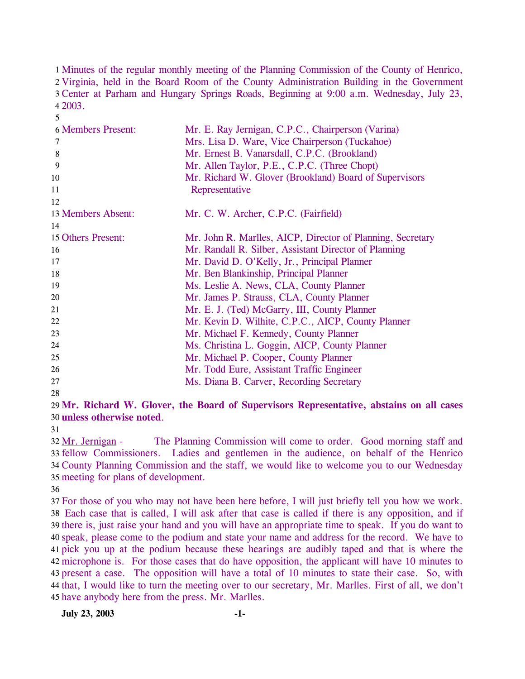1 Minutes of the regular monthly meeting of the Planning Commission of the County of Henrico, 2 Virginia, held in the Board Room of the County Administration Building in the Government Center at Parham and Hungary Springs Roads, Beginning at 9:00 a.m. Wednesday, July 23, 3 2003. 4

| <b>6 Members Present:</b> | Mr. E. Ray Jernigan, C.P.C., Chairperson (Varina)          |
|---------------------------|------------------------------------------------------------|
| 7                         | Mrs. Lisa D. Ware, Vice Chairperson (Tuckahoe)             |
| 8                         | Mr. Ernest B. Vanarsdall, C.P.C. (Brookland)               |
| 9                         | Mr. Allen Taylor, P.E., C.P.C. (Three Chopt)               |
| 10                        | Mr. Richard W. Glover (Brookland) Board of Supervisors     |
| 11                        | Representative                                             |
| 12                        |                                                            |
| 13 Members Absent:        | Mr. C. W. Archer, C.P.C. (Fairfield)                       |
| 14                        |                                                            |
| 15 Others Present:        | Mr. John R. Marlles, AICP, Director of Planning, Secretary |
| 16                        | Mr. Randall R. Silber, Assistant Director of Planning      |
| 17                        | Mr. David D. O'Kelly, Jr., Principal Planner               |
| 18                        | Mr. Ben Blankinship, Principal Planner                     |
| 19                        | Ms. Leslie A. News, CLA, County Planner                    |
| 20                        | Mr. James P. Strauss, CLA, County Planner                  |
| 21                        | Mr. E. J. (Ted) McGarry, III, County Planner               |
| 22                        | Mr. Kevin D. Wilhite, C.P.C., AICP, County Planner         |
| 23                        | Mr. Michael F. Kennedy, County Planner                     |
| 24                        | Ms. Christina L. Goggin, AICP, County Planner              |
| 25                        | Mr. Michael P. Cooper, County Planner                      |
| 26                        | Mr. Todd Eure, Assistant Traffic Engineer                  |
| 27                        | Ms. Diana B. Carver, Recording Secretary                   |
|                           |                                                            |

28

5

29 **Mr. Richard W. Glover, the Board of Supervisors Representative, abstains on all cases**  30 **unless otherwise noted**.

31

The Planning Commission will come to order. Good morning staff and 33 fellow Commissioners. Ladies and gentlemen in the audience, on behalf of the Henrico County Planning Commission and the staff, we would like to welcome you to our Wednesday 34 35 meeting for plans of development. 32 Mr. Jernigan -

36

 For those of you who may not have been here before, I will just briefly tell you how we work. Each case that is called, I will ask after that case is called if there is any opposition, and if there is, just raise your hand and you will have an appropriate time to speak. If you do want to speak, please come to the podium and state your name and address for the record. We have to pick you up at the podium because these hearings are audibly taped and that is where the microphone is. For those cases that do have opposition, the applicant will have 10 minutes to present a case. The opposition will have a total of 10 minutes to state their case. So, with that, I would like to turn the meeting over to our secretary, Mr. Marlles. First of all, we don't have anybody here from the press. Mr. Marlles.

**July 23, 2003 -1-**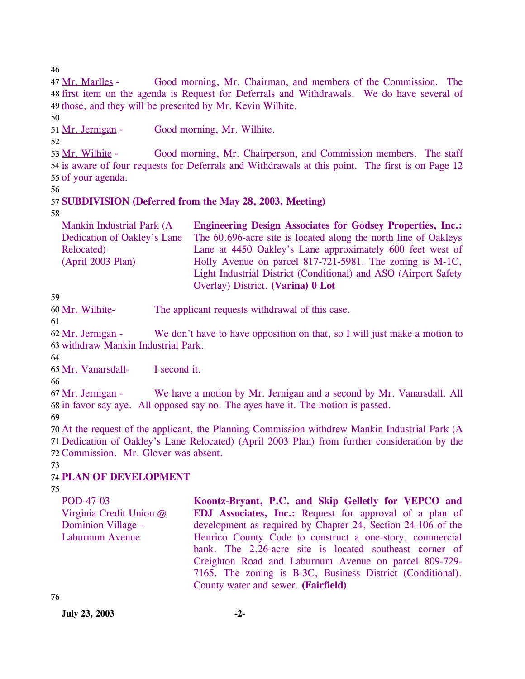46

Good morning, Mr. Chairman, and members of the Commission. The 48 first item on the agenda is Request for Deferrals and Withdrawals. We do have several of 49 those, and they will be presented by Mr. Kevin Wilhite. 47 Mr. Marlles -

50

51 Mr. Jernigan - Good morning, Mr. Wilhite.

52

Good morning, Mr. Chairperson, and Commission members. The staff 54 is aware of four requests for Deferrals and Withdrawals at this point. The first is on Page 12 55 of your agenda. 53 Mr. Wilhite -

56

# 57 **SUBDIVISION (Deferred from the May 28, 2003, Meeting)**

58

Mankin Industrial Park (A Dedication of Oakley's Lane Relocated) (April 2003 Plan) **Engineering Design Associates for Godsey Properties, Inc.:**  The 60.696-acre site is located along the north line of Oakleys Lane at 4450 Oakley's Lane approximately 600 feet west of Holly Avenue on parcel 817-721-5981. The zoning is M-1C, Light Industrial District (Conditional) and ASO (Airport Safety Overlay) District. **(Varina) 0 Lot** 

59

60 Mr. Wilhite- The applicant requests withdrawal of this case.

61

We don't have to have opposition on that, so I will just make a motion to 63 withdraw Mankin Industrial Park. 62 Mr. Jernigan -

64

65 Mr. Vanarsdall- I second it.

66

We have a motion by Mr. Jernigan and a second by Mr. Vanarsdall. All 68 in favor say aye. All opposed say no. The ayes have it. The motion is passed. 67 Mr. Jernigan -

69

70 At the request of the applicant, the Planning Commission withdrew Mankin Industrial Park (A 71 Dedication of Oakley's Lane Relocated) (April 2003 Plan) from further consideration by the 72 Commission. Mr. Glover was absent.

73

# 74 **PLAN OF DEVELOPMENT**

75

| POD-47-03<br>Virginia Credit Union @ | Koontz-Bryant, P.C. and Skip Gelletly for VEPCO and<br><b>EDJ</b> Associates, Inc.: Request for approval of a plan of |
|--------------------------------------|-----------------------------------------------------------------------------------------------------------------------|
| Dominion Village –                   | development as required by Chapter 24, Section 24-106 of the                                                          |
| Laburnum Avenue                      | Henrico County Code to construct a one-story, commercial                                                              |
|                                      | bank. The 2.26-acre site is located southeast corner of                                                               |
|                                      | Creighton Road and Laburnum Avenue on parcel 809-729-                                                                 |
|                                      | 7165. The zoning is B-3C, Business District (Conditional).                                                            |
|                                      | County water and sewer. (Fairfield)                                                                                   |

76

**July 23, 2003 -2-**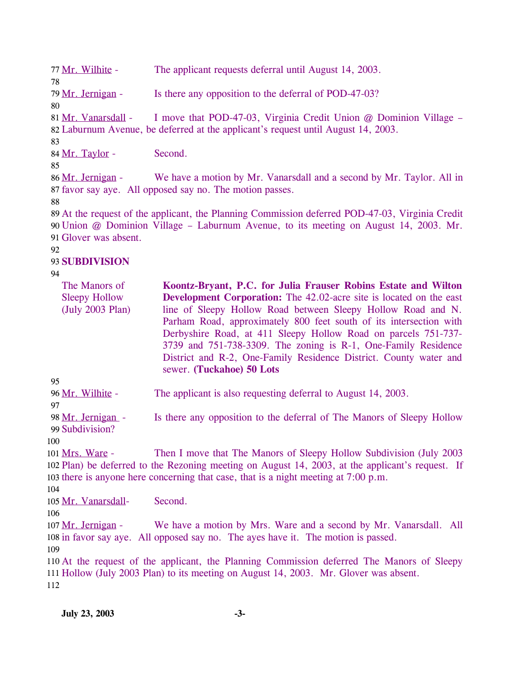77 Mr. Wilhite - The applicant requests deferral until August 14, 2003. 78 79 Mr. Jernigan - Is there any opposition to the deferral of POD-47-03? 80 I move that POD-47-03, Virginia Credit Union  $@$  Dominion Village – Laburnum Avenue, be deferred at the applicant's request until August 14, 2003. 82 81 Mr. Vanarsdall -83 84 Mr. Taylor - Second. 85 We have a motion by Mr. Vanarsdall and a second by Mr. Taylor. All in 87 favor say aye. All opposed say no. The motion passes. 86 Mr. Jernigan -88 89 At the request of the applicant, the Planning Commission deferred POD-47-03, Virginia Credit 90 Union @ Dominion Village – Laburnum Avenue, to its meeting on August 14, 2003. Mr. 91 Glover was absent. 92 93 **SUBDIVISION**  94

| The Manors of        | Koontz-Bryant, P.C. for Julia Frauser Robins Estate and Wilton             |
|----------------------|----------------------------------------------------------------------------|
| <b>Sleepy Hollow</b> | <b>Development Corporation:</b> The 42.02-acre site is located on the east |
| (July 2003 Plan)     | line of Sleepy Hollow Road between Sleepy Hollow Road and N.               |
|                      | Parham Road, approximately 800 feet south of its intersection with         |
|                      | Derbyshire Road, at 411 Sleepy Hollow Road on parcels 751-737-             |
|                      | 3739 and 751-738-3309. The zoning is R-1, One-Family Residence             |
|                      | District and R-2, One-Family Residence District. County water and          |
|                      | sewer. (Tuckahoe) 50 Lots                                                  |

95

96 Mr. Wilhite - The applicant is also requesting deferral to August 14, 2003.

97

Is there any opposition to the deferral of The Manors of Sleepy Hollow 99 Subdivision? 98 Mr. Jernigan -

100

Then I move that The Manors of Sleepy Hollow Subdivision (July 2003) 102 Plan) be deferred to the Rezoning meeting on August 14, 2003, at the applicant's request. If 103 there is anyone here concerning that case, that is a night meeting at  $7:00$  p.m. 101 Mrs. Ware -

104

105 Mr. Vanarsdall- Second.

```
106
```
We have a motion by Mrs. Ware and a second by Mr. Vanarsdall. All 108 in favor say aye. All opposed say no. The ayes have it. The motion is passed. 107 Mr. Jernigan -109

110 At the request of the applicant, the Planning Commission deferred The Manors of Sleepy 111 Hollow (July 2003 Plan) to its meeting on August 14, 2003. Mr. Glover was absent. 112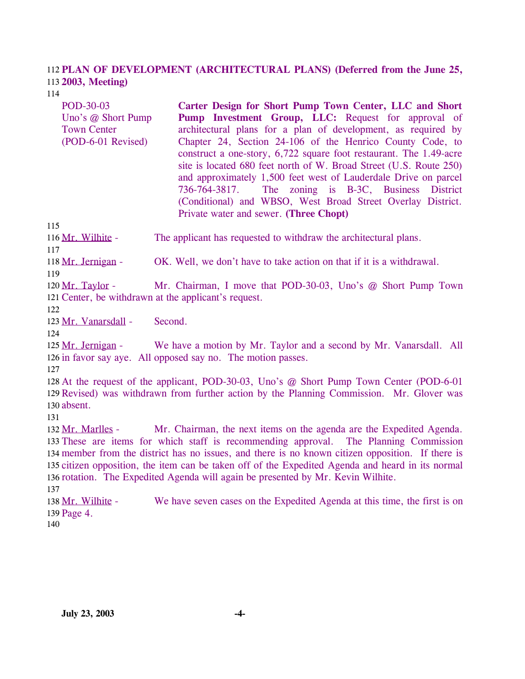# **PLAN OF DEVELOPMENT (ARCHITECTURAL PLANS) (Deferred from the June 25,**  112 **2003, Meeting)**  113

114

POD-30-03 Uno's @ Short Pump Town Center (POD-6-01 Revised) **Carter Design for Short Pump Town Center, LLC and Short**  Pump Investment Group, LLC: Request for approval of architectural plans for a plan of development, as required by Chapter 24, Section 24-106 of the Henrico County Code, to construct a one-story, 6,722 square foot restaurant. The 1.49-acre site is located 680 feet north of W. Broad Street (U.S. Route 250) and approximately 1,500 feet west of Lauderdale Drive on parcel 736-764-3817. The zoning is B-3C, Business District (Conditional) and WBSO, West Broad Street Overlay District. Private water and sewer. **(Three Chopt)** 

115

116 Mr. Wilhite - The applicant has requested to withdraw the architectural plans.

118 Mr. Jernigan - OK. Well, we don't have to take action on that if it is a withdrawal.

119

117

Mr. Chairman, I move that POD-30-03, Uno's @ Short Pump Town 121 Center, be withdrawn at the applicant's request. 120 Mr. Taylor -

122

123 Mr. Vanarsdall - Second.

 $124$ 

We have a motion by Mr. Taylor and a second by Mr. Vanarsdall. All 126 in favor say aye. All opposed say no. The motion passes. 125 Mr. Jernigan -

127

128 At the request of the applicant, POD-30-03, Uno's @ Short Pump Town Center (POD-6-01 129 Revised) was withdrawn from further action by the Planning Commission. Mr. Glover was 130 absent.

131

Mr. Chairman, the next items on the agenda are the Expedited Agenda. 133 These are items for which staff is recommending approval. The Planning Commission 134 member from the district has no issues, and there is no known citizen opposition. If there is 135 citizen opposition, the item can be taken off of the Expedited Agenda and heard in its normal 136 rotation. The Expedited Agenda will again be presented by Mr. Kevin Wilhite. 132 Mr. Marlles -137

We have seven cases on the Expedited Agenda at this time, the first is on 139 Page 4. 138 Mr. Wilhite -

140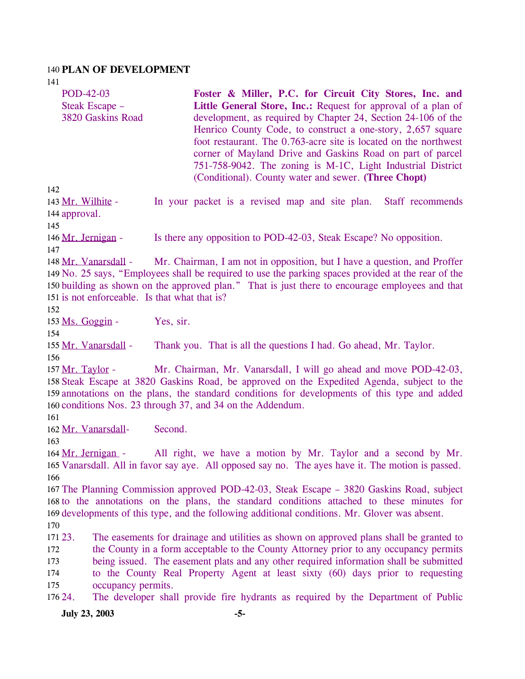#### 140 **PLAN OF DEVELOPMENT**

141 142 POD-42-03 Steak Escape – 3820 Gaskins Road **Foster & Miller, P.C. for Circuit City Stores, Inc. and**  Little General Store, Inc.: Request for approval of a plan of development, as required by Chapter 24, Section 24-106 of the Henrico County Code, to construct a one-story, 2,657 square foot restaurant. The 0.763-acre site is located on the northwest corner of Mayland Drive and Gaskins Road on part of parcel 751-758-9042. The zoning is M-1C, Light Industrial District (Conditional). County water and sewer. **(Three Chopt)**  In your packet is a revised map and site plan. Staff recommends 144 approval. 143 Mr. Wilhite -145 146 Mr. Jernigan - Is there any opposition to POD-42-03, Steak Escape? No opposition. 147 Mr. Chairman, I am not in opposition, but I have a question, and Proffer 149 No. 25 says, "Employees shall be required to use the parking spaces provided at the rear of the 150 building as shown on the approved plan." That is just there to encourage employees and that 151 is not enforceable. Is that what that is? 148 Mr. Vanarsdall -152 153 Ms. Goggin - Yes, sir. 154 155 Mr. Vanarsdall - Thank you. That is all the questions I had. Go ahead, Mr. Taylor. 156 Mr. Chairman, Mr. Vanarsdall, I will go ahead and move POD-42-03, 158 Steak Escape at 3820 Gaskins Road, be approved on the Expedited Agenda, subject to the 159 annotations on the plans, the standard conditions for developments of this type and added 160 conditions Nos. 23 through 37, and 34 on the Addendum. 157 Mr. Taylor -161 162 Mr. Vanarsdall- Second. 163 All right, we have a motion by Mr. Taylor and a second by Mr. 165 Vanarsdall. All in favor say aye. All opposed say no. The ayes have it. The motion is passed. 164 Mr. Jernigan -166 167 The Planning Commission approved POD-42-03, Steak Escape – 3820 Gaskins Road, subject 168 to the annotations on the plans, the standard conditions attached to these minutes for 169 developments of this type, and the following additional conditions. Mr. Glover was absent. 170 171 23. 172 173 174 175 176 24. The easements for drainage and utilities as shown on approved plans shall be granted to the County in a form acceptable to the County Attorney prior to any occupancy permits being issued. The easement plats and any other required information shall be submitted to the County Real Property Agent at least sixty (60) days prior to requesting occupancy permits. 24. The developer shall provide fire hydrants as required by the Department of Public

**July 23, 2003 -5-**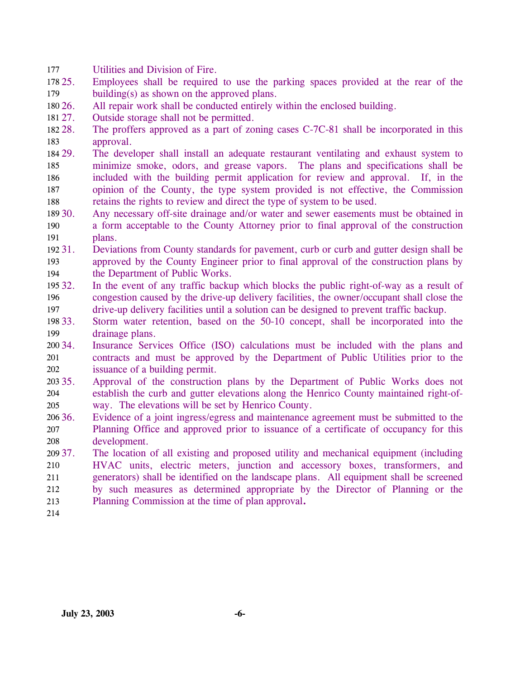177 Utilities and Division of Fire.

- 178 25. 179 25. Employees shall be required to use the parking spaces provided at the rear of the building(s) as shown on the approved plans.
- 180 26. All repair work shall be conducted entirely within the enclosed building.
- 181 27. Outside storage shall not be permitted.
- 182 28. 183 28. The proffers approved as a part of zoning cases C-7C-81 shall be incorporated in this approval.
- 184 29. 185 186 187 188 29. The developer shall install an adequate restaurant ventilating and exhaust system to minimize smoke, odors, and grease vapors. The plans and specifications shall be included with the building permit application for review and approval. If, in the opinion of the County, the type system provided is not effective, the Commission retains the rights to review and direct the type of system to be used.
- 189 30. 190 191 Any necessary off-site drainage and/or water and sewer easements must be obtained in a form acceptable to the County Attorney prior to final approval of the construction plans.
- 192 31. 193 194 31. Deviations from County standards for pavement, curb or curb and gutter design shall be approved by the County Engineer prior to final approval of the construction plans by the Department of Public Works.
- 195 32. 196 197 In the event of any traffic backup which blocks the public right-of-way as a result of congestion caused by the drive-up delivery facilities, the owner/occupant shall close the drive-up delivery facilities until a solution can be designed to prevent traffic backup.
- 198 33. 199 Storm water retention, based on the 50-10 concept, shall be incorporated into the drainage plans.
- 200 34. 201 202 Insurance Services Office (ISO) calculations must be included with the plans and contracts and must be approved by the Department of Public Utilities prior to the issuance of a building permit.
- 203 35. 204 205 Approval of the construction plans by the Department of Public Works does not establish the curb and gutter elevations along the Henrico County maintained right-ofway. The elevations will be set by Henrico County.
- $206\,36$ . 207 208 Evidence of a joint ingress/egress and maintenance agreement must be submitted to the Planning Office and approved prior to issuance of a certificate of occupancy for this development.
- 209 37. 210 211 212 213 37. The location of all existing and proposed utility and mechanical equipment (including HVAC units, electric meters, junction and accessory boxes, transformers, and generators) shall be identified on the landscape plans. All equipment shall be screened by such measures as determined appropriate by the Director of Planning or the Planning Commission at the time of plan approval**.**

214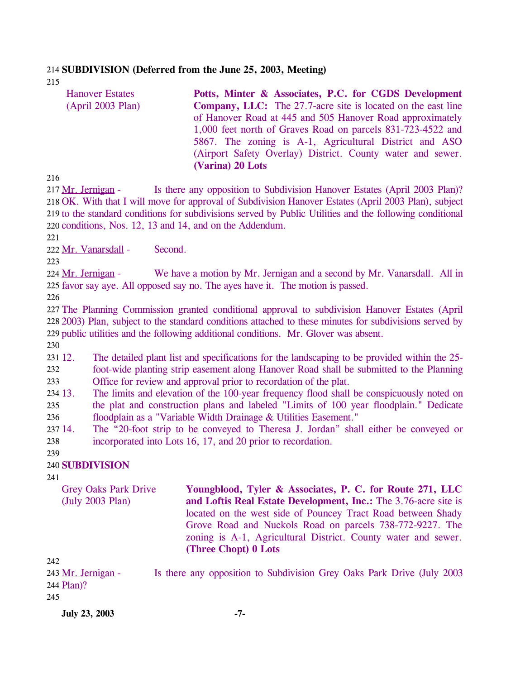### 214 **SUBDIVISION (Deferred from the June 25, 2003, Meeting)**

215

| <b>Hanover Estates</b>                                   | Potts, Minter & Associates, P.C. for CGDS Development                                                    |
|----------------------------------------------------------|----------------------------------------------------------------------------------------------------------|
| (April 2003 Plan)                                        | <b>Company, LLC:</b> The 27.7-acre site is located on the east line                                      |
|                                                          | of Hanover Road at 445 and 505 Hanover Road approximately                                                |
|                                                          | 1,000 feet north of Graves Road on parcels 831-723-4522 and                                              |
|                                                          | 5867. The zoning is A-1, Agricultural District and ASO                                                   |
|                                                          | (Airport Safety Overlay) District. County water and sewer.                                               |
|                                                          | (Varina) 20 Lots                                                                                         |
| 216                                                      |                                                                                                          |
| 217 Mr. Jernigan -                                       | Is there any opposition to Subdivision Hanover Estates (April 2003 Plan)?                                |
|                                                          | 218 OK. With that I will move for approval of Subdivision Hanover Estates (April 2003 Plan), subject     |
|                                                          | 219 to the standard conditions for subdivisions served by Public Utilities and the following conditional |
| 220 conditions, Nos. 12, 13 and 14, and on the Addendum. |                                                                                                          |

221

216

217 218 219

222 Mr. Vanarsdall - Second.

223

We have a motion by Mr. Jernigan and a second by Mr. Vanarsdall. All in 225 favor say aye. All opposed say no. The ayes have it. The motion is passed. 224 Mr. Jernigan -

226

227 The Planning Commission granted conditional approval to subdivision Hanover Estates (April 228 2003) Plan, subject to the standard conditions attached to these minutes for subdivisions served by 229 public utilities and the following additional conditions. Mr. Glover was absent.

230

231 12. 232 233 12. The detailed plant list and specifications for the landscaping to be provided within the 25 foot-wide planting strip easement along Hanover Road shall be submitted to the Planning Office for review and approval prior to recordation of the plat.

234 13. 235 236 The limits and elevation of the 100-year frequency flood shall be conspicuously noted on the plat and construction plans and labeled "Limits of 100 year floodplain." Dedicate floodplain as a "Variable Width Drainage & Utilities Easement."

237 14. 238 The "20-foot strip to be conveyed to Theresa J. Jordan" shall either be conveyed or incorporated into Lots 16, 17, and 20 prior to recordation.

#### 239 240 **SUBDIVISION**

241

Grey Oaks Park Drive (July 2003 Plan)

**Youngblood, Tyler & Associates, P. C. for Route 271, LLC and Loftis Real Estate Development, Inc.:** The 3.76-acre site is located on the west side of Pouncey Tract Road between Shady Grove Road and Nuckols Road on parcels 738-772-9227. The zoning is A-1, Agricultural District. County water and sewer. **(Three Chopt) 0 Lots** 

242 Is there any opposition to Subdivision Grey Oaks Park Drive (July 2003) 244 Plan)? 243 Mr. Jernigan -245

**July 23, 2003 -7-**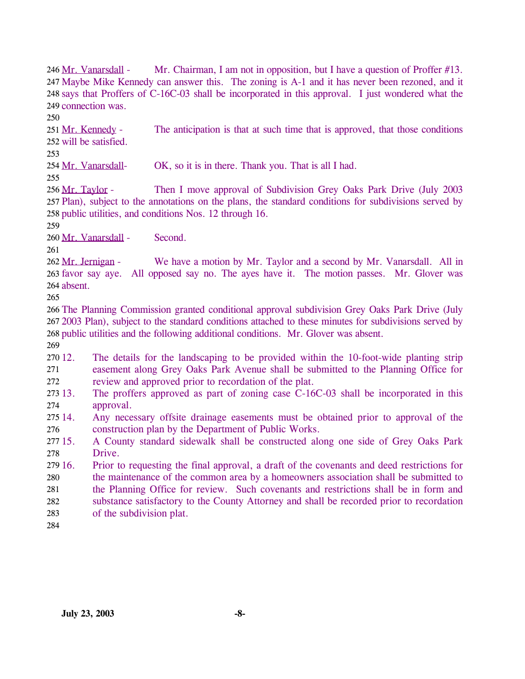Mr. Chairman, I am not in opposition, but I have a question of Proffer  $#13$ . 247 Maybe Mike Kennedy can answer this. The zoning is A-1 and it has never been rezoned, and it 248 says that Proffers of C-16C-03 shall be incorporated in this approval. I just wondered what the 249 connection was. 246 Mr. Vanarsdall -

250

The anticipation is that at such time that is approved, that those conditions will be satisfied. 252 251 Mr. Kennedy -

253

254 Mr. Vanarsdall- OK, so it is in there. Thank you. That is all I had.

255

Then I move approval of Subdivision Grey Oaks Park Drive (July 2003) 257 Plan), subject to the annotations on the plans, the standard conditions for subdivisions served by 258 public utilities, and conditions Nos. 12 through 16. 256 Mr. Taylor -

259

260 Mr. Vanarsdall - Second.

261

We have a motion by Mr. Taylor and a second by Mr. Vanarsdall. All in 263 favor say aye. All opposed say no. The ayes have it. The motion passes. Mr. Glover was 264 absent. 262 Mr. Jernigan -

265

266 The Planning Commission granted conditional approval subdivision Grey Oaks Park Drive (July 267 2003 Plan), subject to the standard conditions attached to these minutes for subdivisions served by 268 public utilities and the following additional conditions. Mr. Glover was absent.

269

270 12. 271 272 The details for the landscaping to be provided within the 10-foot-wide planting strip easement along Grey Oaks Park Avenue shall be submitted to the Planning Office for review and approved prior to recordation of the plat.

273 13. 274 The proffers approved as part of zoning case C-16C-03 shall be incorporated in this approval.

 $27514$ 276 Any necessary offsite drainage easements must be obtained prior to approval of the construction plan by the Department of Public Works.

277 15. 278 15. A County standard sidewalk shall be constructed along one side of Grey Oaks Park Drive.

279 16. 280 281 282 283 16. Prior to requesting the final approval, a draft of the covenants and deed restrictions for the maintenance of the common area by a homeowners association shall be submitted to the Planning Office for review. Such covenants and restrictions shall be in form and substance satisfactory to the County Attorney and shall be recorded prior to recordation of the subdivision plat.

284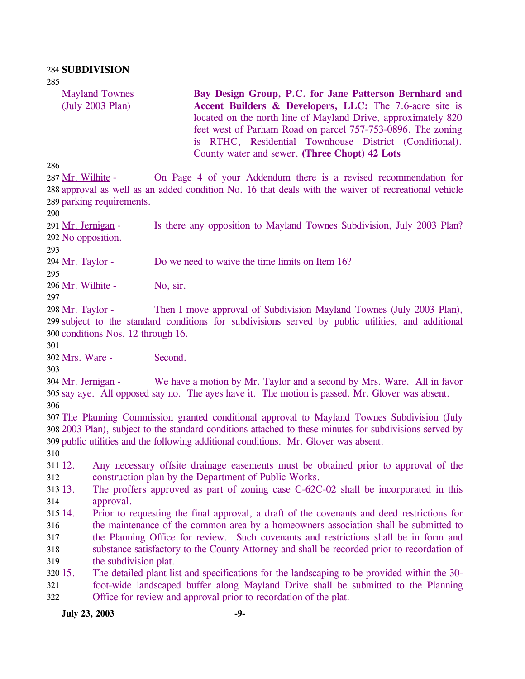Mayland Townes (July 2003 Plan)

**Bay Design Group, P.C. for Jane Patterson Bernhard and Accent Builders & Developers, LLC:** The 7.6-acre site is located on the north line of Mayland Drive, approximately 820 feet west of Parham Road on parcel 757-753-0896. The zoning is RTHC, Residential Townhouse District (Conditional). County water and sewer. **(Three Chopt) 42 Lots** 

286

On Page 4 of your Addendum there is a revised recommendation for 288 approval as well as an added condition No. 16 that deals with the waiver of recreational vehicle 289 parking requirements. 287 Mr. Wilhite -

290

Is there any opposition to Mayland Townes Subdivision, July 2003 Plan? 292 No opposition. 291 Mr. Jernigan -

293

294 Mr. Taylor - Do we need to waive the time limits on Item 16?

295

296 Mr. Wilhite - No, sir.

297

Then I move approval of Subdivision Mayland Townes (July 2003 Plan), 299 subject to the standard conditions for subdivisions served by public utilities, and additional 300 conditions Nos. 12 through 16. 298 Mr. Taylor -

301

302 Mrs. Ware - Second.

303

We have a motion by Mr. Taylor and a second by Mrs. Ware. All in favor 305 say aye. All opposed say no. The ayes have it. The motion is passed. Mr. Glover was absent. 304 Mr. Jernigan -306

307 The Planning Commission granted conditional approval to Mayland Townes Subdivision (July 308 2003 Plan), subject to the standard conditions attached to these minutes for subdivisions served by 309 public utilities and the following additional conditions. Mr. Glover was absent.

310

311 12. 312 12. Any necessary offsite drainage easements must be obtained prior to approval of the construction plan by the Department of Public Works.

313. 314 The proffers approved as part of zoning case  $C$ -62C-02 shall be incorporated in this approval.

315 14. 316 317 318 319 14. Prior to requesting the final approval, a draft of the covenants and deed restrictions for the maintenance of the common area by a homeowners association shall be submitted to the Planning Office for review. Such covenants and restrictions shall be in form and substance satisfactory to the County Attorney and shall be recorded prior to recordation of the subdivision plat.

 $320\,15$ . 321 322 15. The detailed plant list and specifications for the landscaping to be provided within the 30 foot-wide landscaped buffer along Mayland Drive shall be submitted to the Planning Office for review and approval prior to recordation of the plat.

*July* **23, 2003 -9-**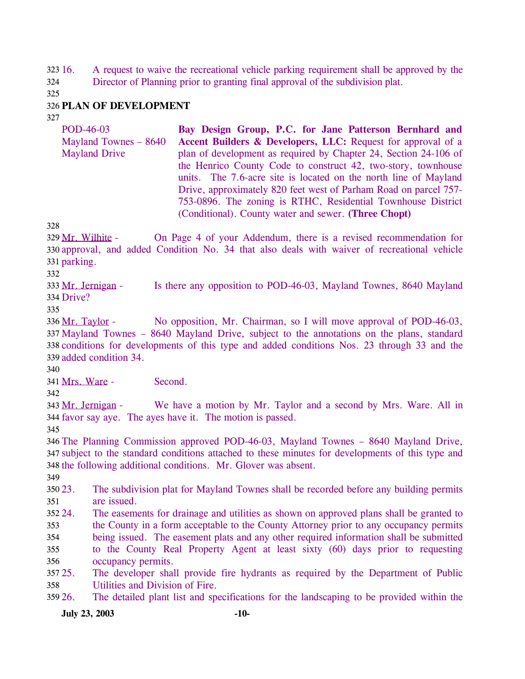16. A request to waive the recreational vehicle parking requirement shall be approved by the 323 16.

Director of Planning prior to granting final approval of the subdivision plat. 324

325

# 326 **PLAN OF DEVELOPMENT**

327

POD-46-03 Mayland Townes – 8640 Mayland Drive **Bay Design Group, P.C. for Jane Patterson Bernhard and Accent Builders & Developers, LLC:** Request for approval of a plan of development as required by Chapter 24, Section 24-106 of the Henrico County Code to construct 42, two-story, townhouse units. The 7.6-acre site is located on the north line of Mayland Drive, approximately 820 feet west of Parham Road on parcel 757- 753-0896. The zoning is RTHC, Residential Townhouse District (Conditional). County water and sewer. **(Three Chopt)** 

328

On Page 4 of your Addendum, there is a revised recommendation for 330 approval, and added Condition No. 34 that also deals with waiver of recreational vehicle 331 parking. 329 Mr. Wilhite -

332

Is there any opposition to POD-46-03, Mayland Townes, 8640 Mayland 334 Drive? 333 Mr. Jernigan -

335

No opposition, Mr. Chairman, so I will move approval of POD-46-03, 337 Mayland Townes – 8640 Mayland Drive, subject to the annotations on the plans, standard 338 conditions for developments of this type and added conditions Nos. 23 through 33 and the 339 added condition 34. 336 Mr. Taylor -

340

341 Mrs. Ware - Second.

342

We have a motion by Mr. Taylor and a second by Mrs. Ware. All in 344 favor say aye. The ayes have it. The motion is passed. 343 Mr. Jernigan -

345

346 The Planning Commission approved POD-46-03, Mayland Townes – 8640 Mayland Drive, 347 subject to the standard conditions attached to these minutes for developments of this type and 348 the following additional conditions. Mr. Glover was absent.

349

 $350\,23$ . 351 The subdivision plat for Mayland Townes shall be recorded before any building permits are issued.

352 24. 353 354 The easements for drainage and utilities as shown on approved plans shall be granted to the County in a form acceptable to the County Attorney prior to any occupancy permits being issued. The easement plats and any other required information shall be submitted

355 356 to the County Real Property Agent at least sixty (60) days prior to requesting occupancy permits.

357 25. 358 The developer shall provide fire hydrants as required by the Department of Public Utilities and Division of Fire.

359 26. 26. The detailed plant list and specifications for the landscaping to be provided within the

**July 23, 2003 -10-**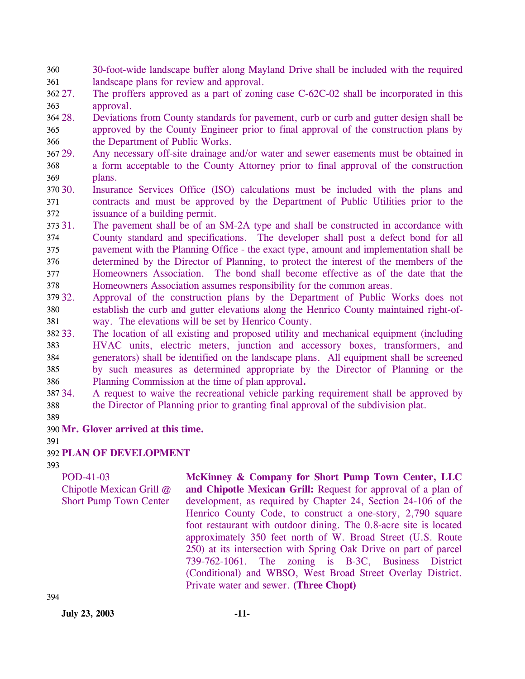- 30-foot-wide landscape buffer along Mayland Drive shall be included with the required landscape plans for review and approval. 360 361
- 362 27. 363 The proffers approved as a part of zoning case C-62C-02 shall be incorporated in this approval.
- 364 28. 365 366 28. Deviations from County standards for pavement, curb or curb and gutter design shall be approved by the County Engineer prior to final approval of the construction plans by the Department of Public Works.
- 367 29. 368 369 Any necessary off-site drainage and/or water and sewer easements must be obtained in a form acceptable to the County Attorney prior to final approval of the construction plans.
- 370 30. 371 372 Insurance Services Office (ISO) calculations must be included with the plans and contracts and must be approved by the Department of Public Utilities prior to the issuance of a building permit.
- 373 31. 374 375 376 377 378 The pavement shall be of an SM-2A type and shall be constructed in accordance with County standard and specifications. The developer shall post a defect bond for all pavement with the Planning Office - the exact type, amount and implementation shall be determined by the Director of Planning, to protect the interest of the members of the Homeowners Association. The bond shall become effective as of the date that the Homeowners Association assumes responsibility for the common areas.
- 379 32. 380 381 Approval of the construction plans by the Department of Public Works does not establish the curb and gutter elevations along the Henrico County maintained right-ofway. The elevations will be set by Henrico County.
- 382 33. 383 384 385 386 The location of all existing and proposed utility and mechanical equipment (including HVAC units, electric meters, junction and accessory boxes, transformers, and generators) shall be identified on the landscape plans. All equipment shall be screened by such measures as determined appropriate by the Director of Planning or the Planning Commission at the time of plan approval**.**
- 387 34. 388 34. A request to waive the recreational vehicle parking requirement shall be approved by the Director of Planning prior to granting final approval of the subdivision plat.
- 389

390 **Mr. Glover arrived at this time.** 

391

# 392 **PLAN OF DEVELOPMENT**

393

POD-41-03 Chipotle Mexican Grill @ Short Pump Town Center

**McKinney & Company for Short Pump Town Center, LLC and Chipotle Mexican Grill:** Request for approval of a plan of development, as required by Chapter 24, Section 24-106 of the Henrico County Code, to construct a one-story, 2,790 square foot restaurant with outdoor dining. The 0.8-acre site is located approximately 350 feet north of W. Broad Street (U.S. Route 250) at its intersection with Spring Oak Drive on part of parcel 739-762-1061. The zoning is B-3C, Business District (Conditional) and WBSO, West Broad Street Overlay District. Private water and sewer. **(Three Chopt)** 

**July 23, 2003 -11-**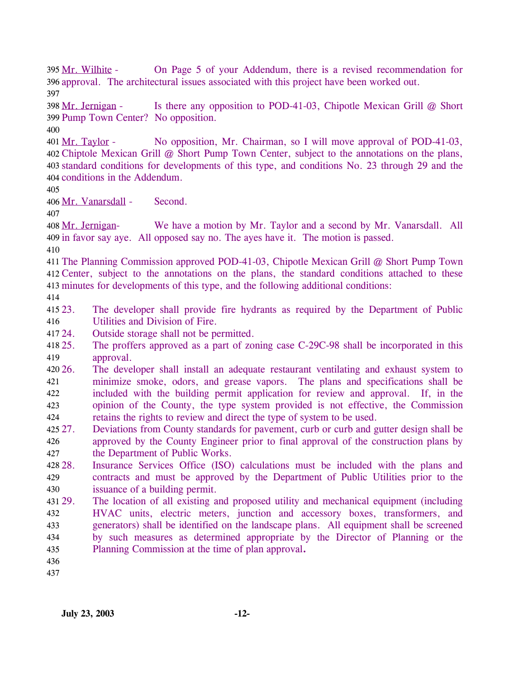On Page 5 of your Addendum, there is a revised recommendation for 396 approval. The architectural issues associated with this project have been worked out. 395 Mr. Wilhite -397

Is there any opposition to POD-41-03, Chipotle Mexican Grill  $@$  Short 399 Pump Town Center? No opposition. 398 Mr. Jernigan -

400

No opposition, Mr. Chairman, so I will move approval of POD-41-03, Chiptole Mexican Grill @ Short Pump Town Center, subject to the annotations on the plans, 402 403 standard conditions for developments of this type, and conditions No. 23 through 29 and the 404 conditions in the Addendum. 401 Mr. Taylor -

405

406 Mr. Vanarsdall - Second.

407

We have a motion by Mr. Taylor and a second by Mr. Vanarsdall. All 409 in favor say aye. All opposed say no. The ayes have it. The motion is passed. 408 Mr. Jernigan-

410

411 The Planning Commission approved POD-41-03, Chipotle Mexican Grill @ Short Pump Town 412 Center, subject to the annotations on the plans, the standard conditions attached to these 413 minutes for developments of this type, and the following additional conditions:

414

 $415\,23.$ 416 23. The developer shall provide fire hydrants as required by the Department of Public Utilities and Division of Fire.

- 417 24. Outside storage shall not be permitted.
- 418 25. 419 The proffers approved as a part of zoning case C-29C-98 shall be incorporated in this approval.
- $420\,26.$ 421 422 423 424 The developer shall install an adequate restaurant ventilating and exhaust system to minimize smoke, odors, and grease vapors. The plans and specifications shall be included with the building permit application for review and approval. If, in the opinion of the County, the type system provided is not effective, the Commission retains the rights to review and direct the type of system to be used.
- 425 27. 426 427 27. Deviations from County standards for pavement, curb or curb and gutter design shall be approved by the County Engineer prior to final approval of the construction plans by the Department of Public Works.
- 428.28. 429 430 Insurance Services Office (ISO) calculations must be included with the plans and contracts and must be approved by the Department of Public Utilities prior to the issuance of a building permit.
- 431 29. 432 433 434 435 The location of all existing and proposed utility and mechanical equipment (including HVAC units, electric meters, junction and accessory boxes, transformers, and generators) shall be identified on the landscape plans. All equipment shall be screened by such measures as determined appropriate by the Director of Planning or the Planning Commission at the time of plan approval**.**
- 436

437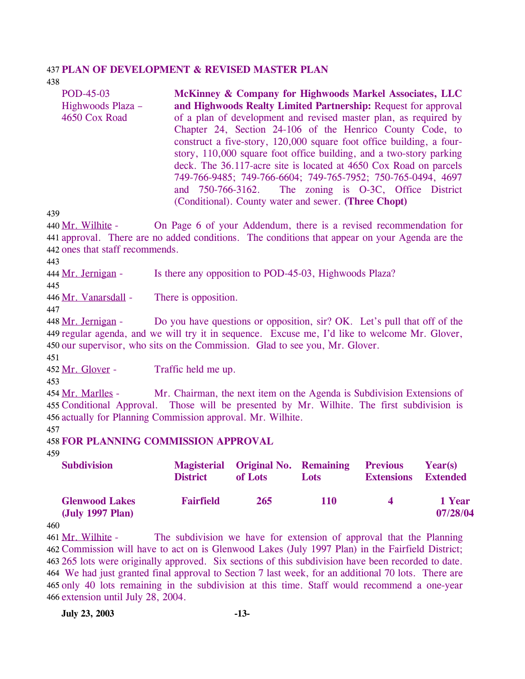#### 437 **PLAN OF DEVELOPMENT & REVISED MASTER PLAN**

438

| POD-45-03         | McKinney & Company for Highwoods Markel Associates, LLC              |
|-------------------|----------------------------------------------------------------------|
| Highwoods Plaza – | and Highwoods Realty Limited Partnership: Request for approval       |
| 4650 Cox Road     | of a plan of development and revised master plan, as required by     |
|                   | Chapter 24, Section 24-106 of the Henrico County Code, to            |
|                   | construct a five-story, 120,000 square foot office building, a four- |
|                   | story, 110,000 square foot office building, and a two-story parking  |
|                   | deck. The 36.117-acre site is located at 4650 Cox Road on parcels    |
|                   | 749-766-9485; 749-766-6604; 749-765-7952; 750-765-0494, 4697         |
|                   | and 750-766-3162. The zoning is O-3C, Office District                |
|                   | (Conditional). County water and sewer. (Three Chopt)                 |

439

On Page 6 of your Addendum, there is a revised recommendation for 441 approval. There are no added conditions. The conditions that appear on your Agenda are the 442 ones that staff recommends. 440 Mr. Wilhite -

443

444 Mr. Jernigan - Is there any opposition to POD-45-03, Highwoods Plaza?

445

446 Mr. Vanarsdall - There is opposition.

447

Do you have questions or opposition, sir? OK. Let's pull that off of the 449 regular agenda, and we will try it in sequence. Excuse me, I'd like to welcome Mr. Glover, 450 our supervisor, who sits on the Commission. Glad to see you, Mr. Glover. 448 Mr. Jernigan -

451

452 Mr. Glover - Traffic held me up.

453

Mr. Chairman, the next item on the Agenda is Subdivision Extensions of 455 Conditional Approval. Those will be presented by Mr. Wilhite. The first subdivision is 456 actually for Planning Commission approval. Mr. Wilhite. 454 Mr. Marlles -

457

#### 458 **FOR PLANNING COMMISSION APPROVAL**

459

| <b>Subdivision</b>                        | <b>District</b>  | Magisterial Original No. Remaining<br>of Lots | <b>Lots</b> | <b>Previous</b><br><b>Extensions</b> | Year(s)<br><b>Extended</b> |
|-------------------------------------------|------------------|-----------------------------------------------|-------------|--------------------------------------|----------------------------|
| <b>Glenwood Lakes</b><br>(July 1997 Plan) | <b>Fairfield</b> | 265                                           | <b>110</b>  | $\Delta$                             | 1 Year<br>07/28/04         |

460

The subdivision we have for extension of approval that the Planning 462 Commission will have to act on is Glenwood Lakes (July 1997 Plan) in the Fairfield District; 265 lots were originally approved. Six sections of this subdivision have been recorded to date. 463 We had just granted final approval to Section 7 last week, for an additional 70 lots. There are 464 465 only 40 lots remaining in the subdivision at this time. Staff would recommend a one-year 466 extension until July 28, 2004. 461 Mr. Wilhite -

**July 23, 2003 -13-**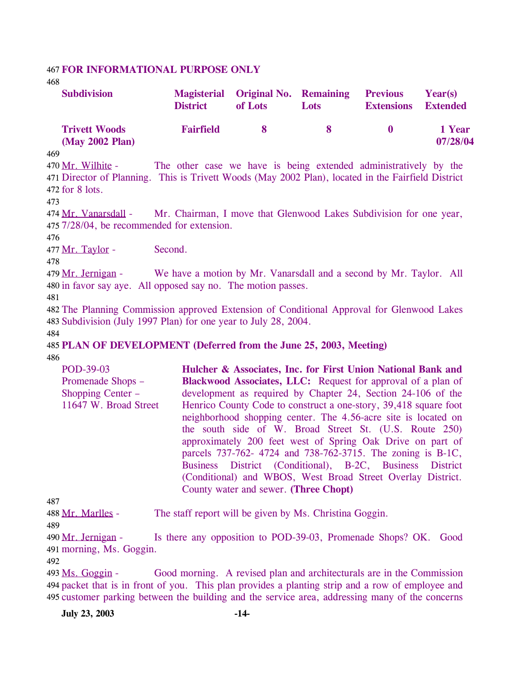#### 467 **FOR INFORMATIONAL PURPOSE ONLY**

468

| <b>Subdivision</b>                      | <b>District</b>  | Magisterial Original No. Remaining<br>of Lots | Lots | <b>Previous</b><br><b>Extensions</b> | Year(s)<br><b>Extended</b> |
|-----------------------------------------|------------------|-----------------------------------------------|------|--------------------------------------|----------------------------|
| <b>Trivett Woods</b><br>(May 2002 Plan) | <b>Fairfield</b> | 8.                                            | -X   | $\mathbf{u}$                         | 1 Year<br>07/28/04         |
| 469<br>_____                            |                  |                                               |      | .                                    |                            |

The other case we have is being extended administratively by the Director of Planning. This is Trivett Woods (May 2002 Plan), located in the Fairfield District 471  $472$  for  $8$  lots. 470 Mr. Wilhite -

473

Mr. Chairman, I move that Glenwood Lakes Subdivision for one year, 475 7/28/04, be recommended for extension. 474 Mr. Vanarsdall -

476

477 Mr. Taylor - Second.

478

We have a motion by Mr. Vanarsdall and a second by Mr. Taylor. All 480 in favor say aye. All opposed say no. The motion passes. 479 Mr. Jernigan -

481

482 The Planning Commission approved Extension of Conditional Approval for Glenwood Lakes 483 Subdivision (July 1997 Plan) for one year to July 28, 2004.

484

485 **PLAN OF DEVELOPMENT (Deferred from the June 25, 2003, Meeting)** 

486

| POD-39-03             | Hulcher & Associates, Inc. for First Union National Bank and        |
|-----------------------|---------------------------------------------------------------------|
| Promenade Shops –     | <b>Blackwood Associates, LLC:</b> Request for approval of a plan of |
| Shopping Center –     | development as required by Chapter 24, Section 24-106 of the        |
| 11647 W. Broad Street | Henrico County Code to construct a one-story, 39,418 square foot    |
|                       | neighborhood shopping center. The 4.56-acre site is located on      |
|                       | the south side of W. Broad Street St. (U.S. Route 250)              |
|                       | approximately 200 feet west of Spring Oak Drive on part of          |
|                       | parcels 737-762- 4724 and 738-762-3715. The zoning is B-1C,         |
|                       | Business District (Conditional), B-2C, Business District            |
|                       | (Conditional) and WBOS, West Broad Street Overlay District.         |
|                       | County water and sewer. (Three Chopt)                               |

487

488 Mr. Marlles - The staff report will be given by Ms. Christina Goggin.

489

Is there any opposition to POD-39-03, Promenade Shops? OK. Good 491 morning, Ms. Goggin. 490 Mr. Jernigan -

492

Good morning. A revised plan and architecturals are in the Commission packet that is in front of you. This plan provides a planting strip and a row of employee and 494 495 customer parking between the building and the service area, addressing many of the concerns 493 Ms. Goggin -

**July 23, 2003 -14-**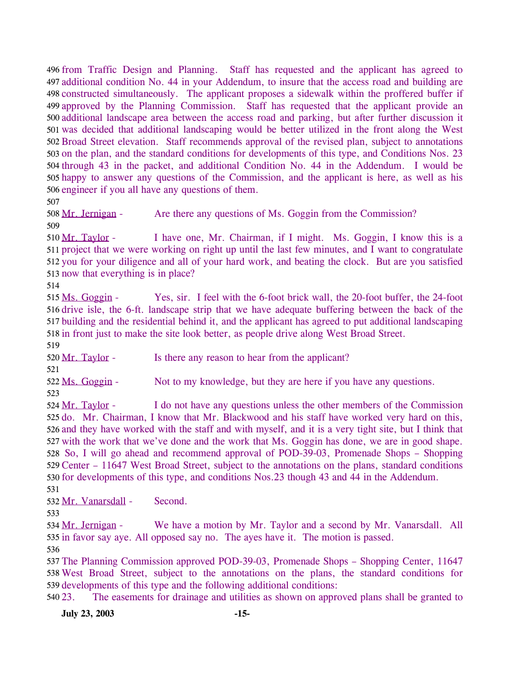496 from Traffic Design and Planning. Staff has requested and the applicant has agreed to 497 additional condition No. 44 in your Addendum, to insure that the access road and building are 498 constructed simultaneously. The applicant proposes a sidewalk within the proffered buffer if 499 approved by the Planning Commission. Staff has requested that the applicant provide an 500 additional landscape area between the access road and parking, but after further discussion it 501 was decided that additional landscaping would be better utilized in the front along the West 502 Broad Street elevation. Staff recommends approval of the revised plan, subject to annotations 503 on the plan, and the standard conditions for developments of this type, and Conditions Nos. 23 504 through 43 in the packet, and additional Condition No. 44 in the Addendum. I would be 505 happy to answer any questions of the Commission, and the applicant is here, as well as his 506 engineer if you all have any questions of them.

507

508 Mr. Jernigan - Are there any questions of Ms. Goggin from the Commission?

509

I have one, Mr. Chairman, if I might. Ms. Goggin, I know this is a 511 project that we were working on right up until the last few minutes, and I want to congratulate 512 you for your diligence and all of your hard work, and beating the clock. But are you satisfied 513 now that everything is in place? 510 Mr. Taylor -

514

Yes, sir. I feel with the 6-foot brick wall, the 20-foot buffer, the 24-foot 516 drive isle, the 6-ft. landscape strip that we have adequate buffering between the back of the 517 building and the residential behind it, and the applicant has agreed to put additional landscaping 518 in front just to make the site look better, as people drive along West Broad Street. 515 Ms. Goggin -

519

520 Mr. Taylor - Is there any reason to hear from the applicant?

521

522 Ms. Goggin - Not to my knowledge, but they are here if you have any questions. 523

I do not have any questions unless the other members of the Commission 525 do. Mr. Chairman, I know that Mr. Blackwood and his staff have worked very hard on this, 526 and they have worked with the staff and with myself, and it is a very tight site, but I think that 527 with the work that we've done and the work that Ms. Goggin has done, we are in good shape. 528 So, I will go ahead and recommend approval of POD-39-03, Promenade Shops - Shopping 529 Center – 11647 West Broad Street, subject to the annotations on the plans, standard conditions 530 for developments of this type, and conditions Nos. 23 though 43 and 44 in the Addendum. 524 Mr. Taylor -

531

532 Mr. Vanarsdall - Second.

533

We have a motion by Mr. Taylor and a second by Mr. Vanarsdall. All 535 in favor say aye. All opposed say no. The ayes have it. The motion is passed. 534 Mr. Jernigan -536

537 The Planning Commission approved POD-39-03, Promenade Shops – Shopping Center, 11647 538 West Broad Street, subject to the annotations on the plans, the standard conditions for 539 developments of this type and the following additional conditions:

540 23. 23. The easements for drainage and utilities as shown on approved plans shall be granted to

**July 23, 2003 -15-**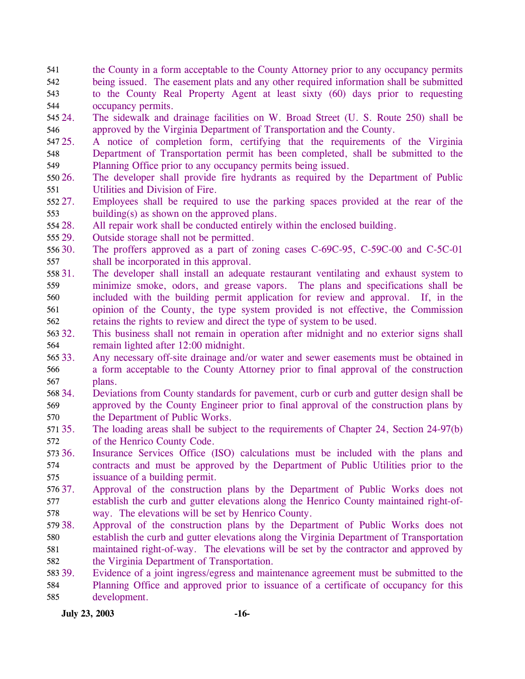- the County in a form acceptable to the County Attorney prior to any occupancy permits being issued. The easement plats and any other required information shall be submitted to the County Real Property Agent at least sixty (60) days prior to requesting occupancy permits. 541 542 543 544
- 545 24. 546 24. The sidewalk and drainage facilities on W. Broad Street (U. S. Route 250) shall be approved by the Virginia Department of Transportation and the County.
- 547 25. 548 549 25. A notice of completion form, certifying that the requirements of the Virginia Department of Transportation permit has been completed, shall be submitted to the Planning Office prior to any occupancy permits being issued.
- 550 26. 551 The developer shall provide fire hydrants as required by the Department of Public Utilities and Division of Fire.
- 552 27. 553 Employees shall be required to use the parking spaces provided at the rear of the building(s) as shown on the approved plans.
- 554 28. All repair work shall be conducted entirely within the enclosed building.

555 29. Outside storage shall not be permitted.

- 556 30. 557 The proffers approved as a part of zoning cases C-69C-95, C-59C-00 and C-5C-01 shall be incorporated in this approval.
- 558 31. 559 560 561 562 The developer shall install an adequate restaurant ventilating and exhaust system to minimize smoke, odors, and grease vapors. The plans and specifications shall be included with the building permit application for review and approval. If, in the opinion of the County, the type system provided is not effective, the Commission retains the rights to review and direct the type of system to be used.
- 563 32. 564 This business shall not remain in operation after midnight and no exterior signs shall remain lighted after 12:00 midnight.
- 565 33. 566 567 Any necessary off-site drainage and/or water and sewer easements must be obtained in a form acceptable to the County Attorney prior to final approval of the construction plans.
- 568 34. 569 570 34. Deviations from County standards for pavement, curb or curb and gutter design shall be approved by the County Engineer prior to final approval of the construction plans by the Department of Public Works.
- 571 35. 572 The loading areas shall be subject to the requirements of Chapter 24, Section 24-97(b) of the Henrico County Code.
- 573 36. 574 575 Insurance Services Office (ISO) calculations must be included with the plans and contracts and must be approved by the Department of Public Utilities prior to the issuance of a building permit.
- 576 37. 577 578 Approval of the construction plans by the Department of Public Works does not establish the curb and gutter elevations along the Henrico County maintained right-ofway. The elevations will be set by Henrico County.
- 579 38. 580 581 582 Approval of the construction plans by the Department of Public Works does not establish the curb and gutter elevations along the Virginia Department of Transportation maintained right-of-way. The elevations will be set by the contractor and approved by the Virginia Department of Transportation.
- 583 39. 584 585 Evidence of a joint ingress/egress and maintenance agreement must be submitted to the Planning Office and approved prior to issuance of a certificate of occupancy for this development.

**July 23, 2003 -16-**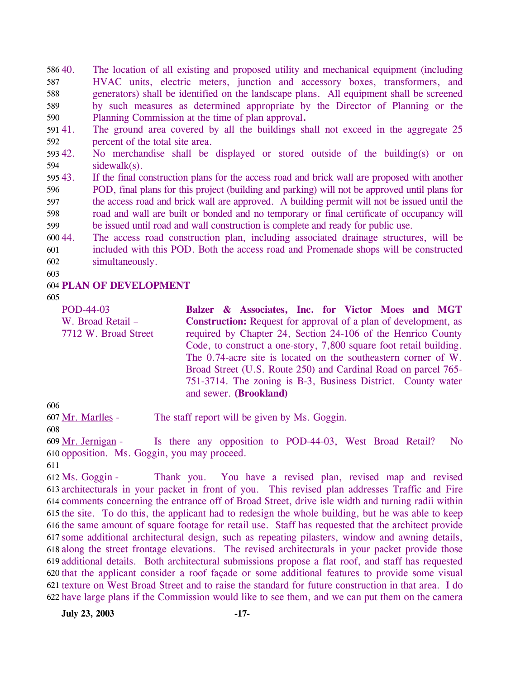40. The location of all existing and proposed utility and mechanical equipment (including HVAC units, electric meters, junction and accessory boxes, transformers, and generators) shall be identified on the landscape plans. All equipment shall be screened by such measures as determined appropriate by the Director of Planning or the Planning Commission at the time of plan approval**.** 58640. 587 588 589 590

591 41. 592 The ground area covered by all the buildings shall not exceed in the aggregate 25 percent of the total site area.

593 42. 594 No merchandise shall be displayed or stored outside of the building(s) or on sidewalk(s).

595 43. 596 597 598 599 If the final construction plans for the access road and brick wall are proposed with another POD, final plans for this project (building and parking) will not be approved until plans for the access road and brick wall are approved. A building permit will not be issued until the road and wall are built or bonded and no temporary or final certificate of occupancy will be issued until road and wall construction is complete and ready for public use.

600 44. 601 602 The access road construction plan, including associated drainage structures, will be included with this POD. Both the access road and Promenade shops will be constructed simultaneously.

603

## 604 **PLAN OF DEVELOPMENT**

605

POD-44-03 W. Broad Retail – 7712 W. Broad Street **Balzer & Associates, Inc. for Victor Moes and MGT Construction:** Request for approval of a plan of development, as required by Chapter 24, Section 24-106 of the Henrico County Code, to construct a one-story, 7,800 square foot retail building. The 0.74-acre site is located on the southeastern corner of W. Broad Street (U.S. Route 250) and Cardinal Road on parcel 765- 751-3714. The zoning is B-3, Business District. County water and sewer. **(Brookland)** 

606

607 Mr. Marlles - The staff report will be given by Ms. Goggin.

608

Is there any opposition to POD-44-03, West Broad Retail? No 610 opposition. Ms. Goggin, you may proceed. 609 Mr. Jernigan -

611

Thank you. You have a revised plan, revised map and revised 613 architecturals in your packet in front of you. This revised plan addresses Traffic and Fire 614 comments concerning the entrance off of Broad Street, drive isle width and turning radii within 615 the site. To do this, the applicant had to redesign the whole building, but he was able to keep 616 the same amount of square footage for retail use. Staff has requested that the architect provide 617 some additional architectural design, such as repeating pilasters, window and awning details, 618 along the street frontage elevations. The revised architecturals in your packet provide those 619 additional details. Both architectural submissions propose a flat roof, and staff has requested 620 that the applicant consider a roof façade or some additional features to provide some visual 621 texture on West Broad Street and to raise the standard for future construction in that area. I do 622 have large plans if the Commission would like to see them, and we can put them on the camera 612 Ms. Goggin -

**July 23, 2003 -17-**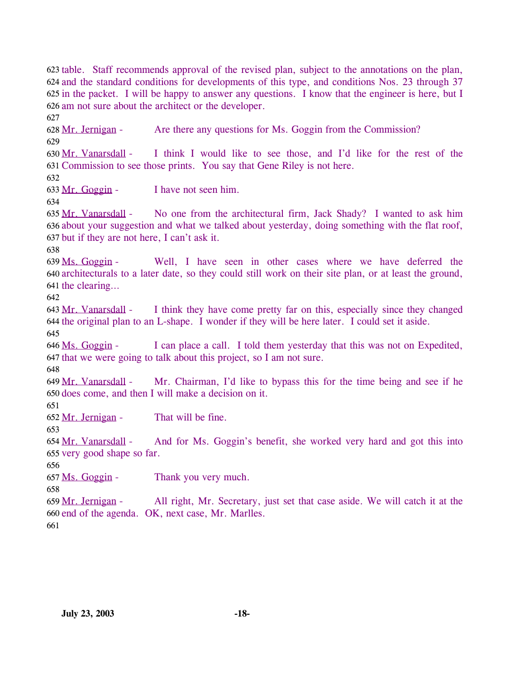623 table. Staff recommends approval of the revised plan, subject to the annotations on the plan, 624 and the standard conditions for developments of this type, and conditions Nos. 23 through 37 625 in the packet. I will be happy to answer any questions. I know that the engineer is here, but I 626 am not sure about the architect or the developer. 627

628 Mr. Jernigan - Are there any questions for Ms. Goggin from the Commission? 629

I think I would like to see those, and I'd like for the rest of the 631 Commission to see those prints. You say that Gene Riley is not here. 630 Mr. Vanarsdall -

632

633 Mr. Goggin - I have not seen him.

634

No one from the architectural firm, Jack Shady? I wanted to ask him 636 about your suggestion and what we talked about yesterday, doing something with the flat roof, 637 but if they are not here, I can't ask it. 635 Mr. Vanarsdall -

638

Well, I have seen in other cases where we have deferred the 640 architecturals to a later date, so they could still work on their site plan, or at least the ground, 641 the clearing... 639 Ms. Goggin -

642

I think they have come pretty far on this, especially since they changed 644 the original plan to an L-shape. I wonder if they will be here later. I could set it aside. 643 Mr. Vanarsdall -645

I can place a call. I told them yesterday that this was not on Expedited, 647 that we were going to talk about this project, so I am not sure. 646 Ms. Goggin -

648

Mr. Chairman, I'd like to bypass this for the time being and see if he 650 does come, and then I will make a decision on it. 649 Mr. Vanarsdall -

651

652 Mr. Jernigan - That will be fine.

653

And for Ms. Goggin's benefit, she worked very hard and got this into 654 Mr. Vanarsdall -

655 very good shape so far.

656

657 Ms. Goggin - Thank you very much.

658

All right, Mr. Secretary, just set that case aside. We will catch it at the 660 end of the agenda. OK, next case, Mr. Marlles. 659 Mr. Jernigan -661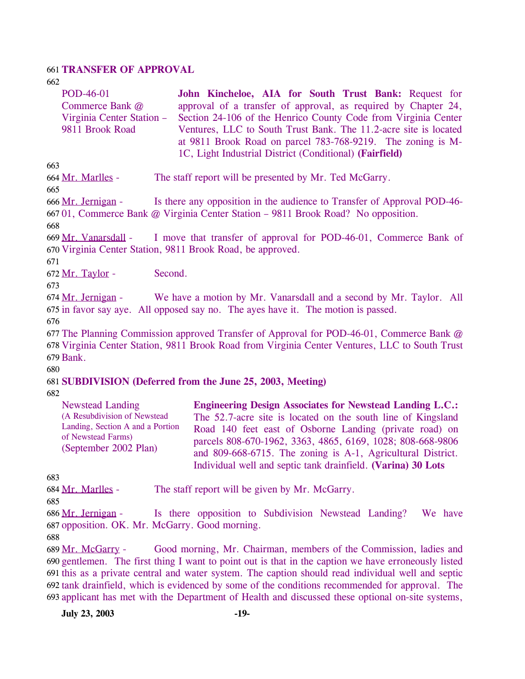#### 661 **TRANSFER OF APPROVAL**

662

| <b>POD-46-01</b>          | John Kincheloe, AIA for South Trust Bank: Request for            |
|---------------------------|------------------------------------------------------------------|
| Commerce Bank @           | approval of a transfer of approval, as required by Chapter 24,   |
| Virginia Center Station – | Section 24-106 of the Henrico County Code from Virginia Center   |
| 9811 Brook Road           | Ventures, LLC to South Trust Bank. The 11.2-acre site is located |
|                           | at 9811 Brook Road on parcel 783-768-9219. The zoning is M-      |
|                           | 1C, Light Industrial District (Conditional) (Fairfield)          |

663

664 Mr. Marlles - The staff report will be presented by Mr. Ted McGarry.

665

Is there any opposition in the audience to Transfer of Approval POD-46-667 01, Commerce Bank @ Virginia Center Station - 9811 Brook Road? No opposition. 666 Mr. Jernigan -

668

I move that transfer of approval for POD-46-01, Commerce Bank of 670 Virginia Center Station, 9811 Brook Road, be approved. 669 Mr. Vanarsdall -

671

672 Mr. Taylor - Second.

673

We have a motion by Mr. Vanarsdall and a second by Mr. Taylor. All 675 in favor say aye. All opposed say no. The ayes have it. The motion is passed. 674 Mr. Jernigan -

676

677 The Planning Commission approved Transfer of Approval for POD-46-01, Commerce Bank @ 678 Virginia Center Station, 9811 Brook Road from Virginia Center Ventures, LLC to South Trust 679 Bank.

680

### 681 **SUBDIVISION (Deferred from the June 25, 2003, Meeting)**

682

| <b>Newstead Landing</b>                                                                                         | <b>Engineering Design Associates for Newstead Landing L.C.:</b> |
|-----------------------------------------------------------------------------------------------------------------|-----------------------------------------------------------------|
| (A Resubdivision of Newstead<br>Landing, Section A and a Portion<br>of Newstead Farms)<br>(September 2002 Plan) | The 52.7-acre site is located on the south line of Kingsland    |
|                                                                                                                 | Road 140 feet east of Osborne Landing (private road) on         |
|                                                                                                                 | parcels 808-670-1962, 3363, 4865, 6169, 1028; 808-668-9806      |
|                                                                                                                 | and 809-668-6715. The zoning is A-1, Agricultural District.     |
|                                                                                                                 | Individual well and septic tank drainfield. (Varina) 30 Lots    |

683

| 684 Mr. Marlles - | The staff report will be given by Mr. McGarry. |  |
|-------------------|------------------------------------------------|--|
|                   |                                                |  |

685

Is there opposition to Subdivision Newstead Landing? We have 687 opposition. OK. Mr. McGarry. Good morning. 686 Mr. Jernigan -

688

Good morning, Mr. Chairman, members of the Commission, ladies and 690 gentlemen. The first thing I want to point out is that in the caption we have erroneously listed 691 this as a private central and water system. The caption should read individual well and septic 692 tank drainfield, which is evidenced by some of the conditions recommended for approval. The 693 applicant has met with the Department of Health and discussed these optional on-site systems, 689 Mr. McGarry -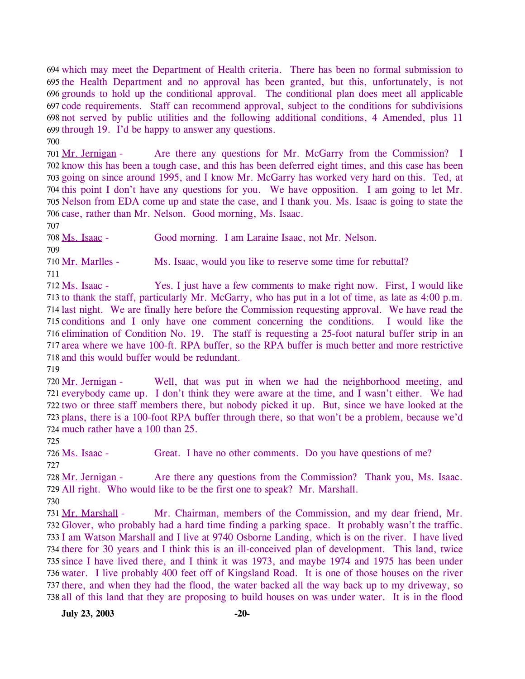694 which may meet the Department of Health criteria. There has been no formal submission to 695 the Health Department and no approval has been granted, but this, unfortunately, is not 696 grounds to hold up the conditional approval. The conditional plan does meet all applicable 697 code requirements. Staff can recommend approval, subject to the conditions for subdivisions 698 not served by public utilities and the following additional conditions, 4 Amended, plus 11 699 through  $19$ . I'd be happy to answer any questions. 700

Are there any questions for Mr. McGarry from the Commission? I 702 know this has been a tough case, and this has been deferred eight times, and this case has been 703 going on since around 1995, and I know Mr. McGarry has worked very hard on this. Ted, at 704 this point I don't have any questions for you. We have opposition. I am going to let Mr. 705 Nelson from EDA come up and state the case, and I thank you. Ms. Isaac is going to state the 706 case, rather than Mr. Nelson. Good morning, Ms. Isaac. 701 Mr. Jernigan -

707

708 Ms. Isaac - Good morning. I am Laraine Isaac, not Mr. Nelson. 709

710 Mr. Marlles - Ms. Isaac, would you like to reserve some time for rebuttal? 711

Yes. I just have a few comments to make right now. First, I would like 713 to thank the staff, particularly Mr. McGarry, who has put in a lot of time, as late as 4:00 p.m. 714 last night. We are finally here before the Commission requesting approval. We have read the 715 conditions and I only have one comment concerning the conditions. I would like the 716 elimination of Condition No. 19. The staff is requesting a 25-foot natural buffer strip in an 717 area where we have 100-ft. RPA buffer, so the RPA buffer is much better and more restrictive 718 and this would buffer would be redundant. 712 Ms. Isaac -

719

Well, that was put in when we had the neighborhood meeting, and 721 everybody came up. I don't think they were aware at the time, and I wasn't either. We had 722 two or three staff members there, but nobody picked it up. But, since we have looked at the 723 plans, there is a 100-foot RPA buffer through there, so that won't be a problem, because we'd 724 much rather have a 100 than 25. 720 Mr. Jernigan -

725

726 Ms. Isaac - Great. I have no other comments. Do you have questions of me? 727

Are there any questions from the Commission? Thank you, Ms. Isaac. 729 All right. Who would like to be the first one to speak? Mr. Marshall. 728 Mr. Jernigan -

730

Mr. Chairman, members of the Commission, and my dear friend, Mr. 732 Glover, who probably had a hard time finding a parking space. It probably wasn't the traffic. 733 I am Watson Marshall and I live at 9740 Osborne Landing, which is on the river. I have lived 734 there for 30 years and I think this is an ill-conceived plan of development. This land, twice 735 since I have lived there, and I think it was 1973, and maybe 1974 and 1975 has been under 736 water. I live probably 400 feet off of Kingsland Road. It is one of those houses on the river 737 there, and when they had the flood, the water backed all the way back up to my driveway, so 738 all of this land that they are proposing to build houses on was under water. It is in the flood 731 Mr. Marshall -

**July 23, 2003 -20-**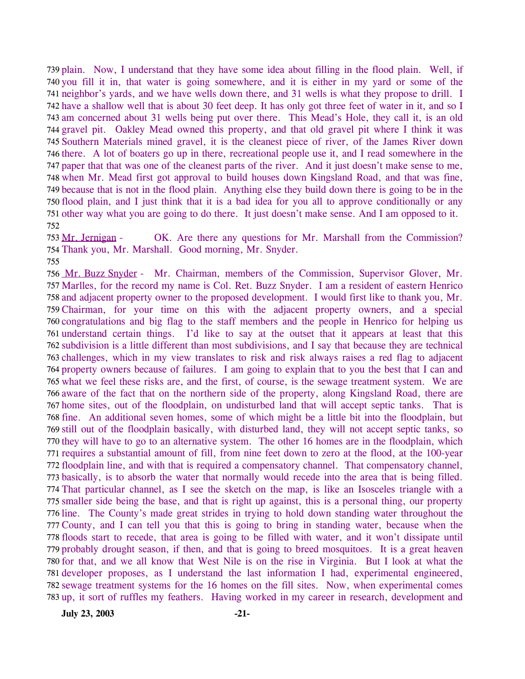739 plain. Now, I understand that they have some idea about filling in the flood plain. Well, if 740 you fill it in, that water is going somewhere, and it is either in my yard or some of the 741 neighbor's yards, and we have wells down there, and 31 wells is what they propose to drill. I 742 have a shallow well that is about 30 feet deep. It has only got three feet of water in it, and so I 743 am concerned about 31 wells being put over there. This Mead's Hole, they call it, is an old 744 gravel pit. Oakley Mead owned this property, and that old gravel pit where I think it was 745 Southern Materials mined gravel, it is the cleanest piece of river, of the James River down 746 there. A lot of boaters go up in there, recreational people use it, and I read somewhere in the 747 paper that that was one of the cleanest parts of the river. And it just doesn't make sense to me, 748 when Mr. Mead first got approval to build houses down Kingsland Road, and that was fine, 749 because that is not in the flood plain. Anything else they build down there is going to be in the 750 flood plain, and I just think that it is a bad idea for you all to approve conditionally or any 751 other way what you are going to do there. It just doesn't make sense. And I am opposed to it. 752

OK. Are there any questions for Mr. Marshall from the Commission? Thank you, Mr. Marshall. Good morning, Mr. Snyder. 754 753 Mr. Jernigan -

755

756 Mr. Buzz Snyder - Mr. Chairman, members of the Commission, Supervisor Glover, Mr. Marlles, for the record my name is Col. Ret. Buzz Snyder. I am a resident of eastern Henrico 757 758 and adjacent property owner to the proposed development. I would first like to thank you, Mr. 759 Chairman, for your time on this with the adjacent property owners, and a special 760 congratulations and big flag to the staff members and the people in Henrico for helping us 761 understand certain things. I'd like to say at the outset that it appears at least that this 762 subdivision is a little different than most subdivisions, and I say that because they are technical 763 challenges, which in my view translates to risk and risk always raises a red flag to adjacent 764 property owners because of failures. I am going to explain that to you the best that I can and 765 what we feel these risks are, and the first, of course, is the sewage treatment system. We are 766 aware of the fact that on the northern side of the property, along Kingsland Road, there are 767 home sites, out of the floodplain, on undisturbed land that will accept septic tanks. That is fine. An additional seven homes, some of which might be a little bit into the floodplain, but 768 769 still out of the floodplain basically, with disturbed land, they will not accept septic tanks, so 770 they will have to go to an alternative system. The other 16 homes are in the floodplain, which 771 requires a substantial amount of fill, from nine feet down to zero at the flood, at the 100-year 772 floodplain line, and with that is required a compensatory channel. That compensatory channel, 773 basically, is to absorb the water that normally would recede into the area that is being filled. 774 That particular channel, as I see the sketch on the map, is like an Isosceles triangle with a 775 smaller side being the base, and that is right up against, this is a personal thing, our property 776 line. The County's made great strides in trying to hold down standing water throughout the 777 County, and I can tell you that this is going to bring in standing water, because when the 778 floods start to recede, that area is going to be filled with water, and it won't dissipate until 779 probably drought season, if then, and that is going to breed mosquitoes. It is a great heaven 780 for that, and we all know that West Nile is on the rise in Virginia. But I look at what the 781 developer proposes, as I understand the last information I had, experimental engineered, 782 sewage treatment systems for the 16 homes on the fill sites. Now, when experimental comes 783 up, it sort of ruffles my feathers. Having worked in my career in research, development and

**July 23, 2003 -21-**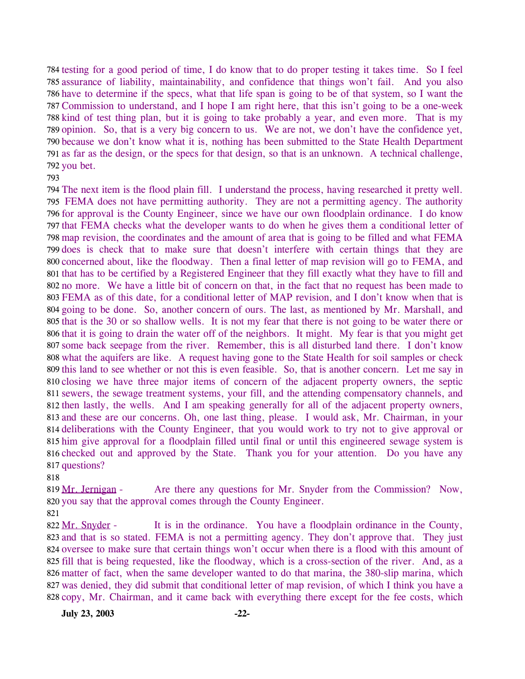784 testing for a good period of time, I do know that to do proper testing it takes time. So I feel 785 assurance of liability, maintainability, and confidence that things won't fail. And you also 786 have to determine if the specs, what that life span is going to be of that system, so I want the 787 Commission to understand, and I hope I am right here, that this isn't going to be a one-week 788 kind of test thing plan, but it is going to take probably a year, and even more. That is my 789 opinion. So, that is a very big concern to us. We are not, we don't have the confidence yet, 790 because we don't know what it is, nothing has been submitted to the State Health Department 791 as far as the design, or the specs for that design, so that is an unknown. A technical challenge, 792 you bet.

## 793

 The next item is the flood plain fill. I understand the process, having researched it pretty well. FEMA does not have permitting authority. They are not a permitting agency. The authority for approval is the County Engineer, since we have our own floodplain ordinance. I do know that FEMA checks what the developer wants to do when he gives them a conditional letter of map revision, the coordinates and the amount of area that is going to be filled and what FEMA does is check that to make sure that doesn't interfere with certain things that they are concerned about, like the floodway. Then a final letter of map revision will go to FEMA, and that has to be certified by a Registered Engineer that they fill exactly what they have to fill and no more. We have a little bit of concern on that, in the fact that no request has been made to FEMA as of this date, for a conditional letter of MAP revision, and I don't know when that is going to be done. So, another concern of ours. The last, as mentioned by Mr. Marshall, and that is the 30 or so shallow wells. It is not my fear that there is not going to be water there or that it is going to drain the water off of the neighbors. It might. My fear is that you might get some back seepage from the river. Remember, this is all disturbed land there. I don't know what the aquifers are like. A request having gone to the State Health for soil samples or check this land to see whether or not this is even feasible. So, that is another concern. Let me say in closing we have three major items of concern of the adjacent property owners, the septic sewers, the sewage treatment systems, your fill, and the attending compensatory channels, and then lastly, the wells. And I am speaking generally for all of the adjacent property owners, and these are our concerns. Oh, one last thing, please. I would ask, Mr. Chairman, in your deliberations with the County Engineer, that you would work to try not to give approval or him give approval for a floodplain filled until final or until this engineered sewage system is checked out and approved by the State. Thank you for your attention. Do you have any questions?

818

Are there any questions for Mr. Snyder from the Commission? Now, 820 you say that the approval comes through the County Engineer. 819 Mr. Jernigan -

821

It is in the ordinance. You have a floodplain ordinance in the County, 823 and that is so stated. FEMA is not a permitting agency. They don't approve that. They just 824 oversee to make sure that certain things won't occur when there is a flood with this amount of 825 fill that is being requested, like the floodway, which is a cross-section of the river. And, as a 826 matter of fact, when the same developer wanted to do that marina, the 380-slip marina, which 827 was denied, they did submit that conditional letter of map revision, of which I think you have a 828 copy, Mr. Chairman, and it came back with everything there except for the fee costs, which 822 Mr. Snyder -

**July 23, 2003 -22-**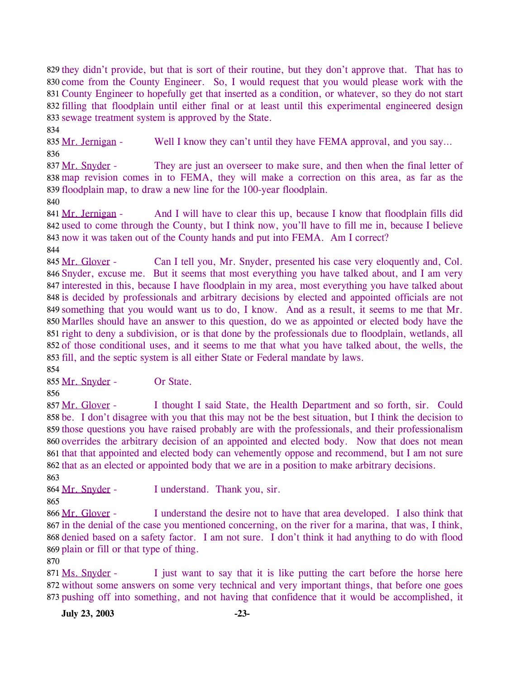829 they didn't provide, but that is sort of their routine, but they don't approve that. That has to 830 come from the County Engineer. So, I would request that you would please work with the 831 County Engineer to hopefully get that inserted as a condition, or whatever, so they do not start 832 filling that floodplain until either final or at least until this experimental engineered design 833 sewage treatment system is approved by the State.

834

835 Mr. Jernigan - Well I know they can't until they have FEMA approval, and you say...

836 They are just an overseer to make sure, and then when the final letter of 838 map revision comes in to FEMA, they will make a correction on this area, as far as the 839 floodplain map, to draw a new line for the 100-year floodplain. 837 Mr. Snyder -

840

And I will have to clear this up, because I know that floodplain fills did 842 used to come through the County, but I think now, you'll have to fill me in, because I believe 843 now it was taken out of the County hands and put into FEMA. Am I correct? 841 Mr. Jernigan -

844

Can I tell you, Mr. Snyder, presented his case very eloquently and, Col. 846 Snyder, excuse me. But it seems that most everything you have talked about, and I am very 847 interested in this, because I have floodplain in my area, most everything you have talked about 848 is decided by professionals and arbitrary decisions by elected and appointed officials are not 849 something that you would want us to do, I know. And as a result, it seems to me that Mr. 850 Marlles should have an answer to this question, do we as appointed or elected body have the 851 right to deny a subdivision, or is that done by the professionals due to floodplain, wetlands, all 852 of those conditional uses, and it seems to me that what you have talked about, the wells, the 853 fill, and the septic system is all either State or Federal mandate by laws.  $845$  Mr. Glover -

854

855 Mr. Snyder - Or State.

856

I thought I said State, the Health Department and so forth, sir. Could 858 be. I don't disagree with you that this may not be the best situation, but I think the decision to 859 those questions you have raised probably are with the professionals, and their professionalism 860 overrides the arbitrary decision of an appointed and elected body. Now that does not mean 861 that that appointed and elected body can vehemently oppose and recommend, but I am not sure 862 that as an elected or appointed body that we are in a position to make arbitrary decisions. 857 Mr. Glover -

863

864 Mr. Snyder - I understand. Thank you, sir.

865

I understand the desire not to have that area developed. I also think that 867 in the denial of the case you mentioned concerning, on the river for a marina, that was, I think, 868 denied based on a safety factor. I am not sure. I don't think it had anything to do with flood 869 plain or fill or that type of thing. 866 Mr. Glover -

870

I just want to say that it is like putting the cart before the horse here 872 without some answers on some very technical and very important things, that before one goes 873 pushing off into something, and not having that confidence that it would be accomplished, it 871 Ms. Snyder -

**July 23, 2003 -23-**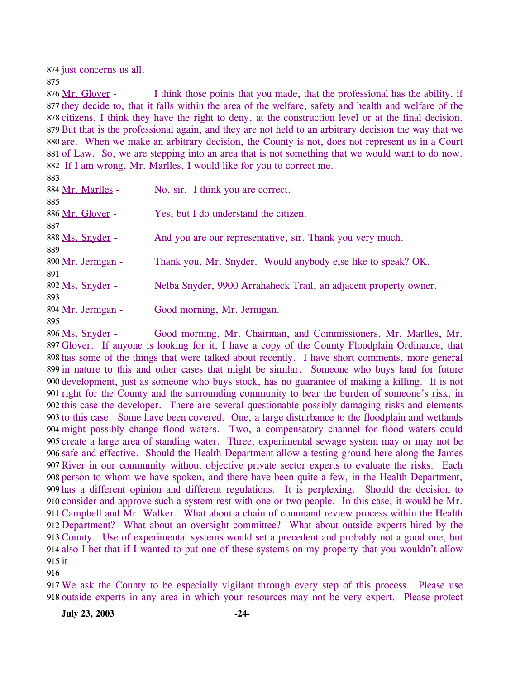874 just concerns us all.

875

I think those points that you made, that the professional has the ability, if 877 they decide to, that it falls within the area of the welfare, safety and health and welfare of the 878 citizens, I think they have the right to deny, at the construction level or at the final decision. 879 But that is the professional again, and they are not held to an arbitrary decision the way that we 880 are. When we make an arbitrary decision, the County is not, does not represent us in a Court 881 of Law. So, we are stepping into an area that is not something that we would want to do now. 882 If I am wrong, Mr. Marlles, I would like for you to correct me. 876 Mr. Glover -

| 884 Mr. Marlles -  | No, sir. I think you are correct.                                |
|--------------------|------------------------------------------------------------------|
| 885                |                                                                  |
| 886 Mr. Glover -   | Yes, but I do understand the citizen.                            |
| 887                |                                                                  |
| 888 Ms. Snyder -   | And you are our representative, sir. Thank you very much.        |
| 889                |                                                                  |
| 890 Mr. Jernigan - | Thank you, Mr. Snyder. Would anybody else like to speak? OK.     |
| 891                |                                                                  |
| 892 Ms. Snyder -   | Nelba Snyder, 9900 Arrahaheck Trail, an adjacent property owner. |
| 893                |                                                                  |
| 894 Mr. Jernigan - | Good morning, Mr. Jernigan.                                      |
| 895                |                                                                  |

Good morning, Mr. Chairman, and Commissioners, Mr. Marlles, Mr. 897 Glover. If anyone is looking for it, I have a copy of the County Floodplain Ordinance, that 898 has some of the things that were talked about recently. I have short comments, more general 899 in nature to this and other cases that might be similar. Someone who buys land for future 900 development, just as someone who buys stock, has no guarantee of making a killing. It is not 901 right for the County and the surrounding community to bear the burden of someone's risk, in 902 this case the developer. There are several questionable possibly damaging risks and elements 903 to this case. Some have been covered. One, a large disturbance to the floodplain and wetlands 904 might possibly change flood waters. Two, a compensatory channel for flood waters could 905 create a large area of standing water. Three, experimental sewage system may or may not be 906 safe and effective. Should the Health Department allow a testing ground here along the James 907 River in our community without objective private sector experts to evaluate the risks. Each 908 person to whom we have spoken, and there have been quite a few, in the Health Department, 909 has a different opinion and different regulations. It is perplexing. Should the decision to 910 consider and approve such a system rest with one or two people. In this case, it would be Mr. 911 Campbell and Mr. Walker. What about a chain of command review process within the Health 912 Department? What about an oversight committee? What about outside experts hired by the 913 County. Use of experimental systems would set a precedent and probably not a good one, but 914 also I bet that if I wanted to put one of these systems on my property that you wouldn't allow 915 it. 896 Ms. Snyder -

916

917 We ask the County to be especially vigilant through every step of this process. Please use 918 outside experts in any area in which your resources may not be very expert. Please protect

**July 23, 2003 -24-**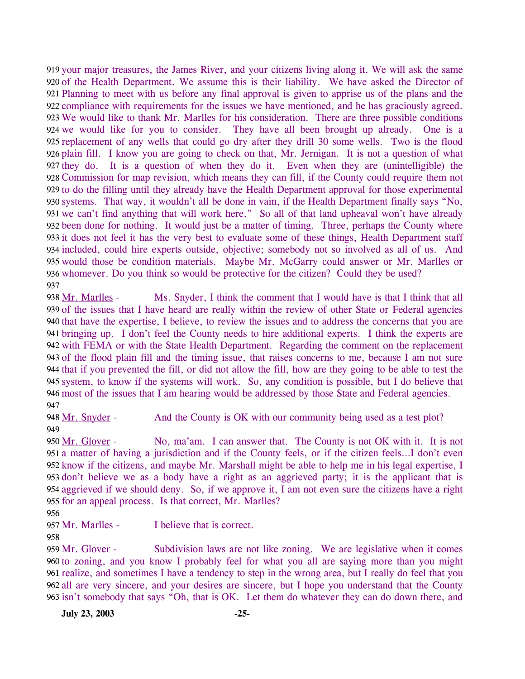919 your major treasures, the James River, and your citizens living along it. We will ask the same 920 of the Health Department. We assume this is their liability. We have asked the Director of Planning to meet with us before any final approval is given to apprise us of the plans and the 921 922 compliance with requirements for the issues we have mentioned, and he has graciously agreed. 923 We would like to thank Mr. Marlles for his consideration. There are three possible conditions 924 we would like for you to consider. They have all been brought up already. One is a 925 replacement of any wells that could go dry after they drill 30 some wells. Two is the flood 926 plain fill. I know you are going to check on that, Mr. Jernigan. It is not a question of what 927 they do. It is a question of when they do it. Even when they are (unintelligible) the 928 Commission for map revision, which means they can fill, if the County could require them not 929 to do the filling until they already have the Health Department approval for those experimental 930 systems. That way, it wouldn't all be done in vain, if the Health Department finally says "No, 931 we can't find anything that will work here." So all of that land upheaval won't have already 932 been done for nothing. It would just be a matter of timing. Three, perhaps the County where 933 it does not feel it has the very best to evaluate some of these things, Health Department staff 934 included, could hire experts outside, objective; somebody not so involved as all of us. And 935 would those be condition materials. Maybe Mr. McGarry could answer or Mr. Marlles or 936 whomever. Do you think so would be protective for the citizen? Could they be used? 937

Ms. Snyder, I think the comment that I would have is that I think that all 939 of the issues that I have heard are really within the review of other State or Federal agencies 940 that have the expertise, I believe, to review the issues and to address the concerns that you are 941 bringing up. I don't feel the County needs to hire additional experts. I think the experts are 942 with FEMA or with the State Health Department. Regarding the comment on the replacement 943 of the flood plain fill and the timing issue, that raises concerns to me, because I am not sure 944 that if you prevented the fill, or did not allow the fill, how are they going to be able to test the 945 system, to know if the systems will work. So, any condition is possible, but I do believe that 946 most of the issues that I am hearing would be addressed by those State and Federal agencies. 938 Mr. Marlles -947

948 Mr. Snyder - And the County is OK with our community being used as a test plot? 949

No, ma'am. I can answer that. The County is not OK with it. It is not 951 a matter of having a jurisdiction and if the County feels, or if the citizen feels...I don't even 952 know if the citizens, and maybe Mr. Marshall might be able to help me in his legal expertise, I 953 don't believe we as a body have a right as an aggrieved party; it is the applicant that is 954 aggrieved if we should deny. So, if we approve it, I am not even sure the citizens have a right 955 for an appeal process. Is that correct, Mr. Marlles? 950 Mr. Glover -

956

957 Mr. Marlles - I believe that is correct.

958

Subdivision laws are not like zoning. We are legislative when it comes 960 to zoning, and you know I probably feel for what you all are saying more than you might 961 realize, and sometimes I have a tendency to step in the wrong area, but I really do feel that you 962 all are very sincere, and your desires are sincere, but I hope you understand that the County 963 isn't somebody that says "Oh, that is OK. Let them do whatever they can do down there, and 959 Mr. Glover -

**July 23, 2003 -25-**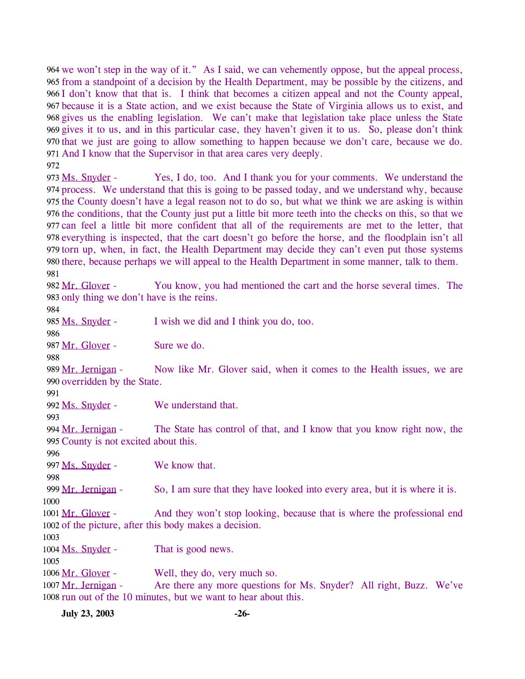964 we won't step in the way of it." As I said, we can vehemently oppose, but the appeal process, 965 from a standpoint of a decision by the Health Department, may be possible by the citizens, and 966 I don't know that that is. I think that becomes a citizen appeal and not the County appeal, because it is a State action, and we exist because the State of Virginia allows us to exist, and 967 968 gives us the enabling legislation. We can't make that legislation take place unless the State 969 gives it to us, and in this particular case, they haven't given it to us. So, please don't think 970 that we just are going to allow something to happen because we don't care, because we do. 971 And I know that the Supervisor in that area cares very deeply. 972

Yes, I do, too. And I thank you for your comments. We understand the process. We understand that this is going to be passed today, and we understand why, because 974 975 the County doesn't have a legal reason not to do so, but what we think we are asking is within 976 the conditions, that the County just put a little bit more teeth into the checks on this, so that we 977 can feel a little bit more confident that all of the requirements are met to the letter, that 978 everything is inspected, that the cart doesn't go before the horse, and the floodplain isn't all 979 torn up, when, in fact, the Health Department may decide they can't even put those systems 980 there, because perhaps we will appeal to the Health Department in some manner, talk to them. 973 Ms. Snyder -981

You know, you had mentioned the cart and the horse several times. The 983 only thing we don't have is the reins. 982 Mr. Glover -984

985 Ms. Snyder - I wish we did and I think you do, too.

987 Mr. Glover - Sure we do.

988

Now like Mr. Glover said, when it comes to the Health issues, we are 990 overridden by the State. 989 Mr. Jernigan -

991

993

996

998

1000

986

992 Ms. Snyder - We understand that.

The State has control of that, and I know that you know right now, the 995 County is not excited about this. 994 Mr. Jernigan -

997 Ms. Snyder - We know that.

999 Mr. Jernigan - So, I am sure that they have looked into every area, but it is where it is.

And they won't stop looking, because that is where the professional end 1002 of the picture, after this body makes a decision. 1001 Mr. Glover -

1003

1004 Ms. Snyder - That is good news.

1005 1006 Mr. Glover - Well, they do, very much so.

Are there any more questions for Ms. Snyder? All right, Buzz. We've 1008 run out of the 10 minutes, but we want to hear about this. 1007 Mr. Jernigan -

**July 23, 2003 -26-**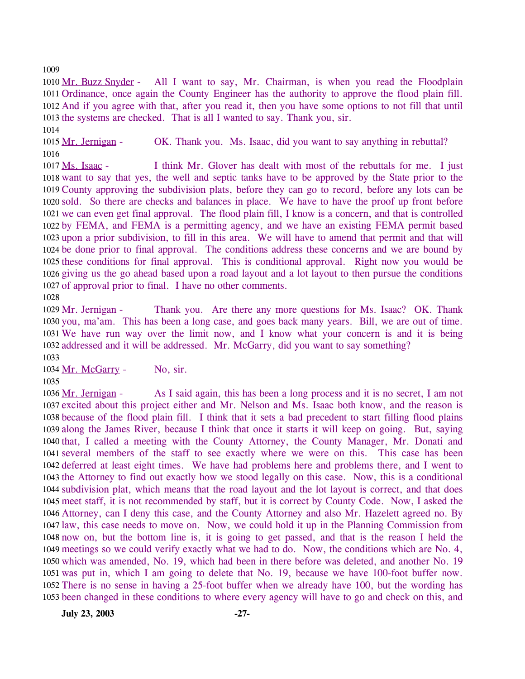1009

1010 Mr. Buzz Snyder - All I want to say, Mr. Chairman, is when you read the Floodplain 1011 Ordinance, once again the County Engineer has the authority to approve the flood plain fill. 1012 And if you agree with that, after you read it, then you have some options to not fill that until 1013 the systems are checked. That is all I wanted to say. Thank you, sir. 1014

1015 Mr. Jernigan - OK. Thank you. Ms. Isaac, did you want to say anything in rebuttal? 1016

I think Mr. Glover has dealt with most of the rebuttals for me. I just 1018 want to say that yes, the well and septic tanks have to be approved by the State prior to the 1019 County approving the subdivision plats, before they can go to record, before any lots can be 1020 sold. So there are checks and balances in place. We have to have the proof up front before 1021 we can even get final approval. The flood plain fill, I know is a concern, and that is controlled 1022 by FEMA, and FEMA is a permitting agency, and we have an existing FEMA permit based 1023 upon a prior subdivision, to fill in this area. We will have to amend that permit and that will 1024 be done prior to final approval. The conditions address these concerns and we are bound by 1025 these conditions for final approval. This is conditional approval. Right now you would be 1026 giving us the go ahead based upon a road layout and a lot layout to then pursue the conditions 1027 of approval prior to final. I have no other comments. 1017 Ms. Isaac -1028

Thank you. Are there any more questions for Ms. Isaac? OK. Thank 1030 you, ma'am. This has been a long case, and goes back many years. Bill, we are out of time. We have run way over the limit now, and I know what your concern is and it is being 1031 1032 addressed and it will be addressed. Mr. McGarry, did you want to say something? 1029 Mr. Jernigan -1033

1034 Mr. McGarry - No, sir.

1035

As I said again, this has been a long process and it is no secret, I am not 1037 excited about this project either and Mr. Nelson and Ms. Isaac both know, and the reason is 1038 because of the flood plain fill. I think that it sets a bad precedent to start filling flood plains 1039 along the James River, because I think that once it starts it will keep on going. But, saying 1040 that, I called a meeting with the County Attorney, the County Manager, Mr. Donati and 1041 several members of the staff to see exactly where we were on this. This case has been 1042 deferred at least eight times. We have had problems here and problems there, and I went to 1043 the Attorney to find out exactly how we stood legally on this case. Now, this is a conditional 1044 subdivision plat, which means that the road layout and the lot layout is correct, and that does 1045 meet staff, it is not recommended by staff, but it is correct by County Code. Now, I asked the Attorney, can I deny this case, and the County Attorney and also Mr. Hazelett agreed no. By 1046 1047 law, this case needs to move on. Now, we could hold it up in the Planning Commission from now on, but the bottom line is, it is going to get passed, and that is the reason I held the 1048 meetings so we could verify exactly what we had to do. Now, the conditions which are No. 4, 1049 1050 which was amended, No. 19, which had been in there before was deleted, and another No. 19 1051 was put in, which I am going to delete that No. 19, because we have 100-foot buffer now. 1052 There is no sense in having a 25-foot buffer when we already have 100, but the wording has 1053 been changed in these conditions to where every agency will have to go and check on this, and 1036 Mr. Jernigan -

**July 23, 2003 -27-**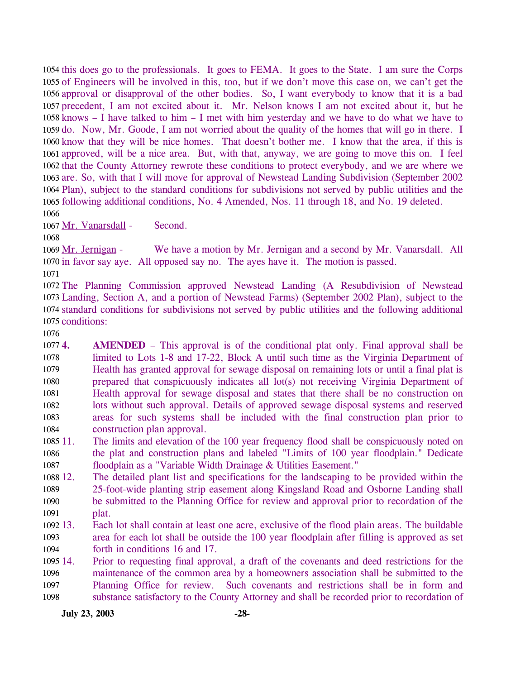1054 this does go to the professionals. It goes to FEMA. It goes to the State. I am sure the Corps 1055 of Engineers will be involved in this, too, but if we don't move this case on, we can't get the 1056 approval or disapproval of the other bodies. So, I want everybody to know that it is a bad 1057 precedent, I am not excited about it. Mr. Nelson knows I am not excited about it, but he 1058 knows  $-$  I have talked to him  $-$  I met with him yesterday and we have to do what we have to 1059 do. Now, Mr. Goode, I am not worried about the quality of the homes that will go in there. I 1060 know that they will be nice homes. That doesn't bother me. I know that the area, if this is 1061 approved, will be a nice area. But, with that, anyway, we are going to move this on. I feel 1062 that the County Attorney rewrote these conditions to protect everybody, and we are where we 1063 are. So, with that I will move for approval of Newstead Landing Subdivision (September 2002 1064 Plan), subject to the standard conditions for subdivisions not served by public utilities and the 1065 following additional conditions, No. 4 Amended, Nos. 11 through 18, and No. 19 deleted. 1066

1067 Mr. Vanarsdall - Second.

1068

We have a motion by Mr. Jernigan and a second by Mr. Vanarsdall. All 1070 in favor say aye. All opposed say no. The ayes have it. The motion is passed. 1069 Mr. Jernigan -

1071

 The Planning Commission approved Newstead Landing (A Resubdivision of Newstead Landing, Section A, and a portion of Newstead Farms) (September 2002 Plan), subject to the standard conditions for subdivisions not served by public utilities and the following additional conditions:

1076

10774. 1078 1079 1080 1081 1082 1083 1084 **AMENDED** – This approval is of the conditional plat only. Final approval shall be limited to Lots 1-8 and 17-22, Block A until such time as the Virginia Department of Health has granted approval for sewage disposal on remaining lots or until a final plat is prepared that conspicuously indicates all lot(s) not receiving Virginia Department of Health approval for sewage disposal and states that there shall be no construction on lots without such approval. Details of approved sewage disposal systems and reserved areas for such systems shall be included with the final construction plan prior to construction plan approval.

- 1085 11. 1086 1087 The limits and elevation of the 100 year frequency flood shall be conspicuously noted on the plat and construction plans and labeled "Limits of 100 year floodplain." Dedicate floodplain as a "Variable Width Drainage & Utilities Easement."
- 1088 12. 1089 1090 1091 12. The detailed plant list and specifications for the landscaping to be provided within the 25-foot-wide planting strip easement along Kingsland Road and Osborne Landing shall be submitted to the Planning Office for review and approval prior to recordation of the plat.
- $109213.$ 1093 1094 Each lot shall contain at least one acre, exclusive of the flood plain areas. The buildable area for each lot shall be outside the 100 year floodplain after filling is approved as set forth in conditions 16 and 17.
- 1095 14. 1096 1097 1098 14. Prior to requesting final approval, a draft of the covenants and deed restrictions for the maintenance of the common area by a homeowners association shall be submitted to the Planning Office for review. Such covenants and restrictions shall be in form and substance satisfactory to the County Attorney and shall be recorded prior to recordation of

**July 23, 2003 -28-**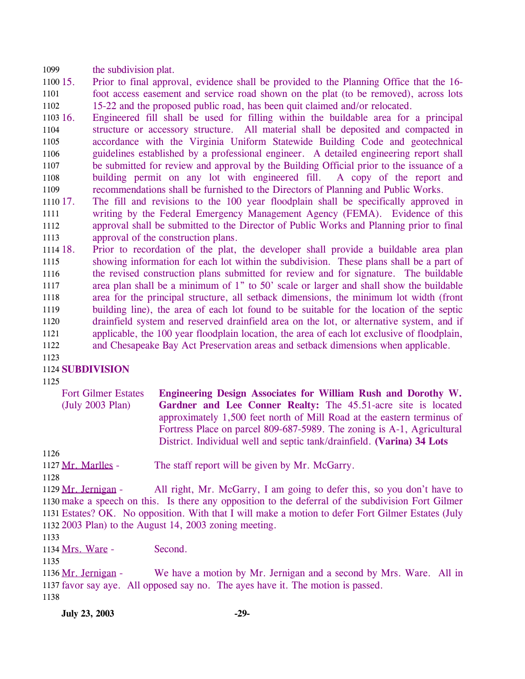1099 the subdivision plat.

1100 15. 1101 1102 15. Prior to final approval, evidence shall be provided to the Planning Office that the 16 foot access easement and service road shown on the plat (to be removed), across lots 15-22 and the proposed public road, has been quit claimed and/or relocated.

1103 16. 1104 1105 1106 1107 1108 1109 16. Engineered fill shall be used for filling within the buildable area for a principal structure or accessory structure. All material shall be deposited and compacted in accordance with the Virginia Uniform Statewide Building Code and geotechnical guidelines established by a professional engineer. A detailed engineering report shall be submitted for review and approval by the Building Official prior to the issuance of a building permit on any lot with engineered fill. A copy of the report and recommendations shall be furnished to the Directors of Planning and Public Works.

1110 17. 1111 1112 1113 17. The fill and revisions to the 100 year floodplain shall be specifically approved in writing by the Federal Emergency Management Agency (FEMA). Evidence of this approval shall be submitted to the Director of Public Works and Planning prior to final approval of the construction plans.

1114 18. 1115 1116 1117 1118 1119 1120 1121 1122 Prior to recordation of the plat, the developer shall provide a buildable area plan showing information for each lot within the subdivision. These plans shall be a part of the revised construction plans submitted for review and for signature. The buildable area plan shall be a minimum of 1" to 50' scale or larger and shall show the buildable area for the principal structure, all setback dimensions, the minimum lot width (front building line), the area of each lot found to be suitable for the location of the septic drainfield system and reserved drainfield area on the lot, or alternative system, and if applicable, the 100 year floodplain location, the area of each lot exclusive of floodplain, and Chesapeake Bay Act Preservation areas and setback dimensions when applicable.

1123

## 1124 **SUBDIVISION**

1125

Fort Gilmer Estates (July 2003 Plan)

**Engineering Design Associates for William Rush and Dorothy W. Gardner and Lee Conner Realty:** The 45.51-acre site is located approximately 1,500 feet north of Mill Road at the eastern terminus of Fortress Place on parcel 809-687-5989. The zoning is A-1, Agricultural District. Individual well and septic tank/drainfield. **(Varina) 34 Lots** 

1126

1127 Mr. Marlles - The staff report will be given by Mr. McGarry.

1128

All right, Mr. McGarry, I am going to defer this, so you don't have to 1130 make a speech on this. Is there any opposition to the deferral of the subdivision Fort Gilmer 1131 Estates? OK. No opposition. With that I will make a motion to defer Fort Gilmer Estates (July 2003 Plan) to the August 14, 2003 zoning meeting. 1132 1129 Mr. Jernigan -

1133

1134 Mrs. Ware - Second.

1135

We have a motion by Mr. Jernigan and a second by Mrs. Ware. All in 1137 favor say aye. All opposed say no. The ayes have it. The motion is passed. 1136 Mr. Jernigan -1138

**July 23, 2003 -29-**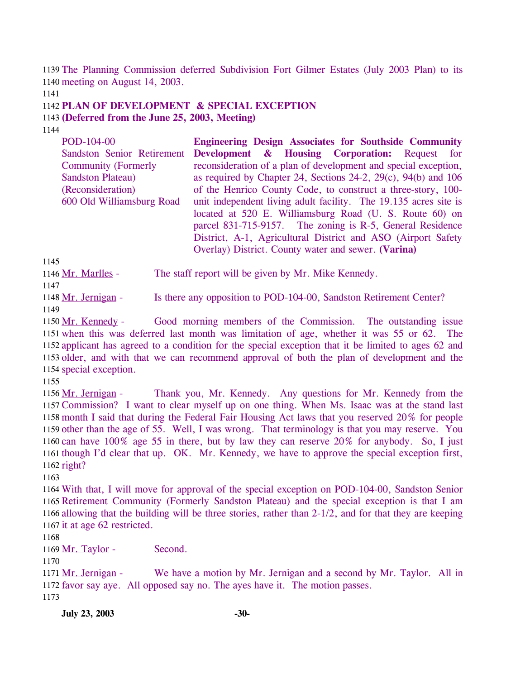1139 The Planning Commission deferred Subdivision Fort Gilmer Estates (July 2003 Plan) to its 1140 meeting on August 14, 2003.

1141

1142 **PLAN OF DEVELOPMENT & SPECIAL EXCEPTION** 

1143 **(Deferred from the June 25, 2003, Meeting)** 

1144

| POD-104-00                  | <b>Engineering Design Associates for Southside Community</b>          |
|-----------------------------|-----------------------------------------------------------------------|
| Sandston Senior Retirement  | <b>Development &amp; Housing Corporation:</b> Request for             |
| <b>Community (Formerly)</b> | reconsideration of a plan of development and special exception,       |
| <b>Sandston Plateau</b> )   | as required by Chapter 24, Sections 24-2, $29(c)$ , $94(b)$ and $106$ |
| (Reconsideration)           | of the Henrico County Code, to construct a three-story, 100-          |
| 600 Old Williamsburg Road   | unit independent living adult facility. The 19.135 acres site is      |
|                             | located at 520 E. Williamsburg Road (U. S. Route 60) on               |
|                             | parcel 831-715-9157. The zoning is R-5, General Residence             |
|                             | District, A-1, Agricultural District and ASO (Airport Safety)         |
|                             | Overlay) District. County water and sewer. (Varina)                   |

1145

1146 Mr. Marlles - The staff report will be given by Mr. Mike Kennedy. 1147

1148 Mr. Jernigan - Is there any opposition to POD-104-00, Sandston Retirement Center? 1149

Good morning members of the Commission. The outstanding issue 1151 when this was deferred last month was limitation of age, whether it was 55 or 62. The 1152 applicant has agreed to a condition for the special exception that it be limited to ages 62 and 1153 older, and with that we can recommend approval of both the plan of development and the 1154 special exception. 1150 Mr. Kennedy -

1155

Thank you, Mr. Kennedy. Any questions for Mr. Kennedy from the 1157 Commission? I want to clear myself up on one thing. When Ms. Isaac was at the stand last 1158 month I said that during the Federal Fair Housing Act laws that you reserved 20% for people 1159 other than the age of 55. Well, I was wrong. That terminology is that you may reserve. You 1156 Mr. Jernigan -1160 can have  $100\%$  age 55 in there, but by law they can reserve  $20\%$  for anybody. So, I just 1161 though I'd clear that up. OK. Mr. Kennedy, we have to approve the special exception first, 1162 right?

1163

 With that, I will move for approval of the special exception on POD-104-00, Sandston Senior Retirement Community (Formerly Sandston Plateau) and the special exception is that I am allowing that the building will be three stories, rather than 2-1/2, and for that they are keeping it at age 62 restricted.

1168

1169 Mr. Taylor - Second.

1170

We have a motion by Mr. Jernigan and a second by Mr. Taylor. All in 1172 favor say aye. All opposed say no. The ayes have it. The motion passes. 1171 Mr. Jernigan -1173

**July 23, 2003 -30-**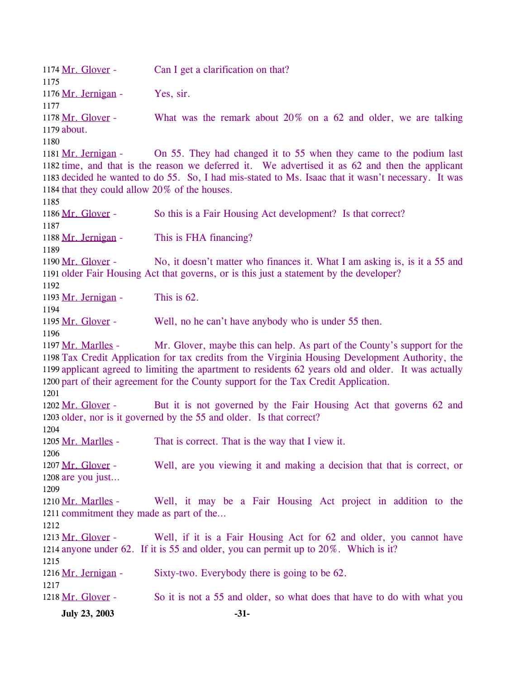1174 Mr. Glover - Can I get a clarification on that? 1175 1176 Mr. Jernigan - Yes, sir. 1177 What was the remark about  $20\%$  on a 62 and older, we are talking 1179 about. 1178 Mr. Glover -1180 On 55. They had changed it to 55 when they came to the podium last 1182 time, and that is the reason we deferred it. We advertised it as 62 and then the applicant 1183 decided he wanted to do 55. So, I had mis-stated to Ms. Isaac that it wasn't necessary. It was 1184 that they could allow 20% of the houses. 1181 Mr. Jernigan -1185 1186 Mr. Glover - So this is a Fair Housing Act development? Is that correct? 1187 1188 Mr. Jernigan - This is FHA financing? 1189 No, it doesn't matter who finances it. What I am asking is, is it a 55 and 1191 older Fair Housing Act that governs, or is this just a statement by the developer? 1190 Mr. Glover -1192 1193 Mr. Jernigan - This is 62. 1194 1195 Mr. Glover - Well, no he can't have anybody who is under 55 then. 1196 Mr. Glover, maybe this can help. As part of the County's support for the 1198 Tax Credit Application for tax credits from the Virginia Housing Development Authority, the 1199 applicant agreed to limiting the apartment to residents 62 years old and older. It was actually 1200 part of their agreement for the County support for the Tax Credit Application. 1197 Mr. Marlles -1201 But it is not governed by the Fair Housing Act that governs 62 and 1203 older, nor is it governed by the 55 and older. Is that correct? 1202 Mr. Glover -1204 1205 Mr. Marlles - That is correct. That is the way that I view it. 1206 Well, are you viewing it and making a decision that that is correct, or 1208 are you just... 1207 Mr. Glover -1209 Well, it may be a Fair Housing Act project in addition to the 1211 commitment they made as part of the... 1210 Mr. Marlles -1212 Well, if it is a Fair Housing Act for 62 and older, you cannot have 1214 anyone under 62. If it is 55 and older, you can permit up to 20%. Which is it? 1213 Mr. Glover -1215 1216 Mr. Jernigan - Sixty-two. Everybody there is going to be 62. 1217 1218 Mr. Glover - So it is not a 55 and older, so what does that have to do with what you **July 23, 2003 -31-**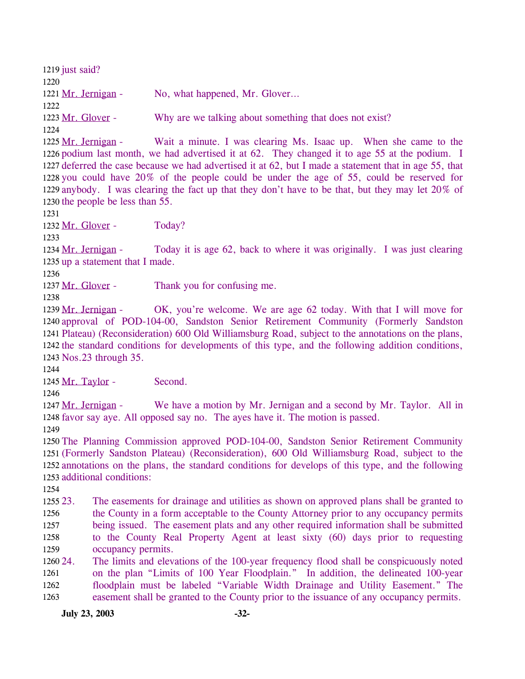1219 just said? 1220 1221 Mr. Jernigan - No, what happened, Mr. Glover... 1222 1223 Mr. Glover - Why are we talking about something that does not exist? 1224 Wait a minute. I was clearing Ms. Isaac up. When she came to the 1226 podium last month, we had advertised it at 62. They changed it to age 55 at the podium. I 1227 deferred the case because we had advertised it at 62, but I made a statement that in age 55, that 1228 you could have 20% of the people could be under the age of 55, could be reserved for 1229 anybody. I was clearing the fact up that they don't have to be that, but they may let 20% of 1230 the people be less than  $55$ . 1225 Mr. Jernigan -1231 1232 Mr. Glover - Today? 1233 Today it is age 62, back to where it was originally. I was just clearing 1235 up a statement that I made. 1234 Mr. Jernigan -1236 1237 Mr. Glover - Thank you for confusing me. 1238 OK, you're welcome. We are age 62 today. With that I will move for 1240 approval of POD-104-00, Sandston Senior Retirement Community (Formerly Sandston Plateau) (Reconsideration) 600 Old Williamsburg Road, subject to the annotations on the plans, 1241 1242 the standard conditions for developments of this type, and the following addition conditions, 1243 Nos.23 through 35. 1239 Mr. Jernigan -1244 1245 Mr. Taylor - Second. 1246 We have a motion by Mr. Jernigan and a second by Mr. Taylor. All in 1248 favor say aye. All opposed say no. The ayes have it. The motion is passed. 1247 Mr. Jernigan -1249 1250 The Planning Commission approved POD-104-00, Sandston Senior Retirement Community 1251 (Formerly Sandston Plateau) (Reconsideration), 600 Old Williamsburg Road, subject to the 1252 annotations on the plans, the standard conditions for develops of this type, and the following 1253 additional conditions: 1254 1255 23. 1256 1257 1258 1259 1260 24. 1261 1262 1263 23. The easements for drainage and utilities as shown on approved plans shall be granted to the County in a form acceptable to the County Attorney prior to any occupancy permits being issued. The easement plats and any other required information shall be submitted to the County Real Property Agent at least sixty (60) days prior to requesting occupancy permits. The limits and elevations of the 100-year frequency flood shall be conspicuously noted on the plan "Limits of 100 Year Floodplain." In addition, the delineated 100-year floodplain must be labeled "Variable Width Drainage and Utility Easement." The easement shall be granted to the County prior to the issuance of any occupancy permits. **July 23, 2003 -32-**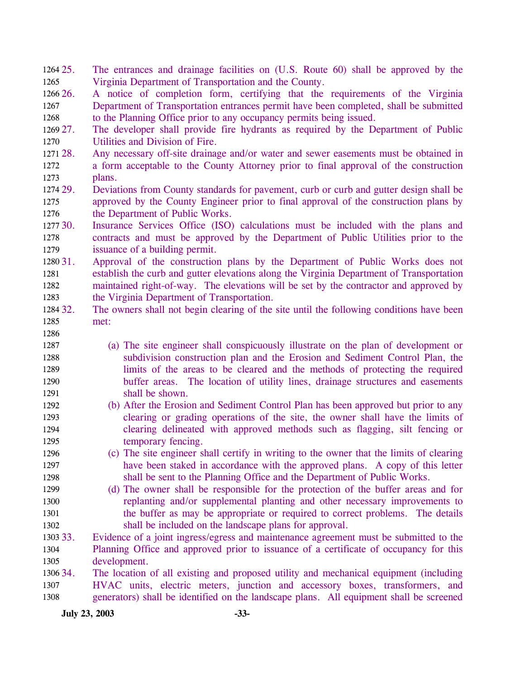- 25. The entrances and drainage facilities on (U.S. Route 60) shall be approved by the Virginia Department of Transportation and the County. 1264 25. 1265
- 1266 26. 1267 1268 26. A notice of completion form, certifying that the requirements of the Virginia Department of Transportation entrances permit have been completed, shall be submitted to the Planning Office prior to any occupancy permits being issued.
- 1269 27. 1270 27. The developer shall provide fire hydrants as required by the Department of Public Utilities and Division of Fire.
- 1271 28. 1272 1273 Any necessary off-site drainage and/or water and sewer easements must be obtained in a form acceptable to the County Attorney prior to final approval of the construction plans.
- 1274 29. 1275 1276 29. Deviations from County standards for pavement, curb or curb and gutter design shall be approved by the County Engineer prior to final approval of the construction plans by the Department of Public Works.
- 1277 30. 1278 1279 Insurance Services Office (ISO) calculations must be included with the plans and contracts and must be approved by the Department of Public Utilities prior to the issuance of a building permit.
- 1280 31. 1281 1282 1283 31. Approval of the construction plans by the Department of Public Works does not establish the curb and gutter elevations along the Virginia Department of Transportation maintained right-of-way. The elevations will be set by the contractor and approved by the Virginia Department of Transportation.
- 1284 32. 1285 The owners shall not begin clearing of the site until the following conditions have been met:
- 1287 1288 1289 1290 1291 (a) The site engineer shall conspicuously illustrate on the plan of development or subdivision construction plan and the Erosion and Sediment Control Plan, the limits of the areas to be cleared and the methods of protecting the required buffer areas. The location of utility lines, drainage structures and easements shall be shown.
- 1292 1293 1294 1295 (b) After the Erosion and Sediment Control Plan has been approved but prior to any clearing or grading operations of the site, the owner shall have the limits of clearing delineated with approved methods such as flagging, silt fencing or temporary fencing.
- 1296 1297 1298 (c) The site engineer shall certify in writing to the owner that the limits of clearing have been staked in accordance with the approved plans. A copy of this letter shall be sent to the Planning Office and the Department of Public Works.
- 1299 1300 1301 1302 (d) The owner shall be responsible for the protection of the buffer areas and for replanting and/or supplemental planting and other necessary improvements to the buffer as may be appropriate or required to correct problems. The details shall be included on the landscape plans for approval.
- 1303 33. 1304 1305 Evidence of a joint ingress/egress and maintenance agreement must be submitted to the Planning Office and approved prior to issuance of a certificate of occupancy for this development.
- 1306 34. 1307 1308 34. The location of all existing and proposed utility and mechanical equipment (including HVAC units, electric meters, junction and accessory boxes, transformers, and generators) shall be identified on the landscape plans. All equipment shall be screened

**July 23, 2003 -33-**

1286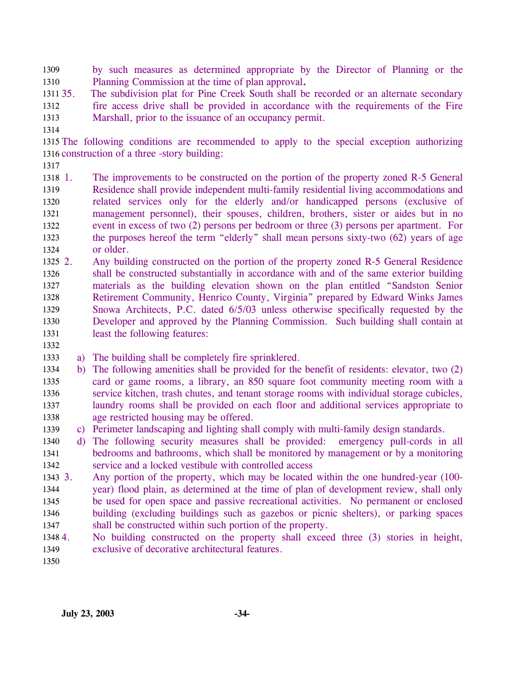by such measures as determined appropriate by the Director of Planning or the Planning Commission at the time of plan approval**.**  1309 1310

1311 35. 1312 1313 The subdivision plat for Pine Creek South shall be recorded or an alternate secondary fire access drive shall be provided in accordance with the requirements of the Fire Marshall, prior to the issuance of an occupancy permit.

1314

1315 The following conditions are recommended to apply to the special exception authorizing 1316 construction of a three -story building:

1317

1318 1. 1319 1320 1321 1322 1323 1324 The improvements to be constructed on the portion of the property zoned R-5 General Residence shall provide independent multi-family residential living accommodations and related services only for the elderly and/or handicapped persons (exclusive of management personnel), their spouses, children, brothers, sister or aides but in no event in excess of two (2) persons per bedroom or three (3) persons per apartment. For the purposes hereof the term "elderly" shall mean persons sixty-two (62) years of age or older.

 $1325 \t2.$ 1326 1327 1328 1329 1330 1331 Any building constructed on the portion of the property zoned R-5 General Residence shall be constructed substantially in accordance with and of the same exterior building materials as the building elevation shown on the plan entitled "Sandston Senior Retirement Community, Henrico County, Virginia" prepared by Edward Winks James Snowa Architects, P.C. dated 6/5/03 unless otherwise specifically requested by the Developer and approved by the Planning Commission. Such building shall contain at least the following features:

1332

1333 a) The building shall be completely fire sprinklered.

- 1334 1335 1336 1337 1338 b) The following amenities shall be provided for the benefit of residents: elevator, two (2) card or game rooms, a library, an 850 square foot community meeting room with a service kitchen, trash chutes, and tenant storage rooms with individual storage cubicles, laundry rooms shall be provided on each floor and additional services appropriate to age restricted housing may be offered.
- 1339 c) Perimeter landscaping and lighting shall comply with multi-family design standards.
- 1340 1341 1342 d) The following security measures shall be provided: emergency pull-cords in all bedrooms and bathrooms, which shall be monitored by management or by a monitoring service and a locked vestibule with controlled access
- 1343 3. 1344 1345 1346 1347 Any portion of the property, which may be located within the one hundred-year (100year) flood plain, as determined at the time of plan of development review, shall only be used for open space and passive recreational activities. No permanent or enclosed building (excluding buildings such as gazebos or picnic shelters), or parking spaces shall be constructed within such portion of the property.
- 1348 4. 1349 4. No building constructed on the property shall exceed three (3) stories in height, exclusive of decorative architectural features.
- 1350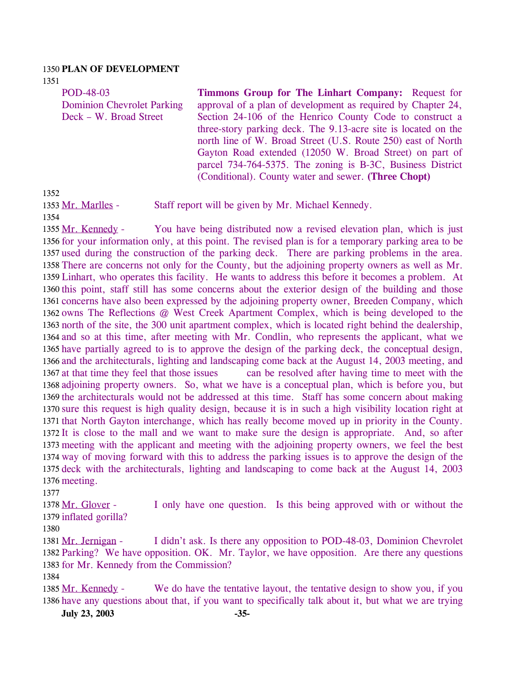#### 1350 **PLAN OF DEVELOPMENT**

1351

POD-48-03 Dominion Chevrolet Parking Deck – W. Broad Street **Timmons Group for The Linhart Company:** Request for approval of a plan of development as required by Chapter 24, Section 24-106 of the Henrico County Code to construct a three-story parking deck. The 9.13-acre site is located on the north line of W. Broad Street (U.S. Route 250) east of North Gayton Road extended (12050 W. Broad Street) on part of parcel 734-764-5375. The zoning is B-3C, Business District (Conditional). County water and sewer. **(Three Chopt)** 

1352

1353 Mr. Marlles - Staff report will be given by Mr. Michael Kennedy.

1354

You have being distributed now a revised elevation plan, which is just 1356 for your information only, at this point. The revised plan is for a temporary parking area to be 1357 used during the construction of the parking deck. There are parking problems in the area. 1358 There are concerns not only for the County, but the adjoining property owners as well as Mr. 1359 Linhart, who operates this facility. He wants to address this before it becomes a problem. At 1360 this point, staff still has some concerns about the exterior design of the building and those 1361 concerns have also been expressed by the adjoining property owner, Breeden Company, which 1362 owns The Reflections @ West Creek Apartment Complex, which is being developed to the 1363 north of the site, the 300 unit apartment complex, which is located right behind the dealership, 1364 and so at this time, after meeting with Mr. Condlin, who represents the applicant, what we 1365 have partially agreed to is to approve the design of the parking deck, the conceptual design, 1366 and the architecturals, lighting and landscaping come back at the August 14, 2003 meeting, and can be resolved after having time to meet with the 1368 adjoining property owners. So, what we have is a conceptual plan, which is before you, but 1369 the architecturals would not be addressed at this time. Staff has some concern about making 1370 sure this request is high quality design, because it is in such a high visibility location right at 1371 that North Gayton interchange, which has really become moved up in priority in the County. 1372 It is close to the mall and we want to make sure the design is appropriate. And, so after 1373 meeting with the applicant and meeting with the adjoining property owners, we feel the best 1374 way of moving forward with this to address the parking issues is to approve the design of the 1375 deck with the architecturals, lighting and landscaping to come back at the August 14, 2003 1376 meeting. 1355 Mr. Kennedy -1367 at that time they feel that those issues

1377

I only have one question. Is this being approved with or without the 1379 inflated gorilla? 1378 Mr. Glover -

1380

I didn't ask. Is there any opposition to POD-48-03, Dominion Chevrolet 1382 Parking? We have opposition. OK. Mr. Taylor, we have opposition. Are there any questions 1383 for Mr. Kennedy from the Commission? 1381 Mr. Jernigan -

1384

We do have the tentative layout, the tentative design to show you, if you 1386 have any questions about that, if you want to specifically talk about it, but what we are trying 1385 Mr. Kennedy -

**July 23, 2003 -35-**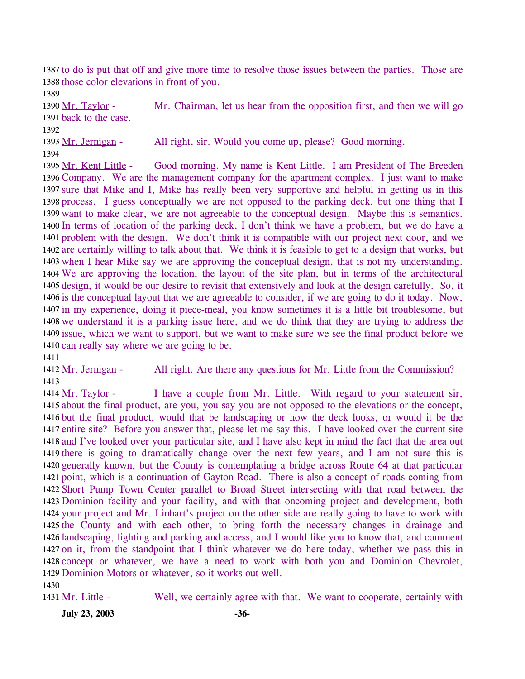1387 to do is put that off and give more time to resolve those issues between the parties. Those are 1388 those color elevations in front of you.

1389

Mr. Chairman, let us hear from the opposition first, and then we will go 1391 back to the case. 1390 Mr. Taylor -

1392

1393 Mr. Jernigan - All right, sir. Would you come up, please? Good morning.

1394

Good morning. My name is Kent Little. I am President of The Breeden 1396 Company. We are the management company for the apartment complex. I just want to make 1397 sure that Mike and I, Mike has really been very supportive and helpful in getting us in this 1398 process. I guess conceptually we are not opposed to the parking deck, but one thing that I 1399 want to make clear, we are not agreeable to the conceptual design. Maybe this is semantics. 1400 In terms of location of the parking deck, I don't think we have a problem, but we do have a 1401 problem with the design. We don't think it is compatible with our project next door, and we 1402 are certainly willing to talk about that. We think it is feasible to get to a design that works, but 1403 when I hear Mike say we are approving the conceptual design, that is not my understanding. We are approving the location, the layout of the site plan, but in terms of the architectural 1404 1405 design, it would be our desire to revisit that extensively and look at the design carefully. So, it 1406 is the conceptual layout that we are agreeable to consider, if we are going to do it today. Now, 1407 in my experience, doing it piece-meal, you know sometimes it is a little bit troublesome, but 1408 we understand it is a parking issue here, and we do think that they are trying to address the 1409 issue, which we want to support, but we want to make sure we see the final product before we 1410 can really say where we are going to be. 1395 Mr. Kent Little -

1411

1412 Mr. Jernigan - All right. Are there any questions for Mr. Little from the Commission? 1413

I have a couple from Mr. Little. With regard to your statement sir, 1415 about the final product, are you, you say you are not opposed to the elevations or the concept, 1416 but the final product, would that be landscaping or how the deck looks, or would it be the 1417 entire site? Before you answer that, please let me say this. I have looked over the current site 1418 and I've looked over your particular site, and I have also kept in mind the fact that the area out 1419 there is going to dramatically change over the next few years, and I am not sure this is 1420 generally known, but the County is contemplating a bridge across Route 64 at that particular 1421 point, which is a continuation of Gayton Road. There is also a concept of roads coming from 1422 Short Pump Town Center parallel to Broad Street intersecting with that road between the 1423 Dominion facility and your facility, and with that oncoming project and development, both 1424 your project and Mr. Linhart's project on the other side are really going to have to work with 1425 the County and with each other, to bring forth the necessary changes in drainage and 1426 landscaping, lighting and parking and access, and I would like you to know that, and comment 1427 on it, from the standpoint that I think whatever we do here today, whether we pass this in 1428 concept or whatever, we have a need to work with both you and Dominion Chevrolet, 1429 Dominion Motors or whatever, so it works out well. 1414 Mr. Taylor -

1430

1431 Mr. Little - Well, we certainly agree with that. We want to cooperate, certainly with

**July 23, 2003 -36-**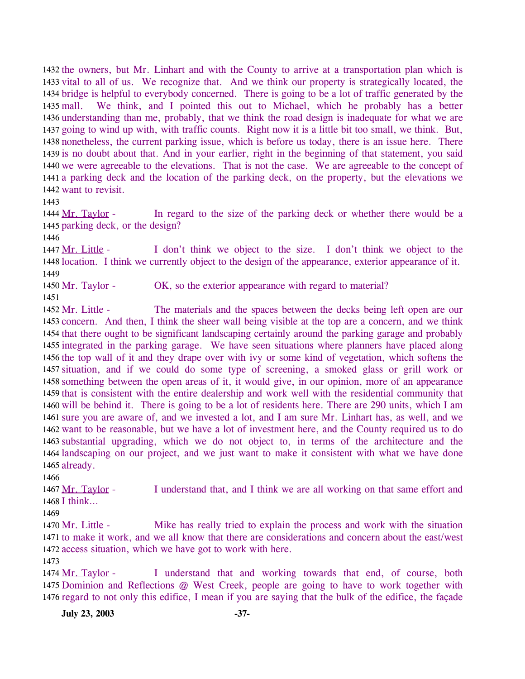1432 the owners, but Mr. Linhart and with the County to arrive at a transportation plan which is 1433 vital to all of us. We recognize that. And we think our property is strategically located, the 1434 bridge is helpful to everybody concerned. There is going to be a lot of traffic generated by the We think, and I pointed this out to Michael, which he probably has a better 1436 understanding than me, probably, that we think the road design is inadequate for what we are 1437 going to wind up with, with traffic counts. Right now it is a little bit too small, we think. But, 1438 nonetheless, the current parking issue, which is before us today, there is an issue here. There 1439 is no doubt about that. And in your earlier, right in the beginning of that statement, you said 1440 we were agreeable to the elevations. That is not the case. We are agreeable to the concept of 1441 a parking deck and the location of the parking deck, on the property, but the elevations we 1442 want to revisit. 1435 mall.

1443

In regard to the size of the parking deck or whether there would be a 1445 parking deck, or the design? 1444 Mr. Taylor -

1446

I don't think we object to the size. I don't think we object to the 1448 location. I think we currently object to the design of the appearance, exterior appearance of it. 1447 Mr. Little -1449

1450 Mr. Taylor - OK, so the exterior appearance with regard to material?

1451

The materials and the spaces between the decks being left open are our 1453 concern. And then, I think the sheer wall being visible at the top are a concern, and we think 1454 that there ought to be significant landscaping certainly around the parking garage and probably 1455 integrated in the parking garage. We have seen situations where planners have placed along 1456 the top wall of it and they drape over with ivy or some kind of vegetation, which softens the 1457 situation, and if we could do some type of screening, a smoked glass or grill work or 1458 something between the open areas of it, it would give, in our opinion, more of an appearance 1459 that is consistent with the entire dealership and work well with the residential community that 1460 will be behind it. There is going to be a lot of residents here. There are 290 units, which I am 1461 sure you are aware of, and we invested a lot, and I am sure Mr. Linhart has, as well, and we 1462 want to be reasonable, but we have a lot of investment here, and the County required us to do 1463 substantial upgrading, which we do not object to, in terms of the architecture and the 1464 landscaping on our project, and we just want to make it consistent with what we have done 1465 already. 1452 Mr. Little -1466

I understand that, and I think we are all working on that same effort and 1468 I think... 1467 Mr. Taylor -

1469

Mike has really tried to explain the process and work with the situation 1471 to make it work, and we all know that there are considerations and concern about the east/west 1472 access situation, which we have got to work with here. 1470 Mr. Little -

1473

I understand that and working towards that end, of course, both 1475 Dominion and Reflections @ West Creek, people are going to have to work together with 1476 regard to not only this edifice, I mean if you are saying that the bulk of the edifice, the façade 1474 Mr. Taylor -

**July 23, 2003 -37-**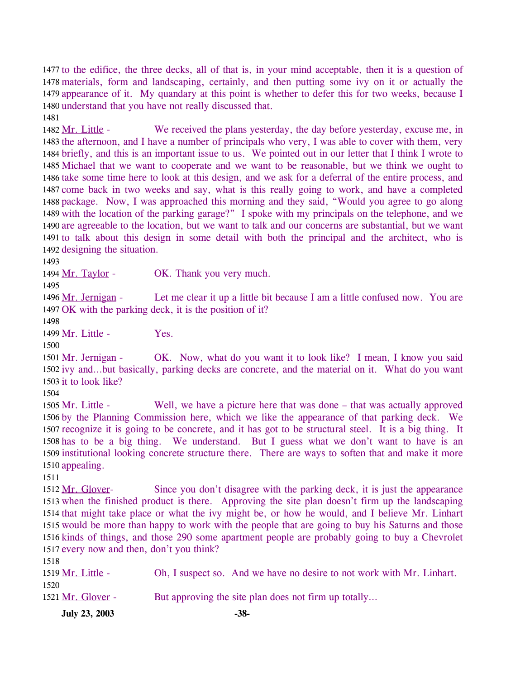1477 to the edifice, the three decks, all of that is, in your mind acceptable, then it is a question of 1478 materials, form and landscaping, certainly, and then putting some ivy on it or actually the 1479 appearance of it. My quandary at this point is whether to defer this for two weeks, because I 1480 understand that you have not really discussed that.

1481

We received the plans yesterday, the day before yesterday, excuse me, in 1483 the afternoon, and I have a number of principals who very, I was able to cover with them, very 1484 briefly, and this is an important issue to us. We pointed out in our letter that I think I wrote to 1485 Michael that we want to cooperate and we want to be reasonable, but we think we ought to 1486 take some time here to look at this design, and we ask for a deferral of the entire process, and 1487 come back in two weeks and say, what is this really going to work, and have a completed 1488 package. Now, I was approached this morning and they said, "Would you agree to go along 1489 with the location of the parking garage?" I spoke with my principals on the telephone, and we 1490 are agreeable to the location, but we want to talk and our concerns are substantial, but we want 1491 to talk about this design in some detail with both the principal and the architect, who is 1492 designing the situation. 1482 Mr. Little -

1493

1494 Mr. Taylor - OK. Thank you very much.

1495

Let me clear it up a little bit because I am a little confused now. You are 1497 OK with the parking deck, it is the position of it? 1496 Mr. Jernigan -

1498

1499 Mr. Little - Yes.

1500

OK. Now, what do you want it to look like? I mean, I know you said 1502 ivy and...but basically, parking decks are concrete, and the material on it. What do you want 1503 it to look like? 1501 Mr. Jernigan -

1504

Well, we have a picture here that was done – that was actually approved 1506 by the Planning Commission here, which we like the appearance of that parking deck. We 1507 recognize it is going to be concrete, and it has got to be structural steel. It is a big thing. It 1508 has to be a big thing. We understand. But I guess what we don't want to have is an 1509 institutional looking concrete structure there. There are ways to soften that and make it more 1510 appealing. 1505 Mr. Little -

1511

Since you don't disagree with the parking deck, it is just the appearance 1513 when the finished product is there. Approving the site plan doesn't firm up the landscaping 1514 that might take place or what the ivy might be, or how he would, and I believe Mr. Linhart 1515 would be more than happy to work with the people that are going to buy his Saturns and those 1516 kinds of things, and those 290 some apartment people are probably going to buy a Chevrolet 1517 every now and then, don't you think? 1512 Mr. Glover-

| <b>July 23, 2003</b> | $-38-$                                                                |
|----------------------|-----------------------------------------------------------------------|
| 1521 Mr. Glover -    | But approving the site plan does not firm up totally                  |
| 1520                 |                                                                       |
| 1519 Mr. Little -    | Oh, I suspect so. And we have no desire to not work with Mr. Linhart. |
| 1518                 |                                                                       |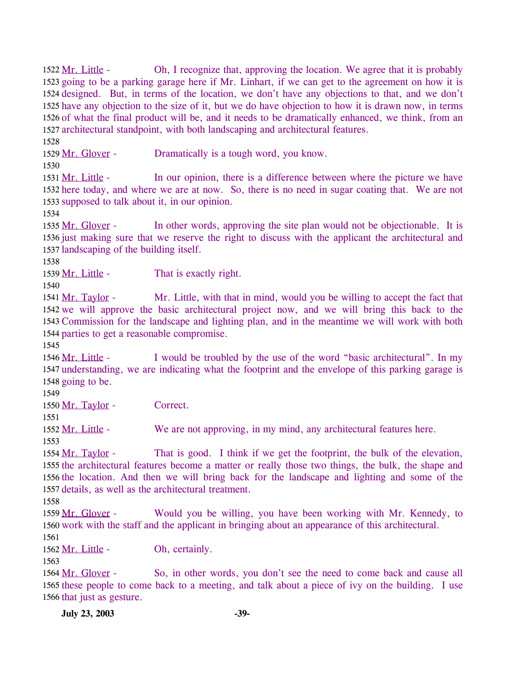Oh, I recognize that, approving the location. We agree that it is probably 1523 going to be a parking garage here if Mr. Linhart, if we can get to the agreement on how it is 1524 designed. But, in terms of the location, we don't have any objections to that, and we don't 1525 have any objection to the size of it, but we do have objection to how it is drawn now, in terms 1526 of what the final product will be, and it needs to be dramatically enhanced, we think, from an 1527 architectural standpoint, with both landscaping and architectural features. 1522 Mr. Little -1528 1529 Mr. Glover - Dramatically is a tough word, you know. 1530 In our opinion, there is a difference between where the picture we have 1532 here today, and where we are at now. So, there is no need in sugar coating that. We are not 1533 supposed to talk about it, in our opinion. 1531 Mr. Little -1534 In other words, approving the site plan would not be objectionable. It is 1536 just making sure that we reserve the right to discuss with the applicant the architectural and 1537 landscaping of the building itself. 1535 Mr. Glover -1538 1539 Mr. Little - That is exactly right. 1540 Mr. Little, with that in mind, would you be willing to accept the fact that 1542 we will approve the basic architectural project now, and we will bring this back to the 1543 Commission for the landscape and lighting plan, and in the meantime we will work with both 1544 parties to get a reasonable compromise. 1541 Mr. Taylor -1545 I would be troubled by the use of the word "basic architectural". In my 1547 understanding, we are indicating what the footprint and the envelope of this parking garage is 1548 going to be. 1546 Mr. Little -1549 1550 Mr. Taylor - Correct. 1551 1552 Mr. Little - We are not approving, in my mind, any architectural features here. 1553 That is good. I think if we get the footprint, the bulk of the elevation, 1555 the architectural features become a matter or really those two things, the bulk, the shape and 1556 the location. And then we will bring back for the landscape and lighting and some of the 1557 details, as well as the architectural treatment. 1554 Mr. Taylor -1558 Would you be willing, you have been working with Mr. Kennedy, to 1560 work with the staff and the applicant in bringing about an appearance of this architectural. 1559 Mr. Glover -1561 1562 Mr. Little - Oh, certainly. 1563 So, in other words, you don't see the need to come back and cause all 1565 these people to come back to a meeting, and talk about a piece of ivy on the building. I use 1566 that just as gesture. 1564 Mr. Glover -**July 23, 2003 -39-**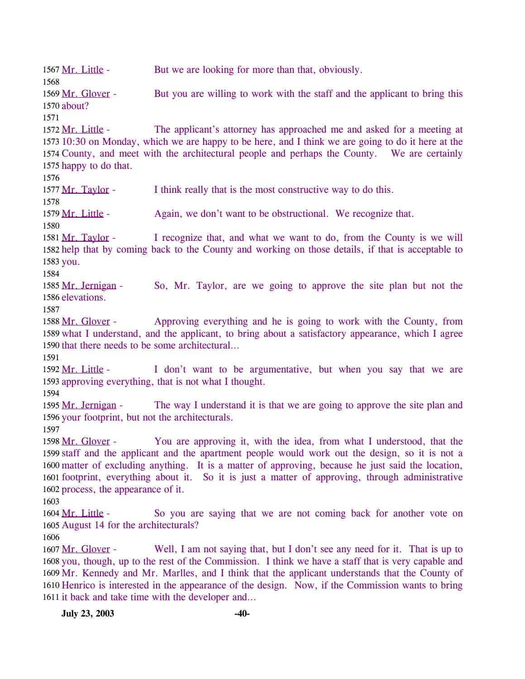1567 Mr. Little - But we are looking for more than that, obviously. 1568 But you are willing to work with the staff and the applicant to bring this 1570 about? 1569 Mr. Glover -1571 The applicant's attorney has approached me and asked for a meeting at 10:30 on Monday, which we are happy to be here, and I think we are going to do it here at the 1573 1574 County, and meet with the architectural people and perhaps the County. We are certainly 1575 happy to do that. 1572 Mr. Little -1576 1577 Mr. Taylor - I think really that is the most constructive way to do this. 1578 1579 Mr. Little - Again, we don't want to be obstructional. We recognize that. 1580 I recognize that, and what we want to do, from the County is we will 1582 help that by coming back to the County and working on those details, if that is acceptable to 1583 you. 1581 Mr. Taylor -1584 So, Mr. Taylor, are we going to approve the site plan but not the 1586 elevations. 1585 Mr. Jernigan -1587 Approving everything and he is going to work with the County, from 1589 what I understand, and the applicant, to bring about a satisfactory appearance, which I agree 1590 that there needs to be some architectural... 1588 Mr. Glover -1591 I don't want to be argumentative, but when you say that we are 1593 approving everything, that is not what I thought. 1592 Mr. Little -1594 The way I understand it is that we are going to approve the site plan and 1596 your footprint, but not the architecturals. 1595 Mr. Jernigan -1597 You are approving it, with the idea, from what I understood, that the 1599 staff and the applicant and the apartment people would work out the design, so it is not a 1600 matter of excluding anything. It is a matter of approving, because he just said the location, 1601 footprint, everything about it. So it is just a matter of approving, through administrative 1602 process, the appearance of it. 1598 Mr. Glover -1603 So you are saying that we are not coming back for another vote on 1605 August 14 for the architecturals? 1604 Mr. Little -1606 Well, I am not saying that, but I don't see any need for it. That is up to 1608 you, though, up to the rest of the Commission. I think we have a staff that is very capable and 1609 Mr. Kennedy and Mr. Marlles, and I think that the applicant understands that the County of 1610 Henrico is interested in the appearance of the design. Now, if the Commission wants to bring 1611 it back and take time with the developer and... 1607 Mr. Glover -**July 23, 2003 -40-**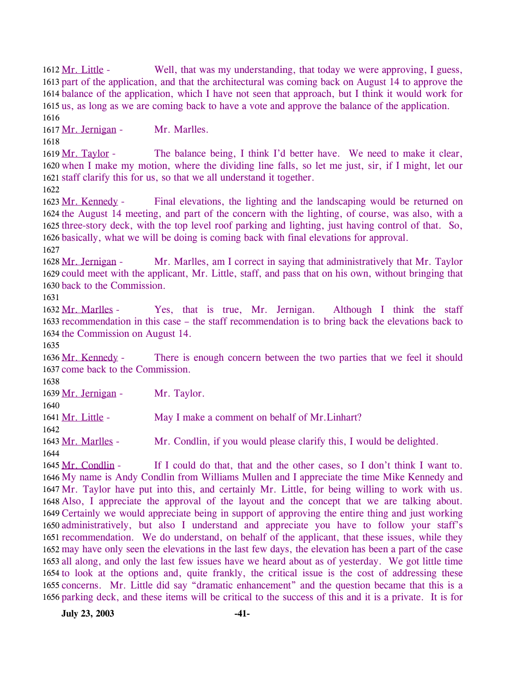Well, that was my understanding, that today we were approving, I guess, 1613 part of the application, and that the architectural was coming back on August 14 to approve the 1614 balance of the application, which I have not seen that approach, but I think it would work for 1615 us, as long as we are coming back to have a vote and approve the balance of the application. 1612 Mr. Little -1616 1617 Mr. Jernigan - Mr. Marlles. 1618 The balance being, I think I'd better have. We need to make it clear, 1620 when I make my motion, where the dividing line falls, so let me just, sir, if I might, let our 1621 staff clarify this for us, so that we all understand it together. 1619 Mr. Taylor -1622

Final elevations, the lighting and the landscaping would be returned on 1624 the August 14 meeting, and part of the concern with the lighting, of course, was also, with a 1625 three-story deck, with the top level roof parking and lighting, just having control of that. So, 1626 basically, what we will be doing is coming back with final elevations for approval. 1623 Mr. Kennedy -1627

Mr. Marlles, am I correct in saying that administratively that Mr. Taylor 1629 could meet with the applicant, Mr. Little, staff, and pass that on his own, without bringing that 1630 back to the Commission. 1628 Mr. Jernigan -

1631

Yes, that is true, Mr. Jernigan. Although I think the staff 1633 recommendation in this case – the staff recommendation is to bring back the elevations back to 1634 the Commission on August 14. 1632 Mr. Marlles -

1635

There is enough concern between the two parties that we feel it should 1637 come back to the Commission. 1636 Mr. Kennedy -

1638

1640

1639 Mr. Jernigan - Mr. Taylor.

1641 Mr. Little - May I make a comment on behalf of Mr. Linhart?

1642

1643 Mr. Marlles - Mr. Condlin, if you would please clarify this, I would be delighted.

1644

If I could do that, that and the other cases, so I don't think I want to. 1646 My name is Andy Condlin from Williams Mullen and I appreciate the time Mike Kennedy and 1647 Mr. Taylor have put into this, and certainly Mr. Little, for being willing to work with us. 1648 Also, I appreciate the approval of the layout and the concept that we are talking about. 1649 Certainly we would appreciate being in support of approving the entire thing and just working 1650 administratively, but also I understand and appreciate you have to follow your staff's 1651 recommendation. We do understand, on behalf of the applicant, that these issues, while they 1652 may have only seen the elevations in the last few days, the elevation has been a part of the case 1653 all along, and only the last few issues have we heard about as of yesterday. We got little time 1654 to look at the options and, quite frankly, the critical issue is the cost of addressing these 1655 concerns. Mr. Little did say "dramatic enhancement" and the question became that this is a 1656 parking deck, and these items will be critical to the success of this and it is a private. It is for 1645 Mr. Condlin -

**July 23, 2003 -41-**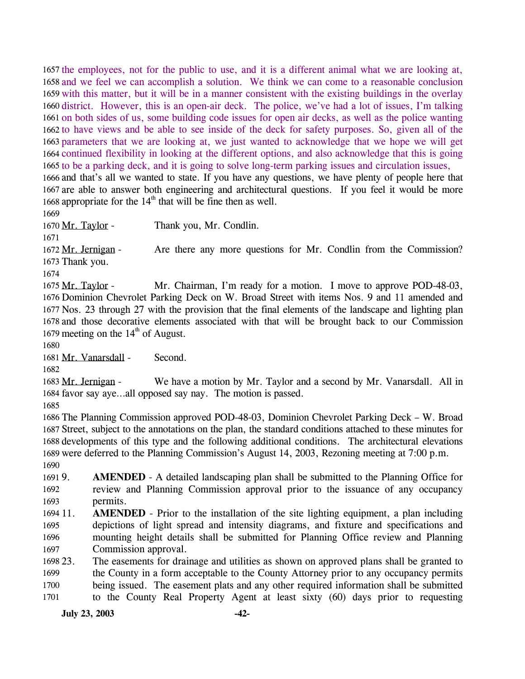1657 the employees, not for the public to use, and it is a different animal what we are looking at, 1658 and we feel we can accomplish a solution. We think we can come to a reasonable conclusion 1659 with this matter, but it will be in a manner consistent with the existing buildings in the overlay 1660 district. However, this is an open-air deck. The police, we've had a lot of issues, I'm talking 1661 on both sides of us, some building code issues for open air decks, as well as the police wanting 1662 to have views and be able to see inside of the deck for safety purposes. So, given all of the 1663 parameters that we are looking at, we just wanted to acknowledge that we hope we will get 1664 continued flexibility in looking at the different options, and also acknowledge that this is going 1665 to be a parking deck, and it is going to solve long-term parking issues and circulation issues,

1666 and that's all we wanted to state. If you have any questions, we have plenty of people here that 1667 are able to answer both engineering and architectural questions. If you feel it would be more 1668 appropriate for the  $14<sup>th</sup>$  that will be fine then as well.

1669

1671

1670 Mr. Taylor - Thank you, Mr. Condlin.

Are there any more questions for Mr. Condlin from the Commission? 1673 Thank you. 1672 Mr. Jernigan -

1674

Mr. Chairman, I'm ready for a motion. I move to approve POD-48-03, 1676 Dominion Chevrolet Parking Deck on W. Broad Street with items Nos. 9 and 11 amended and 1677 Nos. 23 through 27 with the provision that the final elements of the landscape and lighting plan 1678 and those decorative elements associated with that will be brought back to our Commission 1679 meeting on the  $14<sup>th</sup>$  of August. 1675 Mr. Taylor -

1680

1681 Mr. Vanarsdall - Second.

1682

We have a motion by Mr. Taylor and a second by Mr. Vanarsdall. All in 1684 favor say aye...all opposed say nay. The motion is passed. 1683 Mr. Jernigan -

1685

 The Planning Commission approved POD-48-03, Dominion Chevrolet Parking Deck – W. Broad Street, subject to the annotations on the plan, the standard conditions attached to these minutes for developments of this type and the following additional conditions. The architectural elevations were deferred to the Planning Commission's August 14, 2003, Rezoning meeting at 7:00 p.m. 1690

1691 9. 1692 1693 AMENDED - A detailed landscaping plan shall be submitted to the Planning Office for review and Planning Commission approval prior to the issuance of any occupancy permits.

1694 11. 1695 1696 1697 **AMENDED** - Prior to the installation of the site lighting equipment, a plan including depictions of light spread and intensity diagrams, and fixture and specifications and mounting height details shall be submitted for Planning Office review and Planning Commission approval.

1698 23. 1699 1700 1701 The easements for drainage and utilities as shown on approved plans shall be granted to the County in a form acceptable to the County Attorney prior to any occupancy permits being issued. The easement plats and any other required information shall be submitted to the County Real Property Agent at least sixty (60) days prior to requesting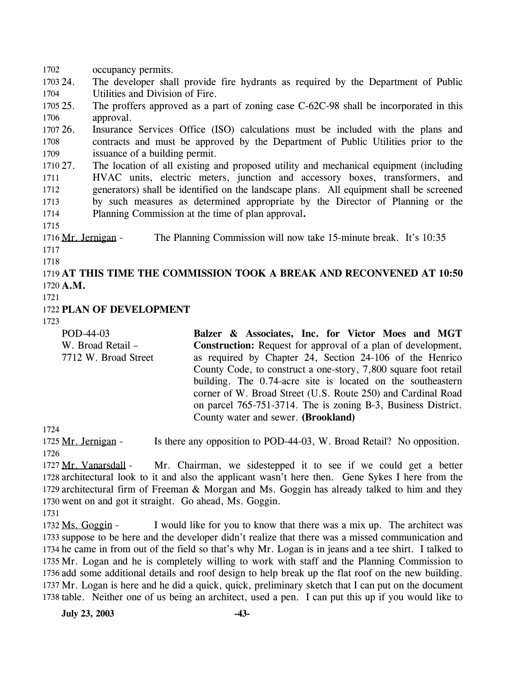1703 24. 1704 1705 25. 1706 1707 26. 1708 1709 1710 27. 1711 1712 1713 1714 1715 The developer shall provide fire hydrants as required by the Department of Public Utilities and Division of Fire. The proffers approved as a part of zoning case C-62C-98 shall be incorporated in this approval. Insurance Services Office (ISO) calculations must be included with the plans and contracts and must be approved by the Department of Public Utilities prior to the issuance of a building permit. The location of all existing and proposed utility and mechanical equipment (including HVAC units, electric meters, junction and accessory boxes, transformers, and generators) shall be identified on the landscape plans. All equipment shall be screened by such measures as determined appropriate by the Director of Planning or the Planning Commission at the time of plan approval**.**  1716 Mr. Jernigan - The Planning Commission will now take 15-minute break. It's 10:35 1717 1718 1719 **AT THIS TIME THE COMMISSION TOOK A BREAK AND RECONVENED AT 10:50**  1720 **A.M.**  1721 1722 **PLAN OF DEVELOPMENT**  1723 POD-44-03 W. Broad Retail – 7712 W. Broad Street **Balzer & Associates, Inc. for Victor Moes and MGT Construction:** Request for approval of a plan of development, as required by Chapter 24, Section 24-106 of the Henrico County Code, to construct a one-story, 7,800 square foot retail building. The 0.74-acre site is located on the southeastern corner of W. Broad Street (U.S. Route 250) and Cardinal Road on parcel 765-751-3714. The is zoning B-3, Business District.

1724

1702 occupancy permits.

1725 Mr. Jernigan - Is there any opposition to POD-44-03, W. Broad Retail? No opposition. 1726

County water and sewer. **(Brookland)** 

Mr. Chairman, we sidestepped it to see if we could get a better 1728 architectural look to it and also the applicant wasn't here then. Gene Sykes I here from the 1729 architectural firm of Freeman & Morgan and Ms. Goggin has already talked to him and they 1730 went on and got it straight. Go ahead, Ms. Goggin. 1727 Mr. Vanarsdall -

1731

I would like for you to know that there was a mix up. The architect was 1733 suppose to be here and the developer didn't realize that there was a missed communication and 1734 he came in from out of the field so that's why Mr. Logan is in jeans and a tee shirt. I talked to 1735 Mr. Logan and he is completely willing to work with staff and the Planning Commission to 1736 add some additional details and roof design to help break up the flat roof on the new building. 1737 Mr. Logan is here and he did a quick, quick, preliminary sketch that I can put on the document 1738 table. Neither one of us being an architect, used a pen. I can put this up if you would like to 1732 Ms. Goggin -

**July 23, 2003 -43-**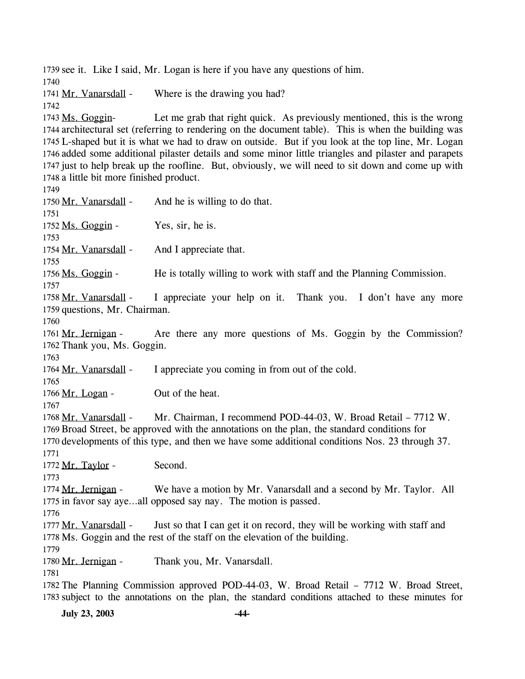1739 see it. Like I said, Mr. Logan is here if you have any questions of him. 1740 1741 Mr. Vanarsdall - Where is the drawing you had? 1742 Let me grab that right quick. As previously mentioned, this is the wrong 1744 architectural set (referring to rendering on the document table). This is when the building was L-shaped but it is what we had to draw on outside. But if you look at the top line, Mr. Logan 1745 1746 added some additional pilaster details and some minor little triangles and pilaster and parapets 1747 just to help break up the roofline. But, obviously, we will need to sit down and come up with 1748 a little bit more finished product. 1743 Ms. Goggin-1749 1750 Mr. Vanarsdall - And he is willing to do that. 1751 1752 Ms. Goggin - Yes, sir, he is. 1753 1754 Mr. Vanarsdall - And I appreciate that. 1755 1756 Ms. Goggin - He is totally willing to work with staff and the Planning Commission. 1757 I appreciate your help on it. Thank you. I don't have any more 1759 questions, Mr. Chairman. 1758 Mr. Vanarsdall -1760 Are there any more questions of Ms. Goggin by the Commission? 1762 Thank you, Ms. Goggin. 1761 Mr. Jernigan -1763 1764 Mr. Vanarsdall - I appreciate you coming in from out of the cold. 1765 1766 Mr. Logan - Out of the heat. 1767 Mr. Chairman, I recommend POD-44-03, W. Broad Retail – 7712 W. 1769 Broad Street, be approved with the annotations on the plan, the standard conditions for 1770 developments of this type, and then we have some additional conditions Nos. 23 through 37. 1768 Mr. Vanarsdall -1771 1772 Mr. Taylor - Second. 1773 We have a motion by Mr. Vanarsdall and a second by Mr. Taylor. All 1775 in favor say aye...all opposed say nay. The motion is passed. 1774 Mr. Jernigan -1776 Just so that I can get it on record, they will be working with staff and 1778 Ms. Goggin and the rest of the staff on the elevation of the building. 1777 Mr. Vanarsdall -1779 1780 Mr. Jernigan - Thank you, Mr. Vanarsdall. 1781 1782 The Planning Commission approved POD-44-03, W. Broad Retail – 7712 W. Broad Street, 1783 subject to the annotations on the plan, the standard conditions attached to these minutes for

**July 23, 2003 -44-**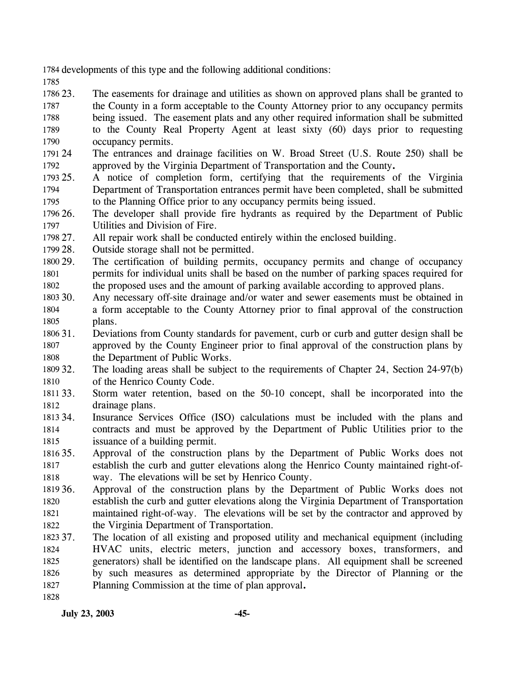1784 developments of this type and the following additional conditions:

- 1785 1786 23. 1787 1788 1789 1790 The easements for drainage and utilities as shown on approved plans shall be granted to the County in a form acceptable to the County Attorney prior to any occupancy permits being issued. The easement plats and any other required information shall be submitted to the County Real Property Agent at least sixty (60) days prior to requesting occupancy permits.
- 1791 1792 The entrances and drainage facilities on W. Broad Street (U.S. Route 250) shall be approved by the Virginia Department of Transportation and the County**.**
- 1793 25. 1794 1795 25. A notice of completion form, certifying that the requirements of the Virginia Department of Transportation entrances permit have been completed, shall be submitted to the Planning Office prior to any occupancy permits being issued.
- 1796 26. 1797 The developer shall provide fire hydrants as required by the Department of Public Utilities and Division of Fire.
- 1798 27. All repair work shall be conducted entirely within the enclosed building.
- 1799 28. Outside storage shall not be permitted.
- 1800 29. 1801 1802 The certification of building permits, occupancy permits and change of occupancy permits for individual units shall be based on the number of parking spaces required for the proposed uses and the amount of parking available according to approved plans.
- 1803 30. 1804 1805 Any necessary off-site drainage and/or water and sewer easements must be obtained in a form acceptable to the County Attorney prior to final approval of the construction plans.
- 1806 31. 1807 1808 31. Deviations from County standards for pavement, curb or curb and gutter design shall be approved by the County Engineer prior to final approval of the construction plans by the Department of Public Works.

1809 32. 1810 The loading areas shall be subject to the requirements of Chapter 24, Section 24-97(b) of the Henrico County Code.

- 1811 33. 1812 Storm water retention, based on the 50-10 concept, shall be incorporated into the drainage plans.
- 1813 34 1814 1815 Insurance Services Office (ISO) calculations must be included with the plans and contracts and must be approved by the Department of Public Utilities prior to the issuance of a building permit.
- 1816 35. 1817 1818 35. Approval of the construction plans by the Department of Public Works does not establish the curb and gutter elevations along the Henrico County maintained right-ofway. The elevations will be set by Henrico County.
- 1819 36. 1820 1821 1822 Approval of the construction plans by the Department of Public Works does not establish the curb and gutter elevations along the Virginia Department of Transportation maintained right-of-way. The elevations will be set by the contractor and approved by the Virginia Department of Transportation.
- 1823 37. 1824 1825 1826 1827 1828 The location of all existing and proposed utility and mechanical equipment (including HVAC units, electric meters, junction and accessory boxes, transformers, and generators) shall be identified on the landscape plans. All equipment shall be screened by such measures as determined appropriate by the Director of Planning or the Planning Commission at the time of plan approval**.**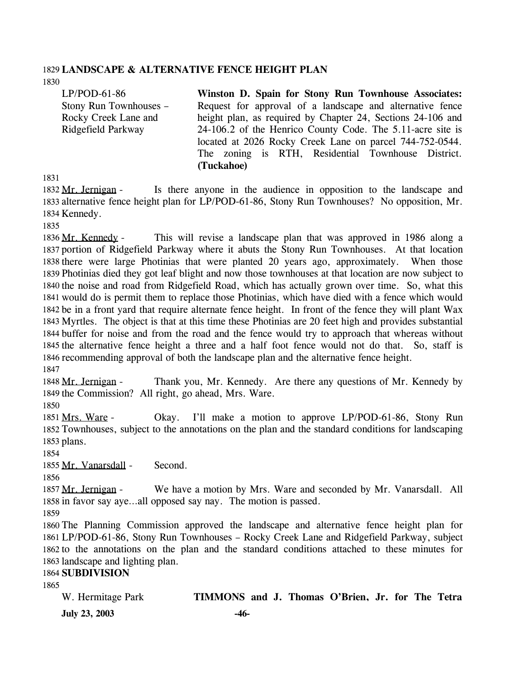#### 1829 **LANDSCAPE & ALTERNATIVE FENCE HEIGHT PLAN**

1830

LP/POD-61-86 Stony Run Townhouses – Rocky Creek Lane and Ridgefield Parkway

**Winston D. Spain for Stony Run Townhouse Associates:**  Request for approval of a landscape and alternative fence height plan, as required by Chapter 24, Sections 24-106 and 24-106.2 of the Henrico County Code. The 5.11-acre site is located at 2026 Rocky Creek Lane on parcel 744-752-0544. The zoning is RTH, Residential Townhouse District. **(Tuckahoe)** 

1831

Is there anyone in the audience in opposition to the landscape and 1833 alternative fence height plan for LP/POD-61-86, Stony Run Townhouses? No opposition, Mr. 1834 Kennedy. 1832 Mr. Jernigan -

1835

This will revise a landscape plan that was approved in 1986 along a 1837 portion of Ridgefield Parkway where it abuts the Stony Run Townhouses. At that location 1838 there were large Photinias that were planted 20 years ago, approximately. When those 1839 Photinias died they got leaf blight and now those townhouses at that location are now subject to 1840 the noise and road from Ridgefield Road, which has actually grown over time. So, what this 1841 would do is permit them to replace those Photinias, which have died with a fence which would 1842 be in a front yard that require alternate fence height. In front of the fence they will plant Wax 1843 Myrtles. The object is that at this time these Photinias are 20 feet high and provides substantial 1844 buffer for noise and from the road and the fence would try to approach that whereas without 1845 the alternative fence height a three and a half foot fence would not do that. So, staff is 1846 recommending approval of both the landscape plan and the alternative fence height. 1836 Mr. Kennedy -1847

Thank you, Mr. Kennedy. Are there any questions of Mr. Kennedy by 1849 the Commission? All right, go ahead, Mrs. Ware. 1848 Mr. Jernigan -

1850

Okay. I'll make a motion to approve LP/POD-61-86, Stony Run 1852 Townhouses, subject to the annotations on the plan and the standard conditions for landscaping 1853 plans. 1851 Mrs. Ware -

1854

1855 Mr. Vanarsdall - Second.

1856

We have a motion by Mrs. Ware and seconded by Mr. Vanarsdall. All 1858 in favor say aye...all opposed say nay. The motion is passed. 1857 Mr. Jernigan -

1859

 The Planning Commission approved the landscape and alternative fence height plan for LP/POD-61-86, Stony Run Townhouses – Rocky Creek Lane and Ridgefield Parkway, subject to the annotations on the plan and the standard conditions attached to these minutes for landscape and lighting plan.

#### 1864 **SUBDIVISION**

1865

| W. Hermitage Park    | TIMMONS and J. Thomas O'Brien, Jr. for The Tetra |  |  |  |
|----------------------|--------------------------------------------------|--|--|--|
| <b>July 23, 2003</b> | -46-                                             |  |  |  |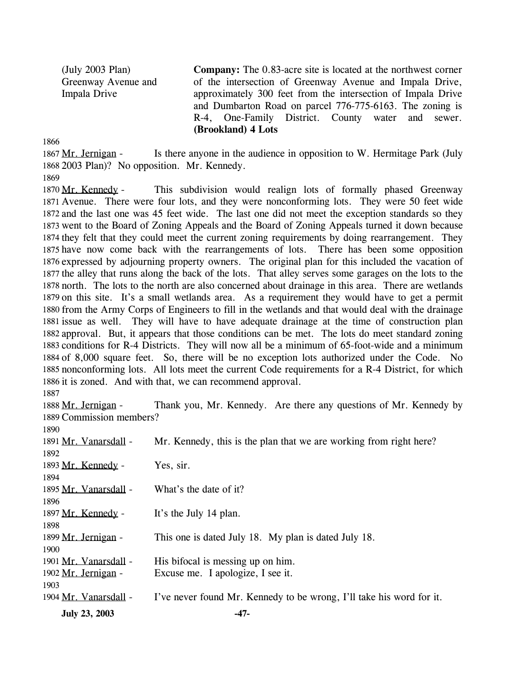(July 2003 Plan) Greenway Avenue and Impala Drive **Company:** The 0.83-acre site is located at the northwest corner of the intersection of Greenway Avenue and Impala Drive, approximately 300 feet from the intersection of Impala Drive and Dumbarton Road on parcel 776-775-6163. The zoning is R-4, One-Family District. County water and sewer. **(Brookland) 4 Lots** 

1866

Is there anyone in the audience in opposition to W. Hermitage Park (July 1868 2003 Plan)? No opposition. Mr. Kennedy. 1867 Mr. Jernigan -

1869

 $1890$ 

This subdivision would realign lots of formally phased Greenway 1871 Avenue. There were four lots, and they were nonconforming lots. They were 50 feet wide 1872 and the last one was 45 feet wide. The last one did not meet the exception standards so they 1873 went to the Board of Zoning Appeals and the Board of Zoning Appeals turned it down because 1874 they felt that they could meet the current zoning requirements by doing rearrangement. They 1875 have now come back with the rearrangements of lots. There has been some opposition 1876 expressed by adjourning property owners. The original plan for this included the vacation of 1877 the alley that runs along the back of the lots. That alley serves some garages on the lots to the 1878 north. The lots to the north are also concerned about drainage in this area. There are wetlands 1879 on this site. It's a small wetlands area. As a requirement they would have to get a permit 1880 from the Army Corps of Engineers to fill in the wetlands and that would deal with the drainage 1881 issue as well. They will have to have adequate drainage at the time of construction plan 1882 approval. But, it appears that those conditions can be met. The lots do meet standard zoning 1883 conditions for R-4 Districts. They will now all be a minimum of 65-foot-wide and a minimum 1884 of 8,000 square feet. So, there will be no exception lots authorized under the Code. No 1885 nonconforming lots. All lots meet the current Code requirements for a R-4 District, for which 1886 it is zoned. And with that, we can recommend approval. 1870 Mr. Kennedy -1887

Thank you, Mr. Kennedy. Are there any questions of Mr. Kennedy by 1889 Commission members? 1888 Mr. Jernigan -

| <b>July 23, 2003</b>  | -47-                                                                 |
|-----------------------|----------------------------------------------------------------------|
| 1904 Mr. Vanarsdall - | I've never found Mr. Kennedy to be wrong, I'll take his word for it. |
| 1903                  |                                                                      |
| 1902 Mr. Jernigan -   | Excuse me. I apologize, I see it.                                    |
| 1901 Mr. Vanarsdall - | His bifocal is messing up on him.                                    |
| 1900                  |                                                                      |
| 1899 Mr. Jernigan -   | This one is dated July 18. My plan is dated July 18.                 |
| 1898                  |                                                                      |
| 1897 Mr. Kennedy -    | It's the July 14 plan.                                               |
| 1896                  |                                                                      |
| 1895 Mr. Vanarsdall - | What's the date of it?                                               |
| 1894                  |                                                                      |
| 1893 Mr. Kennedy -    | Yes, sir.                                                            |
| 1892                  |                                                                      |
| 1891 Mr. Vanarsdall - | Mr. Kennedy, this is the plan that we are working from right here?   |
| 1890.                 |                                                                      |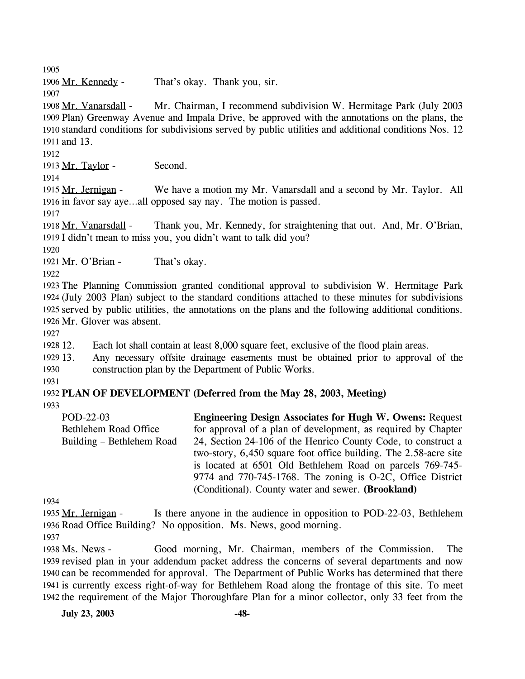1905

1906 Mr. Kennedy - That's okay. Thank you, sir.

1907

Mr. Chairman, I recommend subdivision W. Hermitage Park (July 2003 1909 Plan) Greenway Avenue and Impala Drive, be approved with the annotations on the plans, the 1910 standard conditions for subdivisions served by public utilities and additional conditions Nos. 12 1911 and 13. 1908 Mr. Vanarsdall -

1912

1913 Mr. Taylor - Second.

1914

We have a motion my Mr. Vanarsdall and a second by Mr. Taylor. All 1916 in favor say aye...all opposed say nay. The motion is passed. 1915 Mr. Jernigan -

1917

Thank you, Mr. Kennedy, for straightening that out. And, Mr. O'Brian, 1919 I didn't mean to miss you, you didn't want to talk did you? 1918 Mr. Vanarsdall -

1920

1921 Mr. O'Brian - That's okay.

1922

 The Planning Commission granted conditional approval to subdivision W. Hermitage Park (July 2003 Plan) subject to the standard conditions attached to these minutes for subdivisions served by public utilities, the annotations on the plans and the following additional conditions. Mr. Glover was absent.

1927

1928 12. Each lot shall contain at least 8,000 square feet, exclusive of the flood plain areas.

1929 13. 1930 13. Any necessary offsite drainage easements must be obtained prior to approval of the construction plan by the Department of Public Works.

1931

1932 **PLAN OF DEVELOPMENT (Deferred from the May 28, 2003, Meeting)**  1933

POD-22-03 Bethlehem Road Office Building – Bethlehem Road **Engineering Design Associates for Hugh W. Owens:** Request for approval of a plan of development, as required by Chapter 24, Section 24-106 of the Henrico County Code, to construct a two-story, 6,450 square foot office building. The 2.58-acre site is located at 6501 Old Bethlehem Road on parcels 769-745- 9774 and 770-745-1768. The zoning is O-2C, Office District (Conditional). County water and sewer. **(Brookland)** 

1934

Is there anyone in the audience in opposition to POD-22-03, Bethlehem 1936 Road Office Building? No opposition. Ms. News, good morning. 1935 Mr. Jernigan -

1937

Good morning, Mr. Chairman, members of the Commission. The 1939 revised plan in your addendum packet address the concerns of several departments and now 1940 can be recommended for approval. The Department of Public Works has determined that there 1941 is currently excess right-of-way for Bethlehem Road along the frontage of this site. To meet 1942 the requirement of the Major Thoroughfare Plan for a minor collector, only 33 feet from the 1938 Ms. News -

**July 23, 2003 -48-**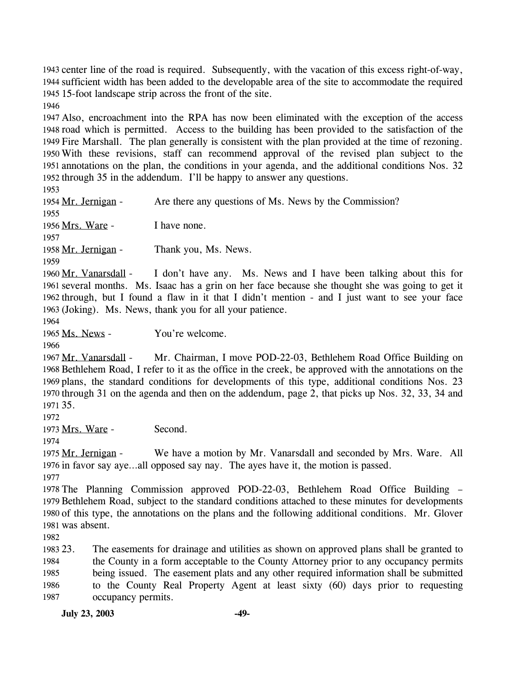1943 center line of the road is required. Subsequently, with the vacation of this excess right-of-way, 1944 sufficient width has been added to the developable area of the site to accommodate the required 1945 15-foot landscape strip across the front of the site.

1946

 Also, encroachment into the RPA has now been eliminated with the exception of the access road which is permitted. Access to the building has been provided to the satisfaction of the Fire Marshall. The plan generally is consistent with the plan provided at the time of rezoning. With these revisions, staff can recommend approval of the revised plan subject to the annotations on the plan, the conditions in your agenda, and the additional conditions Nos. 32 through 35 in the addendum. I'll be happy to answer any questions.

1953

1954 Mr. Jernigan - Are there any questions of Ms. News by the Commission? 1955 1956 Mrs. Ware - I have none. 1957 1958 Mr. Jernigan - Thank you, Ms. News. 1959

I don't have any. Ms. News and I have been talking about this for 1961 several months. Ms. Isaac has a grin on her face because she thought she was going to get it 1962 through, but I found a flaw in it that I didn't mention - and I just want to see your face 1963 (Joking). Ms. News, thank you for all your patience. 1960 Mr. Vanarsdall -

1964

1965 Ms. News - You're welcome.

1966

Mr. Chairman, I move POD-22-03, Bethlehem Road Office Building on 1968 Bethlehem Road, I refer to it as the office in the creek, be approved with the annotations on the 1969 plans, the standard conditions for developments of this type, additional conditions Nos. 23 1970 through 31 on the agenda and then on the addendum, page 2, that picks up Nos. 32, 33, 34 and 35. 1971 1967 Mr. Vanarsdall -

1972

1973 Mrs. Ware - Second.

1974

We have a motion by Mr. Vanarsdall and seconded by Mrs. Ware. All 1976 in favor say aye...all opposed say nay. The ayes have it, the motion is passed. 1975 Mr. Jernigan -1977

 The Planning Commission approved POD-22-03, Bethlehem Road Office Building – Bethlehem Road, subject to the standard conditions attached to these minutes for developments of this type, the annotations on the plans and the following additional conditions. Mr. Glover was absent.

1982

1983 23 1984 1985 1986 1987 The easements for drainage and utilities as shown on approved plans shall be granted to the County in a form acceptable to the County Attorney prior to any occupancy permits being issued. The easement plats and any other required information shall be submitted to the County Real Property Agent at least sixty (60) days prior to requesting occupancy permits.

**July 23, 2003 -49-**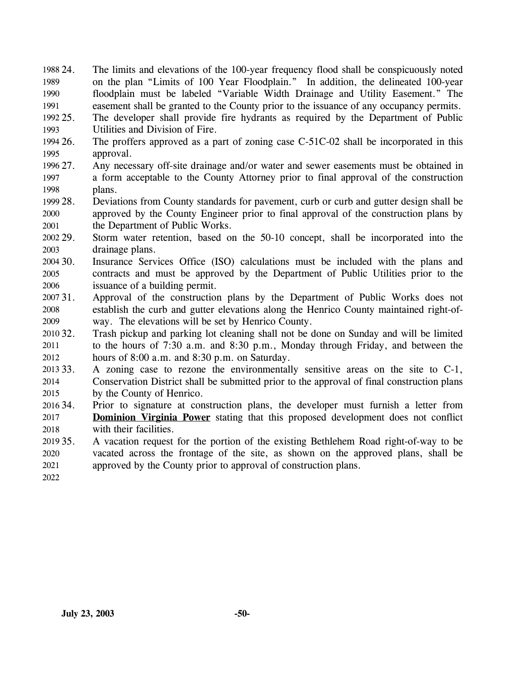24. The limits and elevations of the 100-year frequency flood shall be conspicuously noted on the plan "Limits of 100 Year Floodplain." In addition, the delineated 100-year floodplain must be labeled "Variable Width Drainage and Utility Easement." The easement shall be granted to the County prior to the issuance of any occupancy permits. 1988 24. 1989 1990 1991

1992 25. 1993 The developer shall provide fire hydrants as required by the Department of Public Utilities and Division of Fire.

- 1994 26. 1995 The proffers approved as a part of zoning case  $C-51C-02$  shall be incorporated in this approval.
- 1996 27. 1997 1998 Any necessary off-site drainage and/or water and sewer easements must be obtained in a form acceptable to the County Attorney prior to final approval of the construction plans.
- 1999 28. 2000 2001 28. Deviations from County standards for pavement, curb or curb and gutter design shall be approved by the County Engineer prior to final approval of the construction plans by the Department of Public Works.
- 2002 29. 2003 Storm water retention, based on the 50-10 concept, shall be incorporated into the drainage plans.
- 2004 30. 2005 2006 Insurance Services Office (ISO) calculations must be included with the plans and contracts and must be approved by the Department of Public Utilities prior to the issuance of a building permit.
- 2007 31. 2008 2009 31. Approval of the construction plans by the Department of Public Works does not establish the curb and gutter elevations along the Henrico County maintained right-ofway. The elevations will be set by Henrico County.
- 2010 32. 2011 2012 Trash pickup and parking lot cleaning shall not be done on Sunday and will be limited to the hours of 7:30 a.m. and 8:30 p.m., Monday through Friday, and between the hours of 8:00 a.m. and 8:30 p.m. on Saturday.
- 2013 33. 2014 2015 33. A zoning case to rezone the environmentally sensitive areas on the site to C-1, Conservation District shall be submitted prior to the approval of final construction plans by the County of Henrico.
- 2016 34. Prior to signature at construction plans, the developer must furnish a letter from **Dominion Virginia Power** stating that this proposed development does not conflict with their facilities. 2017 2018
- $201935.$ 2020 2021 35. A vacation request for the portion of the existing Bethlehem Road right-of-way to be vacated across the frontage of the site, as shown on the approved plans, shall be approved by the County prior to approval of construction plans.
- 2022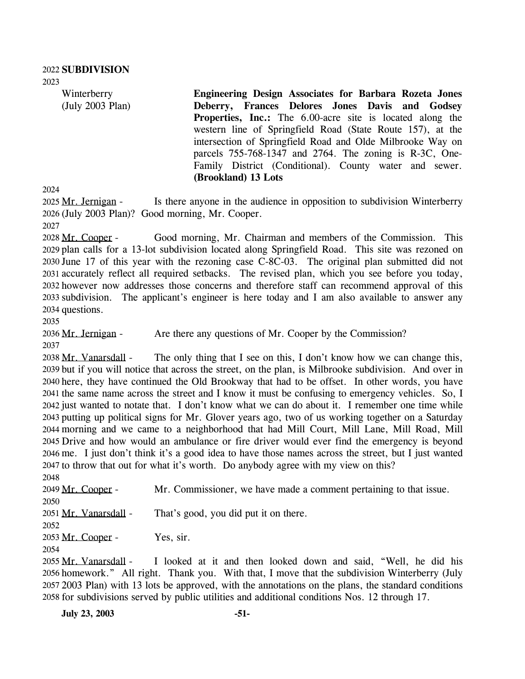2023

Winterberry (July 2003 Plan) **Engineering Design Associates for Barbara Rozeta Jones Deberry, Frances Delores Jones Davis and Godsey Properties, Inc.:** The 6.00-acre site is located along the western line of Springfield Road (State Route 157), at the intersection of Springfield Road and Olde Milbrooke Way on parcels 755-768-1347 and 2764. The zoning is R-3C, One-Family District (Conditional). County water and sewer. **(Brookland) 13 Lots** 

2024

Is there anyone in the audience in opposition to subdivision Winterberry 2026 (July 2003 Plan)? Good morning, Mr. Cooper. 2025 Mr. Jernigan -

2027

Good morning, Mr. Chairman and members of the Commission. This 2029 plan calls for a 13-lot subdivision located along Springfield Road. This site was rezoned on  $2030$  June 17 of this year with the rezoning case C-8C-03. The original plan submitted did not 2031 accurately reflect all required setbacks. The revised plan, which you see before you today, 2032 however now addresses those concerns and therefore staff can recommend approval of this 2033 subdivision. The applicant's engineer is here today and I am also available to answer any 2034 questions. 2028 Mr. Cooper -

2035

2036 Mr. Jernigan - Are there any questions of Mr. Cooper by the Commission?

2037

The only thing that I see on this, I don't know how we can change this, 2039 but if you will notice that across the street, on the plan, is Milbrooke subdivision. And over in 2040 here, they have continued the Old Brookway that had to be offset. In other words, you have 2041 the same name across the street and I know it must be confusing to emergency vehicles. So, I 2042 just wanted to notate that. I don't know what we can do about it. I remember one time while 2043 putting up political signs for Mr. Glover years ago, two of us working together on a Saturday morning and we came to a neighborhood that had Mill Court, Mill Lane, Mill Road, Mill 2044 2045 Drive and how would an ambulance or fire driver would ever find the emergency is beyond 2046 me. I just don't think it's a good idea to have those names across the street, but I just wanted 2047 to throw that out for what it's worth. Do anybody agree with my view on this? 2038 Mr. Vanarsdall -

2048 2049 Mr. Cooper - Mr. Commissioner, we have made a comment pertaining to that issue. 2050 2051 Mr. Vanarsdall - That's good, you did put it on there. 2052 2053 Mr. Cooper - Yes, sir.

2054

I looked at it and then looked down and said, "Well, he did his 2056 homework." All right. Thank you. With that, I move that the subdivision Winterberry (July 2003 Plan) with 13 lots be approved, with the annotations on the plans, the standard conditions 2057 2058 for subdivisions served by public utilities and additional conditions Nos. 12 through 17. 2055 Mr. Vanarsdall -

**July 23, 2003 -51-**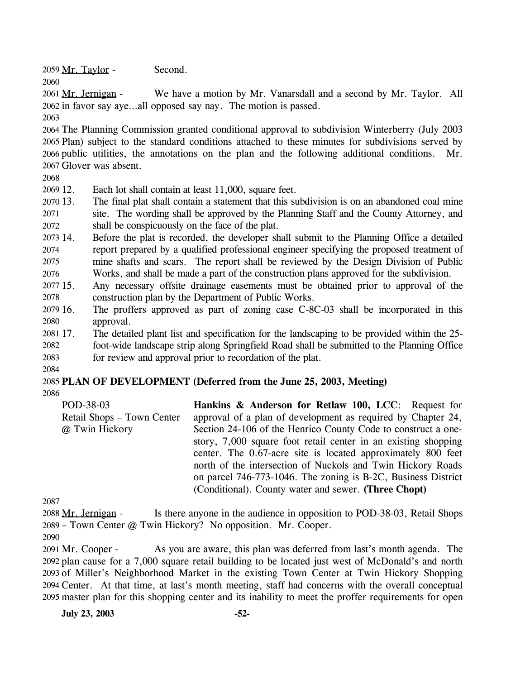2059 Mr. Taylor - Second.

2060

We have a motion by Mr. Vanarsdall and a second by Mr. Taylor. All 2062 in favor say aye...all opposed say nay. The motion is passed. 2061 Mr. Jernigan -

2063

 The Planning Commission granted conditional approval to subdivision Winterberry (July 2003 Plan) subject to the standard conditions attached to these minutes for subdivisions served by public utilities, the annotations on the plan and the following additional conditions. Mr. Glover was absent.

2068

2069 12. Each lot shall contain at least 11,000, square feet.

- 2070 13. 2071 2072 The final plat shall contain a statement that this subdivision is on an abandoned coal mine site. The wording shall be approved by the Planning Staff and the County Attorney, and shall be conspicuously on the face of the plat.
- 2073 14. 2074 2075 2076 14. Before the plat is recorded, the developer shall submit to the Planning Office a detailed report prepared by a qualified professional engineer specifying the proposed treatment of mine shafts and scars. The report shall be reviewed by the Design Division of Public Works, and shall be made a part of the construction plans approved for the subdivision.
- 2077 15. 2078 Any necessary offsite drainage easements must be obtained prior to approval of the construction plan by the Department of Public Works.
- 2079 16. 2080 The proffers approved as part of zoning case  $C$ -8C-03 shall be incorporated in this approval.
- 2081 17. 17. The detailed plant list and specification for the landscaping to be provided within the 25-
- 2082 foot-wide landscape strip along Springfield Road shall be submitted to the Planning Office
- 2083 for review and approval prior to recordation of the plat.
- 2084

# 2085 **PLAN OF DEVELOPMENT (Deferred from the June 25, 2003, Meeting)**

2086

| POD-38-03                  | Hankins & Anderson for Retlaw 100, LCC: Request for            |
|----------------------------|----------------------------------------------------------------|
| Retail Shops – Town Center | approval of a plan of development as required by Chapter 24,   |
| @ Twin Hickory             | Section 24-106 of the Henrico County Code to construct a one-  |
|                            | story, 7,000 square foot retail center in an existing shopping |
|                            | center. The 0.67-acre site is located approximately 800 feet   |
|                            | north of the intersection of Nuckols and Twin Hickory Roads    |
|                            | on parcel 746-773-1046. The zoning is B-2C, Business District  |
|                            | (Conditional). County water and sewer. (Three Chopt)           |

2087

Is there anyone in the audience in opposition to POD-38-03, Retail Shops 2089 – Town Center @ Twin Hickory? No opposition. Mr. Cooper. 2088 Mr. Jernigan -

2090

As you are aware, this plan was deferred from last's month agenda. The 2092 plan cause for a 7,000 square retail building to be located just west of McDonald's and north 2093 of Miller's Neighborhood Market in the existing Town Center at Twin Hickory Shopping 2094 Center. At that time, at last's month meeting, staff had concerns with the overall conceptual 2095 master plan for this shopping center and its inability to meet the proffer requirements for open 2091 Mr. Cooper -

**July 23, 2003 -52-**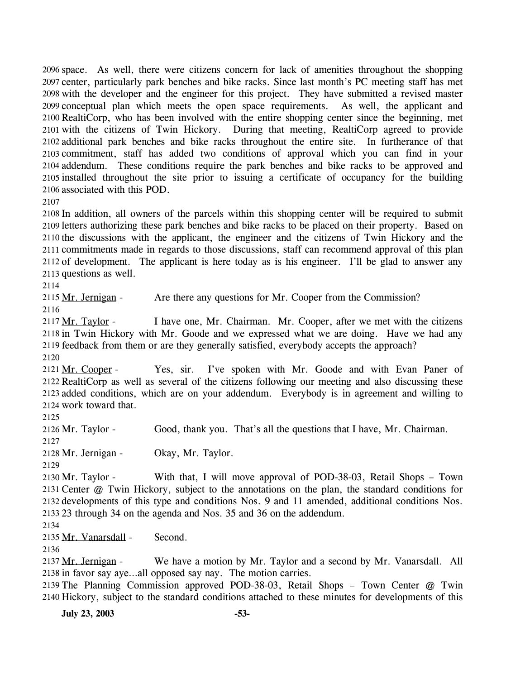2096 space. As well, there were citizens concern for lack of amenities throughout the shopping 2097 center, particularly park benches and bike racks. Since last month's PC meeting staff has met 2098 with the developer and the engineer for this project. They have submitted a revised master 2099 conceptual plan which meets the open space requirements. As well, the applicant and 2100 RealtiCorp, who has been involved with the entire shopping center since the beginning, met 2101 with the citizens of Twin Hickory. During that meeting, RealtiCorp agreed to provide 2102 additional park benches and bike racks throughout the entire site. In furtherance of that 2103 commitment, staff has added two conditions of approval which you can find in your 2104 addendum. These conditions require the park benches and bike racks to be approved and 2105 installed throughout the site prior to issuing a certificate of occupancy for the building 2106 associated with this POD.

2107

 In addition, all owners of the parcels within this shopping center will be required to submit letters authorizing these park benches and bike racks to be placed on their property. Based on the discussions with the applicant, the engineer and the citizens of Twin Hickory and the commitments made in regards to those discussions, staff can recommend approval of this plan of development. The applicant is here today as is his engineer. I'll be glad to answer any questions as well.

2114

2115 Mr. Jernigan - Are there any questions for Mr. Cooper from the Commission? 2116

I have one, Mr. Chairman. Mr. Cooper, after we met with the citizens 2118 in Twin Hickory with Mr. Goode and we expressed what we are doing. Have we had any 2119 feedback from them or are they generally satisfied, everybody accepts the approach? 2117 Mr. Taylor -2120

Yes, sir. I've spoken with Mr. Goode and with Evan Paner of 2122 RealtiCorp as well as several of the citizens following our meeting and also discussing these 2123 added conditions, which are on your addendum. Everybody is in agreement and willing to 2124 work toward that. 2121 Mr. Cooper -

2125

2126 Mr. Taylor - Good, thank you. That's all the questions that I have, Mr. Chairman. 2127 2128 Mr. Jernigan - Okay, Mr. Taylor. 2129

With that, I will move approval of POD-38-03, Retail Shops – Town 2131 Center @ Twin Hickory, subject to the annotations on the plan, the standard conditions for 2132 developments of this type and conditions Nos. 9 and 11 amended, additional conditions Nos. 2133 23 through 34 on the agenda and Nos. 35 and 36 on the addendum. 2130 Mr. Taylor -

2134

2135 Mr. Vanarsdall - Second.

2136

We have a motion by Mr. Taylor and a second by Mr. Vanarsdall. All 2138 in favor say aye...all opposed say nay. The motion carries. 2137 Mr. Jernigan -

2139 The Planning Commission approved POD-38-03, Retail Shops – Town Center @ Twin 2140 Hickory, subject to the standard conditions attached to these minutes for developments of this

**July 23, 2003 -53-**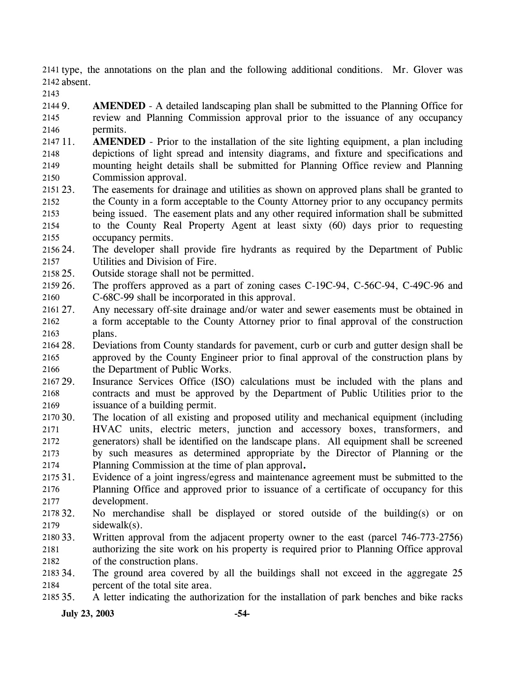2141 type, the annotations on the plan and the following additional conditions. Mr. Glover was 2142 absent.

2143

2144 9. 2145 2146 AMENDED - A detailed landscaping plan shall be submitted to the Planning Office for review and Planning Commission approval prior to the issuance of any occupancy permits.

2147 11. 2148 2149 2150 **AMENDED** - Prior to the installation of the site lighting equipment, a plan including depictions of light spread and intensity diagrams, and fixture and specifications and mounting height details shall be submitted for Planning Office review and Planning Commission approval.

- 2151 23. 2152 2153 2154 2155 The easements for drainage and utilities as shown on approved plans shall be granted to the County in a form acceptable to the County Attorney prior to any occupancy permits being issued. The easement plats and any other required information shall be submitted to the County Real Property Agent at least sixty (60) days prior to requesting occupancy permits.
- 2156 24 2157 The developer shall provide fire hydrants as required by the Department of Public Utilities and Division of Fire.
- 2158 25. Outside storage shall not be permitted.
- 2159 26. 2160 The proffers approved as a part of zoning cases C-19C-94, C-56C-94, C-49C-96 and C-68C-99 shall be incorporated in this approval.
- 2161 27. 2162 2163 Any necessary off-site drainage and/or water and sewer easements must be obtained in a form acceptable to the County Attorney prior to final approval of the construction plans.
- 2164 28. 2165 2166 28. Deviations from County standards for pavement, curb or curb and gutter design shall be approved by the County Engineer prior to final approval of the construction plans by the Department of Public Works.
- 2167 29. 2168 2169 Insurance Services Office (ISO) calculations must be included with the plans and contracts and must be approved by the Department of Public Utilities prior to the issuance of a building permit.
- 2170 30. 2171 2172 2173 2174 The location of all existing and proposed utility and mechanical equipment (including HVAC units, electric meters, junction and accessory boxes, transformers, and generators) shall be identified on the landscape plans. All equipment shall be screened by such measures as determined appropriate by the Director of Planning or the Planning Commission at the time of plan approval**.**
- 2175 31. 2176 2177 Evidence of a joint ingress/egress and maintenance agreement must be submitted to the Planning Office and approved prior to issuance of a certificate of occupancy for this development.
- 2178 32. 2179 No merchandise shall be displayed or stored outside of the building(s) or on sidewalk(s).
- 2180 33. 2181 2182 Written approval from the adjacent property owner to the east (parcel 746-773-2756) authorizing the site work on his property is required prior to Planning Office approval of the construction plans.
- 2183 34. 2184 The ground area covered by all the buildings shall not exceed in the aggregate 25 percent of the total site area.
- 2185 35. 35. A letter indicating the authorization for the installation of park benches and bike racks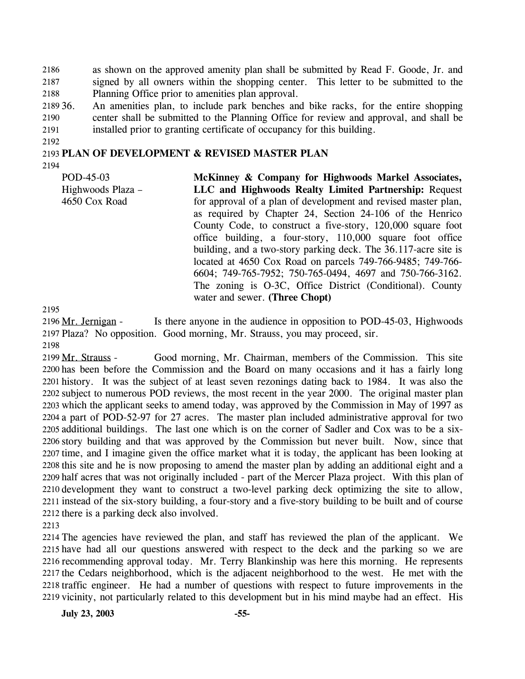as shown on the approved amenity plan shall be submitted by Read F. Goode, Jr. and signed by all owners within the shopping center. This letter to be submitted to the Planning Office prior to amenities plan approval. 2186 2187 2188

2189 36. 2190 2191 An amenities plan, to include park benches and bike racks, for the entire shopping center shall be submitted to the Planning Office for review and approval, and shall be installed prior to granting certificate of occupancy for this building.

2192

### 2193 **PLAN OF DEVELOPMENT & REVISED MASTER PLAN**

2194

POD-45-03 Highwoods Plaza – 4650 Cox Road **McKinney & Company for Highwoods Markel Associates, LLC and Highwoods Realty Limited Partnership:** Request for approval of a plan of development and revised master plan, as required by Chapter 24, Section 24-106 of the Henrico County Code, to construct a five-story, 120,000 square foot office building, a four-story, 110,000 square foot office building, and a two-story parking deck. The 36.117-acre site is located at 4650 Cox Road on parcels 749-766-9485; 749-766- 6604; 749-765-7952; 750-765-0494, 4697 and 750-766-3162. The zoning is O-3C, Office District (Conditional). County water and sewer. **(Three Chopt)** 

2195

Is there anyone in the audience in opposition to POD-45-03, Highwoods Plaza? No opposition. Good morning, Mr. Strauss, you may proceed, sir. 2197 2196 Mr. Jernigan -

2198

Good morning, Mr. Chairman, members of the Commission. This site 2200 has been before the Commission and the Board on many occasions and it has a fairly long 2201 history. It was the subject of at least seven rezonings dating back to 1984. It was also the 2202 subject to numerous POD reviews, the most recent in the year 2000. The original master plan 2203 which the applicant seeks to amend today, was approved by the Commission in May of 1997 as 2204 a part of POD-52-97 for 27 acres. The master plan included administrative approval for two 2205 additional buildings. The last one which is on the corner of Sadler and Cox was to be a six-2206 story building and that was approved by the Commission but never built. Now, since that 2207 time, and I imagine given the office market what it is today, the applicant has been looking at 2208 this site and he is now proposing to amend the master plan by adding an additional eight and a 2209 half acres that was not originally included - part of the Mercer Plaza project. With this plan of 2210 development they want to construct a two-level parking deck optimizing the site to allow, 2211 instead of the six-story building, a four-story and a five-story building to be built and of course 2212 there is a parking deck also involved. 2199 Mr. Strauss -

2213

 The agencies have reviewed the plan, and staff has reviewed the plan of the applicant. We have had all our questions answered with respect to the deck and the parking so we are recommending approval today. Mr. Terry Blankinship was here this morning. He represents the Cedars neighborhood, which is the adjacent neighborhood to the west. He met with the traffic engineer. He had a number of questions with respect to future improvements in the vicinity, not particularly related to this development but in his mind maybe had an effect. His

**July 23, 2003 -55-**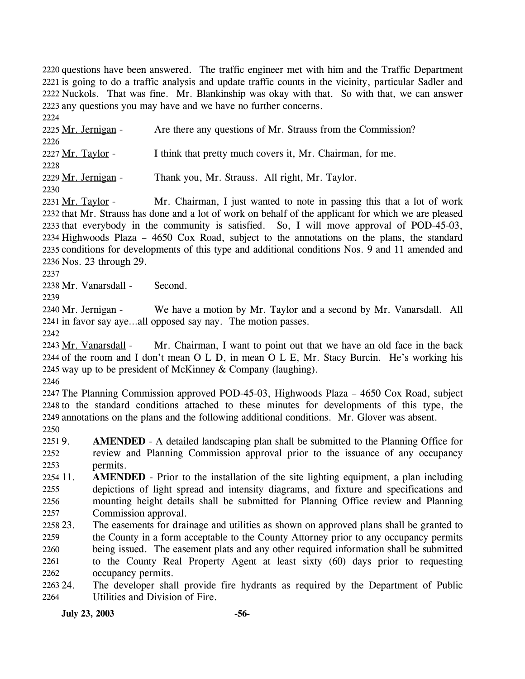2220 questions have been answered. The traffic engineer met with him and the Traffic Department 2221 is going to do a traffic analysis and update traffic counts in the vicinity, particular Sadler and 2222 Nuckols. That was fine. Mr. Blankinship was okay with that. So with that, we can answer 2223 any questions you may have and we have no further concerns.

2224 2225 Mr. Jernigan - Are there any questions of Mr. Strauss from the Commission? 2226 2227 Mr. Taylor - I think that pretty much covers it, Mr. Chairman, for me. 2228 2229 Mr. Jernigan - Thank you, Mr. Strauss. All right, Mr. Taylor.

2230

Mr. Chairman, I just wanted to note in passing this that a lot of work 2232 that Mr. Strauss has done and a lot of work on behalf of the applicant for which we are pleased 2233 that everybody in the community is satisfied. So, I will move approval of POD-45-03, 2234 Highwoods Plaza – 4650 Cox Road, subject to the annotations on the plans, the standard 2235 conditions for developments of this type and additional conditions Nos. 9 and 11 amended and 2236 Nos. 23 through 29. 2231 Mr. Taylor -

2237

2238 Mr. Vanarsdall - Second.

2239

We have a motion by Mr. Taylor and a second by Mr. Vanarsdall. All 2241 in favor say aye...all opposed say nay. The motion passes. 2240 Mr. Jernigan -

2242

Mr. Chairman, I want to point out that we have an old face in the back 2244 of the room and I don't mean O L D, in mean O L E, Mr. Stacy Burcin. He's working his 2245 way up to be president of McKinney  $&$  Company (laughing). 2243 Mr. Vanarsdall -

2246

 The Planning Commission approved POD-45-03, Highwoods Plaza – 4650 Cox Road, subject to the standard conditions attached to these minutes for developments of this type, the annotations on the plans and the following additional conditions. Mr. Glover was absent. 2250

 $22519.$ 2252 2253 AMENDED - A detailed landscaping plan shall be submitted to the Planning Office for review and Planning Commission approval prior to the issuance of any occupancy permits.

- 2254 11. 2255 2256 2257 **AMENDED** - Prior to the installation of the site lighting equipment, a plan including depictions of light spread and intensity diagrams, and fixture and specifications and mounting height details shall be submitted for Planning Office review and Planning Commission approval.
- 2258 23. 2259 2260 2261 2262 The easements for drainage and utilities as shown on approved plans shall be granted to the County in a form acceptable to the County Attorney prior to any occupancy permits being issued. The easement plats and any other required information shall be submitted to the County Real Property Agent at least sixty (60) days prior to requesting occupancy permits.
- 24. 2264 The developer shall provide fire hydrants as required by the Department of Public Utilities and Division of Fire.

**July 23, 2003 -56-**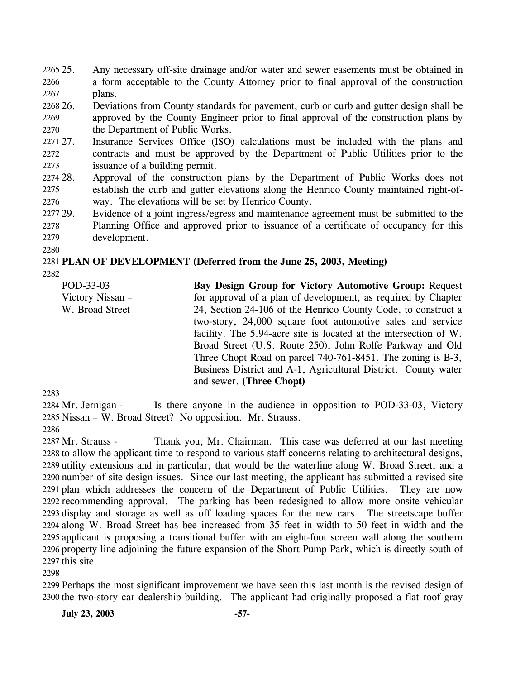Any necessary off-site drainage and/or water and sewer easements must be obtained in a form acceptable to the County Attorney prior to final approval of the construction plans. 2265 25. 2266 2267

268 26. 2269 2270 26. Deviations from County standards for pavement, curb or curb and gutter design shall be approved by the County Engineer prior to final approval of the construction plans by the Department of Public Works.

2271 27. 2272 2273 Insurance Services Office (ISO) calculations must be included with the plans and contracts and must be approved by the Department of Public Utilities prior to the issuance of a building permit.

- 2274 28. 2275 2276 Approval of the construction plans by the Department of Public Works does not establish the curb and gutter elevations along the Henrico County maintained right-ofway. The elevations will be set by Henrico County.
- 2277 29. 2278 2279 Evidence of a joint ingress/egress and maintenance agreement must be submitted to the Planning Office and approved prior to issuance of a certificate of occupancy for this development.
- 2280

# 2281 **PLAN OF DEVELOPMENT (Deferred from the June 25, 2003, Meeting)**

2282

POD-33-03 Victory Nissan – W. Broad Street **Bay Design Group for Victory Automotive Group:** Request for approval of a plan of development, as required by Chapter 24, Section 24-106 of the Henrico County Code, to construct a two-story, 24,000 square foot automotive sales and service facility. The 5.94-acre site is located at the intersection of W. Broad Street (U.S. Route 250), John Rolfe Parkway and Old Three Chopt Road on parcel 740-761-8451. The zoning is B-3, Business District and A-1, Agricultural District. County water and sewer. **(Three Chopt)** 

2283

Is there anyone in the audience in opposition to POD-33-03, Victory 2285 Nissan – W. Broad Street? No opposition. Mr. Strauss. 2284 Mr. Jernigan -2286

Thank you, Mr. Chairman. This case was deferred at our last meeting 2288 to allow the applicant time to respond to various staff concerns relating to architectural designs, 2289 utility extensions and in particular, that would be the waterline along W. Broad Street, and a 2290 number of site design issues. Since our last meeting, the applicant has submitted a revised site 2291 plan which addresses the concern of the Department of Public Utilities. They are now 2292 recommending approval. The parking has been redesigned to allow more onsite vehicular 2293 display and storage as well as off loading spaces for the new cars. The streetscape buffer 2294 along W. Broad Street has bee increased from 35 feet in width to 50 feet in width and the 2295 applicant is proposing a transitional buffer with an eight-foot screen wall along the southern 2296 property line adjoining the future expansion of the Short Pump Park, which is directly south of  $2297$  this site. 2287 Mr. Strauss -

2298

2299 Perhaps the most significant improvement we have seen this last month is the revised design of 2300 the two-story car dealership building. The applicant had originally proposed a flat roof gray

**July 23, 2003 -57-**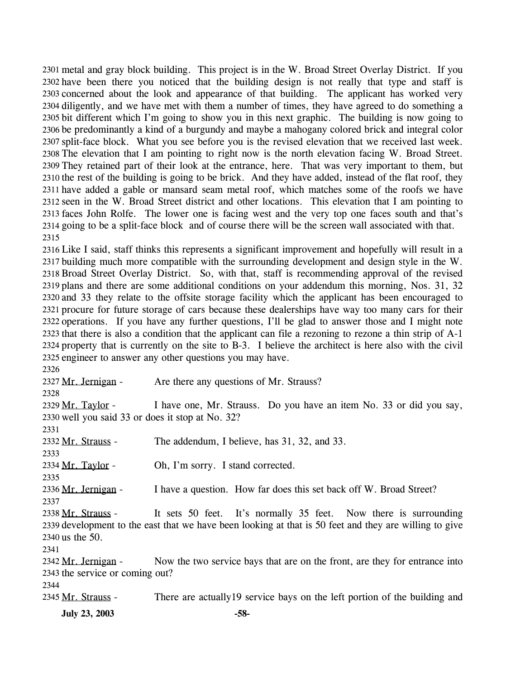metal and gray block building. This project is in the W. Broad Street Overlay District. If you 2301 2302 have been there you noticed that the building design is not really that type and staff is 2303 concerned about the look and appearance of that building. The applicant has worked very 2304 diligently, and we have met with them a number of times, they have agreed to do something a 2305 bit different which I'm going to show you in this next graphic. The building is now going to 2306 be predominantly a kind of a burgundy and maybe a mahogany colored brick and integral color 2307 split-face block. What you see before you is the revised elevation that we received last week. 2308 The elevation that I am pointing to right now is the north elevation facing W. Broad Street. 2309 They retained part of their look at the entrance, here. That was very important to them, but 2310 the rest of the building is going to be brick. And they have added, instead of the flat roof, they 2311 have added a gable or mansard seam metal roof, which matches some of the roofs we have 2312 seen in the W. Broad Street district and other locations. This elevation that I am pointing to 2313 faces John Rolfe. The lower one is facing west and the very top one faces south and that's 2314 going to be a split-face block and of course there will be the screen wall associated with that. 2315

 Like I said, staff thinks this represents a significant improvement and hopefully will result in a building much more compatible with the surrounding development and design style in the W. Broad Street Overlay District. So, with that, staff is recommending approval of the revised plans and there are some additional conditions on your addendum this morning, Nos. 31, 32 and 33 they relate to the offsite storage facility which the applicant has been encouraged to procure for future storage of cars because these dealerships have way too many cars for their operations. If you have any further questions, I'll be glad to answer those and I might note that there is also a condition that the applicant can file a rezoning to rezone a thin strip of A-1 property that is currently on the site to B-3. I believe the architect is here also with the civil engineer to answer any other questions you may have.

2326 2327 Mr. Jernigan - Are there any questions of Mr. Strauss? 2328 I have one, Mr. Strauss. Do you have an item No. 33 or did you say, 2330 well you said 33 or does it stop at No. 32? 2329 Mr. Taylor -2331 2332 Mr. Strauss - The addendum, I believe, has 31, 32, and 33. 2333 2334 Mr. Taylor - Oh, I'm sorry. I stand corrected. 2335 2336 Mr. Jernigan - I have a question. How far does this set back off W. Broad Street? 2337 It sets 50 feet. It's normally 35 feet. Now there is surrounding 2339 development to the east that we have been looking at that is 50 feet and they are willing to give 2340 us the 50. 2338 Mr. Strauss -2341 Now the two service bays that are on the front, are they for entrance into 2343 the service or coming out? 2342 Mr. Jernigan -2344 2345 Mr. Strauss - There are actually 19 service bays on the left portion of the building and

**July 23, 2003 -58-**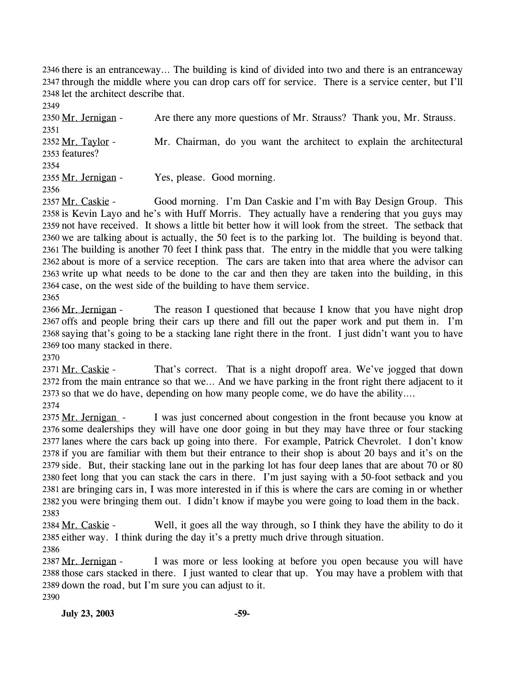2346 there is an entranceway... The building is kind of divided into two and there is an entranceway 2347 through the middle where you can drop cars off for service. There is a service center, but I'll 2348 let the architect describe that.

2349 2350 Mr. Jernigan - Are there any more questions of Mr. Strauss? Thank you, Mr. Strauss. 2351 Mr. Chairman, do you want the architect to explain the architectural 2353 features? 2352 Mr. Taylor -2354 2355 Mr. Jernigan - Yes, please. Good morning. 2356

Good morning. I'm Dan Caskie and I'm with Bay Design Group. This 2358 is Kevin Layo and he's with Huff Morris. They actually have a rendering that you guys may 2359 not have received. It shows a little bit better how it will look from the street. The setback that 2360 we are talking about is actually, the 50 feet is to the parking lot. The building is beyond that. 2361 The building is another 70 feet I think pass that. The entry in the middle that you were talking 2362 about is more of a service reception. The cars are taken into that area where the advisor can 2363 write up what needs to be done to the car and then they are taken into the building, in this 2364 case, on the west side of the building to have them service. 2357 Mr. Caskie -2365

The reason I questioned that because I know that you have night drop 2367 offs and people bring their cars up there and fill out the paper work and put them in. I'm 2368 saying that's going to be a stacking lane right there in the front. I just didn't want you to have 2369 too many stacked in there. 2366 Mr. Jernigan -

2370

That's correct. That is a night dropoff area. We've jogged that down 2372 from the main entrance so that we... And we have parking in the front right there adjacent to it 2373 so that we do have, depending on how many people come, we do have the ability.... 2371 Mr. Caskie -

2374

I was just concerned about congestion in the front because you know at 2376 some dealerships they will have one door going in but they may have three or four stacking 2377 lanes where the cars back up going into there. For example, Patrick Chevrolet. I don't know 2378 if you are familiar with them but their entrance to their shop is about 20 bays and it's on the 2379 side. But, their stacking lane out in the parking lot has four deep lanes that are about 70 or 80 2380 feet long that you can stack the cars in there. I'm just saying with a 50-foot setback and you 2381 are bringing cars in, I was more interested in if this is where the cars are coming in or whether 2382 you were bringing them out. I didn't know if maybe you were going to load them in the back. 2375 Mr. Jernigan -2383

Well, it goes all the way through, so I think they have the ability to do it 2385 either way. I think during the day it's a pretty much drive through situation. 2384 Mr. Caskie -2386

I was more or less looking at before you open because you will have 2388 those cars stacked in there. I just wanted to clear that up. You may have a problem with that 2389 down the road, but I'm sure you can adjust to it. 2387 Mr. Jernigan -2390

**July 23, 2003 -59-**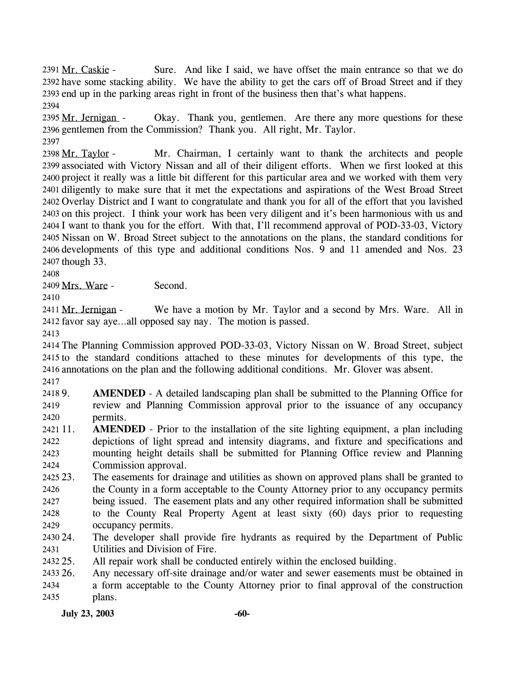Sure. And like I said, we have offset the main entrance so that we do 2392 have some stacking ability. We have the ability to get the cars off of Broad Street and if they 2393 end up in the parking areas right in front of the business then that's what happens. 2391 Mr. Caskie -2394

Okay. Thank you, gentlemen. Are there any more questions for these 2396 gentlemen from the Commission? Thank you. All right, Mr. Taylor. 2395 Mr. Jernigan -2397

Mr. Chairman, I certainly want to thank the architects and people 2399 associated with Victory Nissan and all of their diligent efforts. When we first looked at this 2400 project it really was a little bit different for this particular area and we worked with them very 2401 diligently to make sure that it met the expectations and aspirations of the West Broad Street 2402 Overlay District and I want to congratulate and thank you for all of the effort that you lavished 2403 on this project. I think your work has been very diligent and it's been harmonious with us and 2404 I want to thank you for the effort. With that, I'll recommend approval of POD-33-03, Victory 2405 Nissan on W. Broad Street subject to the annotations on the plans, the standard conditions for 2406 developments of this type and additional conditions Nos. 9 and 11 amended and Nos. 23 2407 though 33. 2398 Mr. Taylor -

2408

2409 Mrs. Ware - Second.

2410

We have a motion by Mr. Taylor and a second by Mrs. Ware. All in 2412 favor say aye...all opposed say nay. The motion is passed. 2411 Mr. Jernigan -

2413

2414 The Planning Commission approved POD-33-03, Victory Nissan on W. Broad Street, subject 2415 to the standard conditions attached to these minutes for developments of this type, the 2416 annotations on the plan and the following additional conditions. Mr. Glover was absent.

2417

24189. 2419 2420 **AMENDED** - A detailed landscaping plan shall be submitted to the Planning Office for review and Planning Commission approval prior to the issuance of any occupancy permits.

- 2421 11. 2422 2423 2424 **AMENDED** - Prior to the installation of the site lighting equipment, a plan including depictions of light spread and intensity diagrams, and fixture and specifications and mounting height details shall be submitted for Planning Office review and Planning Commission approval.
- 2425 23. 2426 2427 2428 2429 The easements for drainage and utilities as shown on approved plans shall be granted to the County in a form acceptable to the County Attorney prior to any occupancy permits being issued. The easement plats and any other required information shall be submitted to the County Real Property Agent at least sixty (60) days prior to requesting occupancy permits.
- 2430 24. 2431 The developer shall provide fire hydrants as required by the Department of Public Utilities and Division of Fire.
- 2432 25. All repair work shall be conducted entirely within the enclosed building.

2433 26. 2434 2435 Any necessary off-site drainage and/or water and sewer easements must be obtained in a form acceptable to the County Attorney prior to final approval of the construction plans.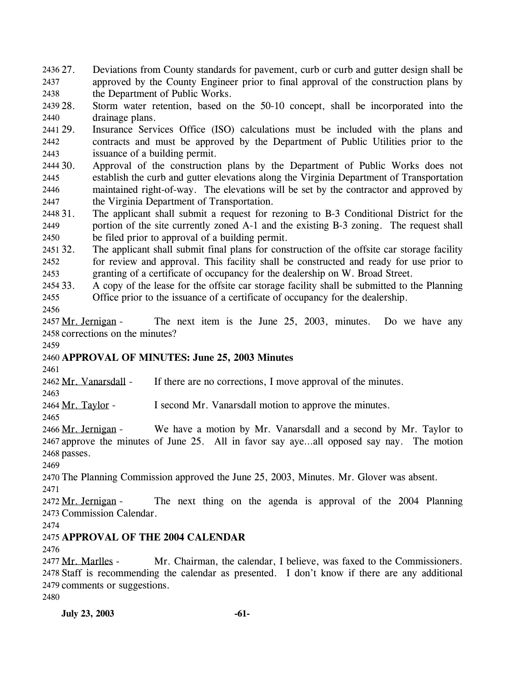27. Deviations from County standards for pavement, curb or curb and gutter design shall be approved by the County Engineer prior to final approval of the construction plans by the Department of Public Works. 2436 27. 2437 2438

2439 28. 2440 Storm water retention, based on the 50-10 concept, shall be incorporated into the drainage plans.

2441 29. 2442 2443 Insurance Services Office (ISO) calculations must be included with the plans and contracts and must be approved by the Department of Public Utilities prior to the issuance of a building permit.

2444 30. 2445 2446 2447 Approval of the construction plans by the Department of Public Works does not establish the curb and gutter elevations along the Virginia Department of Transportation maintained right-of-way. The elevations will be set by the contractor and approved by the Virginia Department of Transportation.

2448 31. 2449 2450 The applicant shall submit a request for rezoning to B-3 Conditional District for the portion of the site currently zoned A-1 and the existing B-3 zoning. The request shall be filed prior to approval of a building permit.

2451 32. 2452 2453 The applicant shall submit final plans for construction of the offsite car storage facility for review and approval. This facility shall be constructed and ready for use prior to granting of a certificate of occupancy for the dealership on W. Broad Street.

2454 33. 2455 33. A copy of the lease for the offsite car storage facility shall be submitted to the Planning Office prior to the issuance of a certificate of occupancy for the dealership.

2456

The next item is the June 25, 2003, minutes. Do we have any 2458 corrections on the minutes? 2457 Mr. Jernigan -

2459

## 2460 **APPROVAL OF MINUTES: June 25, 2003 Minutes**

2461

2463

2462 Mr. Vanarsdall - If there are no corrections, I move approval of the minutes.

2464 Mr. Taylor - I second Mr. Vanarsdall motion to approve the minutes.

2465 We have a motion by Mr. Vanarsdall and a second by Mr. Taylor to 2467 approve the minutes of June 25. All in favor say aye...all opposed say nay. The motion 2466 Mr. Jernigan -

2468 passes. 2469

2470 The Planning Commission approved the June 25, 2003, Minutes. Mr. Glover was absent.

2471

The next thing on the agenda is approval of the 2004 Planning 2473 Commission Calendar. 2472 Mr. Jernigan -

2474

## 2475 **APPROVAL OF THE 2004 CALENDAR**

2476

Mr. Chairman, the calendar, I believe, was faxed to the Commissioners. 2478 Staff is recommending the calendar as presented. I don't know if there are any additional 2479 comments or suggestions. 2477 Mr. Marlles -

2480

**July 23, 2003 -61-**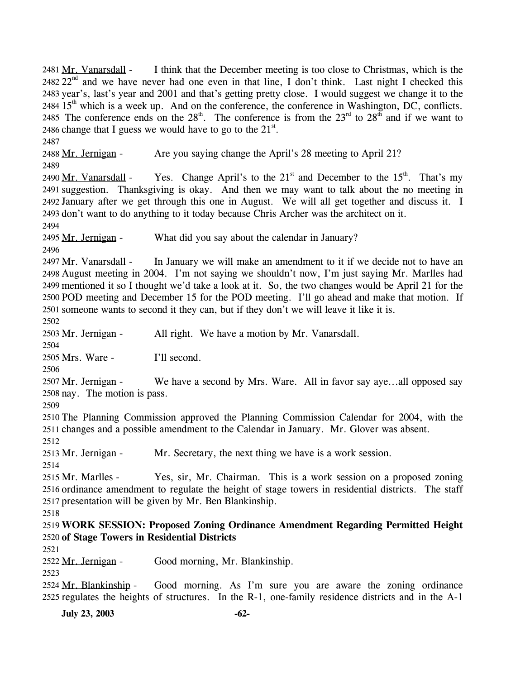I think that the December meeting is too close to Christmas, which is the 2482  $22<sup>nd</sup>$  and we have never had one even in that line, I don't think. Last night I checked this 2481 Mr. Vanarsdall -2483 year's, last's year and 2001 and that's getting pretty close. I would suggest we change it to the  $2484 \, 15$ <sup>th</sup> which is a week up. And on the conference, the conference in Washington, DC, conflicts. 2485 The conference ends on the  $28^{th}$ . The conference is from the  $23^{rd}$  to  $28^{th}$  and if we want to 2486 change that I guess we would have to go to the  $21^{st}$ .

2487

2488 Mr. Jernigan - Are you saying change the April's 28 meeting to April 21? 2489

Yes. Change April's to the  $21<sup>st</sup>$  and December to the  $15<sup>th</sup>$ . That's my 2491 suggestion. Thanksgiving is okay. And then we may want to talk about the no meeting in 2492 January after we get through this one in August. We will all get together and discuss it. I 2493 don't want to do anything to it today because Chris Archer was the architect on it. 2490 Mr. Vanarsdall -

2494

2495 Mr. Jernigan - What did you say about the calendar in January?

2496

In January we will make an amendment to it if we decide not to have an 2498 August meeting in 2004. I'm not saying we shouldn't now, I'm just saying Mr. Marlles had mentioned it so I thought we'd take a look at it. So, the two changes would be April 21 for the 2499 2500 POD meeting and December 15 for the POD meeting. I'll go ahead and make that motion. If 2501 someone wants to second it they can, but if they don't we will leave it like it is. 2497 Mr. Vanarsdall -

2502

2503 Mr. Jernigan - All right. We have a motion by Mr. Vanarsdall.

2504

2505 Mrs. Ware - I'll second.

2506

We have a second by Mrs. Ware. All in favor say aye...all opposed say 2508 nay. The motion is pass. 2507 Mr. Jernigan -

2509

2510 The Planning Commission approved the Planning Commission Calendar for 2004, with the 2511 changes and a possible amendment to the Calendar in January. Mr. Glover was absent.

2512

2513 Mr. Jernigan - Mr. Secretary, the next thing we have is a work session. 2514

Yes, sir, Mr. Chairman. This is a work session on a proposed zoning 2516 ordinance amendment to regulate the height of stage towers in residential districts. The staff 2517 presentation will be given by Mr. Ben Blankinship. 2515 Mr. Marlles -

2518

2519 **WORK SESSION: Proposed Zoning Ordinance Amendment Regarding Permitted Height**  2520 **of Stage Towers in Residential Districts** 

2521

2522 Mr. Jernigan - Good morning, Mr. Blankinship.

2523

Good morning. As I'm sure you are aware the zoning ordinance 2525 regulates the heights of structures. In the  $R-1$ , one-family residence districts and in the  $A-1$ 2524 Mr. Blankinship -

**July 23, 2003 -62-**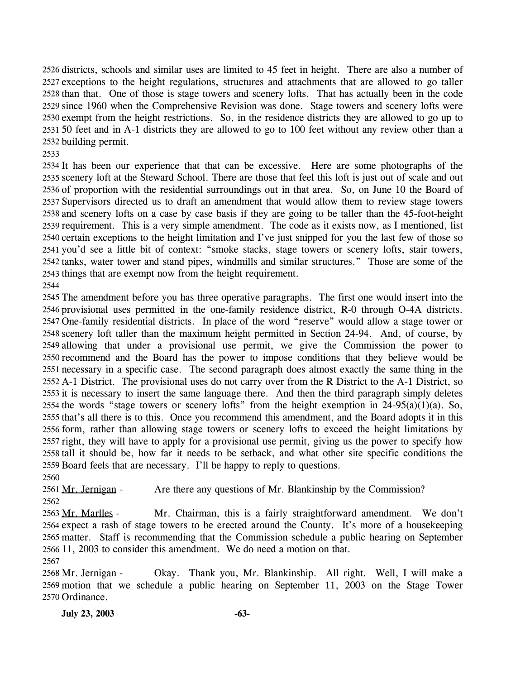2526 districts, schools and similar uses are limited to 45 feet in height. There are also a number of 2527 exceptions to the height regulations, structures and attachments that are allowed to go taller 2528 than that. One of those is stage towers and scenery lofts. That has actually been in the code 2529 since 1960 when the Comprehensive Revision was done. Stage towers and scenery lofts were 2530 exempt from the height restrictions. So, in the residence districts they are allowed to go up to 50 feet and in A-1 districts they are allowed to go to 100 feet without any review other than a 2532 building permit.

 It has been our experience that that can be excessive. Here are some photographs of the scenery loft at the Steward School. There are those that feel this loft is just out of scale and out of proportion with the residential surroundings out in that area. So, on June 10 the Board of Supervisors directed us to draft an amendment that would allow them to review stage towers and scenery lofts on a case by case basis if they are going to be taller than the 45-foot-height requirement. This is a very simple amendment. The code as it exists now, as I mentioned, list certain exceptions to the height limitation and I've just snipped for you the last few of those so you'd see a little bit of context: "smoke stacks, stage towers or scenery lofts, stair towers, tanks, water tower and stand pipes, windmills and similar structures." Those are some of the things that are exempt now from the height requirement.

 The amendment before you has three operative paragraphs. The first one would insert into the provisional uses permitted in the one-family residence district, R-0 through O-4A districts. One-family residential districts. In place of the word "reserve" would allow a stage tower or scenery loft taller than the maximum height permitted in Section 24-94. And, of course, by allowing that under a provisional use permit, we give the Commission the power to recommend and the Board has the power to impose conditions that they believe would be necessary in a specific case. The second paragraph does almost exactly the same thing in the A-1 District. The provisional uses do not carry over from the R District to the A-1 District, so it is necessary to insert the same language there. And then the third paragraph simply deletes 2554 the words "stage towers or scenery lofts" from the height exemption in  $24-95(a)(1)(a)$ . So, that's all there is to this. Once you recommend this amendment, and the Board adopts it in this form, rather than allowing stage towers or scenery lofts to exceed the height limitations by right, they will have to apply for a provisional use permit, giving us the power to specify how tall it should be, how far it needs to be setback, and what other site specific conditions the Board feels that are necessary. I'll be happy to reply to questions.

2561 Mr. Jernigan - Are there any questions of Mr. Blankinship by the Commission? 

Mr. Chairman, this is a fairly straightforward amendment. We don't 2564 expect a rash of stage towers to be erected around the County. It's more of a housekeeping 2565 matter. Staff is recommending that the Commission schedule a public hearing on September 2566 11, 2003 to consider this amendment. We do need a motion on that. 2563 Mr. Marlles -

Okay. Thank you, Mr. Blankinship. All right. Well, I will make a 2569 motion that we schedule a public hearing on September 11, 2003 on the Stage Tower 2570 Ordinance. 2568 Mr. Jernigan -

**July 23, 2003 -63-**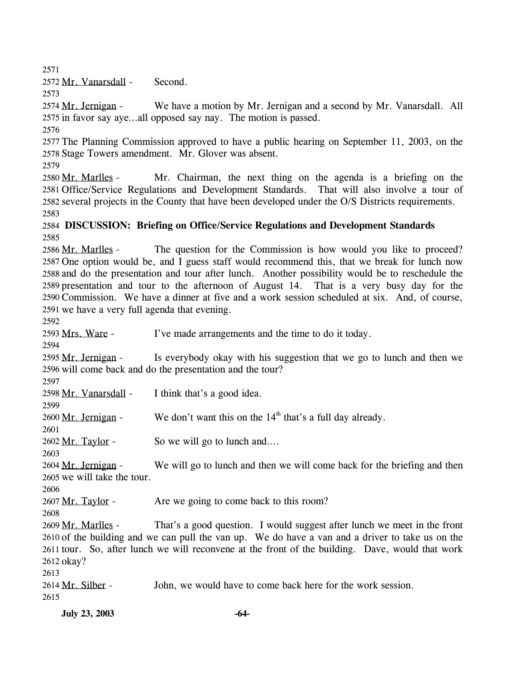2571

2572 Mr. Vanarsdall - Second.

2573

We have a motion by Mr. Jernigan and a second by Mr. Vanarsdall. All 2575 in favor say aye...all opposed say nay. The motion is passed. 2574 Mr. Jernigan -

2576

2577 The Planning Commission approved to have a public hearing on September 11, 2003, on the 2578 Stage Towers amendment. Mr. Glover was absent.

2579

Mr. Chairman, the next thing on the agenda is a briefing on the 2581 Office/Service Regulations and Development Standards. That will also involve a tour of 2582 several projects in the County that have been developed under the O/S Districts requirements. 2580 Mr. Marlles -2583

### 2584 **DISCUSSION: Briefing on Office/Service Regulations and Development Standards**  2585

The question for the Commission is how would you like to proceed? 2587 One option would be, and I guess staff would recommend this, that we break for lunch now 2588 and do the presentation and tour after lunch. Another possibility would be to reschedule the 2589 presentation and tour to the afternoon of August 14. That is a very busy day for the 2590 Commission. We have a dinner at five and a work session scheduled at six. And, of course, 2591 we have a very full agenda that evening. 2586 Mr. Marlles -

2592

2593 Mrs. Ware - I've made arrangements and the time to do it today.

2594 Is everybody okay with his suggestion that we go to lunch and then we 2596 will come back and do the presentation and the tour? 2595 Mr. Jernigan -

2597

2601

2598 Mr. Vanarsdall - I think that's a good idea. 2599

2600 Mr. Jernigan - We don't want this on the  $14<sup>th</sup>$  that's a full day already.

2602 Mr. Taylor - So we will go to lunch and....

2603 We will go to lunch and then we will come back for the briefing and then 2605 we will take the tour. 2604 Mr. Jernigan -

2606

2607 Mr. Taylor - Are we going to come back to this room?

2608

That's a good question. I would suggest after lunch we meet in the front 2610 of the building and we can pull the van up. We do have a van and a driver to take us on the 2611 tour. So, after lunch we will reconvene at the front of the building. Dave, would that work 2612 okay? 2609 Mr. Marlles -

2613

2614 Mr. Silber - John, we would have to come back here for the work session.

2615

**July 23, 2003 -64-**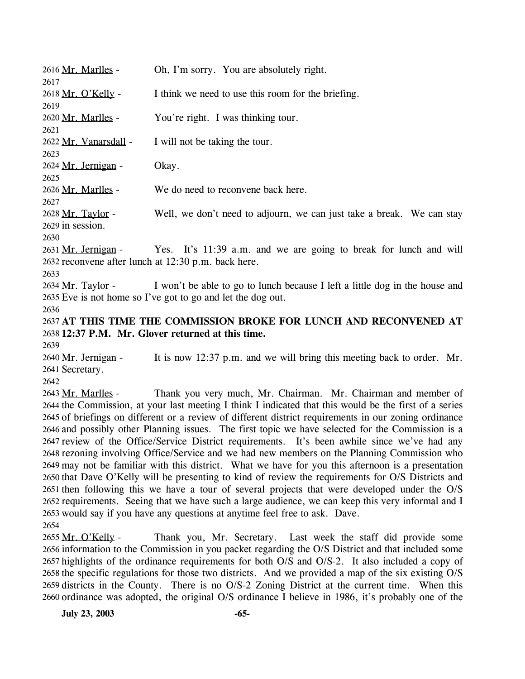| 2616 Mr. Marlles -<br>2617    | Oh, I'm sorry. You are absolutely right.                                    |
|-------------------------------|-----------------------------------------------------------------------------|
| 2618 Mr. O'Kelly -            | I think we need to use this room for the briefing.                          |
| 2619                          |                                                                             |
| 2620 Mr. Marlles -            | You're right. I was thinking tour.                                          |
| 2621                          |                                                                             |
| 2622 Mr. Vanarsdall -<br>2623 | I will not be taking the tour.                                              |
| 2624 Mr. Jernigan -           | Okay.                                                                       |
| 2625                          |                                                                             |
| 2626 Mr. Marlles -            | We do need to reconvene back here.                                          |
| 2627                          |                                                                             |
| 2628 Mr. Taylor -             | Well, we don't need to adjourn, we can just take a break. We can stay       |
| 2629 in session.              |                                                                             |
| 2630                          |                                                                             |
| 2631 Mr. Jernigan -           | Yes. It's 11:39 a.m. and we are going to break for lunch and will           |
|                               | 2632 reconvene after lunch at 12:30 p.m. back here.                         |
| 2633                          |                                                                             |
| 2634 Mr. Taylor -             | I won't be able to go to lunch because I left a little dog in the house and |
|                               | 2635 Eve is not home so I've got to go and let the dog out.                 |
| 2636                          |                                                                             |
|                               | 2637 AT THIS TIME THE COMMISSION BROKE FOR LUNCH AND RECONVENED AT          |
|                               | 2638 12:37 P.M. Mr. Glover returned at this time.                           |
| 2639                          |                                                                             |
| 2640 Mr. Jernigan -           | It is now 12:37 p.m. and we will bring this meeting back to order. Mr.      |
| 2641 Secretary.               |                                                                             |
| 2642                          |                                                                             |
| $2642$ Mr. Marlloc            | Thank you yet, much Mr. Chairman. Mr. Chairman and member of                |

Thank you very much, Mr. Chairman. Mr. Chairman and member of 2644 the Commission, at your last meeting I think I indicated that this would be the first of a series 2645 of briefings on different or a review of different district requirements in our zoning ordinance 2646 and possibly other Planning issues. The first topic we have selected for the Commission is a 2647 review of the Office/Service District requirements. It's been awhile since we've had any 2648 rezoning involving Office/Service and we had new members on the Planning Commission who 2649 may not be familiar with this district. What we have for you this afternoon is a presentation 2650 that Dave O'Kelly will be presenting to kind of review the requirements for O/S Districts and 2651 then following this we have a tour of several projects that were developed under the  $O/S$ 2652 requirements. Seeing that we have such a large audience, we can keep this very informal and I 2653 would say if you have any questions at anytime feel free to ask. Dave. 2643 Mr. Marlles -2654

Thank you, Mr. Secretary. Last week the staff did provide some 2656 information to the Commission in you packet regarding the O/S District and that included some 2657 highlights of the ordinance requirements for both  $O/S$  and  $O/S-2$ . It also included a copy of 2658 the specific regulations for those two districts. And we provided a map of the six existing O/S 2659 districts in the County. There is no O/S-2 Zoning District at the current time. When this 2660 ordinance was adopted, the original O/S ordinance I believe in 1986, it's probably one of the 2655 Mr. O'Kelly -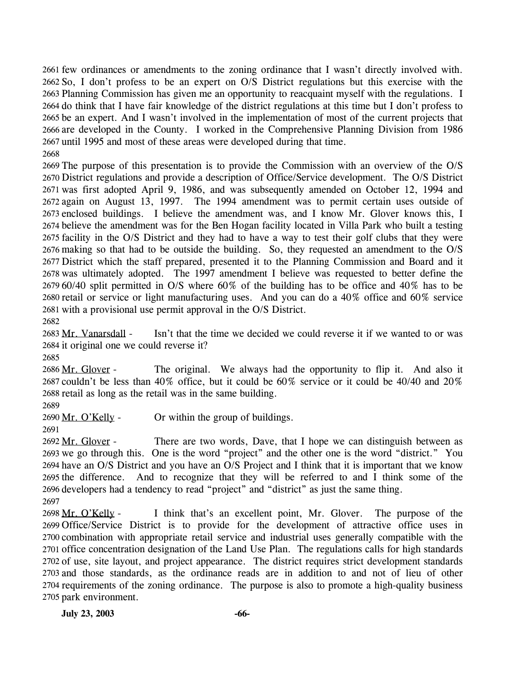2661 few ordinances or amendments to the zoning ordinance that I wasn't directly involved with. 2662 So, I don't profess to be an expert on O/S District regulations but this exercise with the 2663 Planning Commission has given me an opportunity to reacquaint myself with the regulations. I 2664 do think that I have fair knowledge of the district regulations at this time but I don't profess to 2665 be an expert. And I wasn't involved in the implementation of most of the current projects that 2666 are developed in the County. I worked in the Comprehensive Planning Division from 1986 2667 until 1995 and most of these areas were developed during that time. 2668

 The purpose of this presentation is to provide the Commission with an overview of the O/S District regulations and provide a description of Office/Service development. The O/S District was first adopted April 9, 1986, and was subsequently amended on October 12, 1994 and again on August 13, 1997. The 1994 amendment was to permit certain uses outside of enclosed buildings. I believe the amendment was, and I know Mr. Glover knows this, I believe the amendment was for the Ben Hogan facility located in Villa Park who built a testing facility in the O/S District and they had to have a way to test their golf clubs that they were making so that had to be outside the building. So, they requested an amendment to the O/S District which the staff prepared, presented it to the Planning Commission and Board and it was ultimately adopted. The 1997 amendment I believe was requested to better define the 60/40 split permitted in O/S where 60% of the building has to be office and 40% has to be retail or service or light manufacturing uses. And you can do a 40% office and 60% service with a provisional use permit approval in the O/S District.

2682

Isn't that the time we decided we could reverse it if we wanted to or was 2684 it original one we could reverse it? 2683 Mr. Vanarsdall -

2685

The original. We always had the opportunity to flip it. And also it 2687 couldn't be less than 40% office, but it could be  $60\%$  service or it could be 40/40 and 20% 2688 retail as long as the retail was in the same building. 2686 Mr. Glover -

2689

2690 Mr. O'Kelly - Or within the group of buildings.

2691

There are two words, Dave, that I hope we can distinguish between as 2693 we go through this. One is the word "project" and the other one is the word "district." You 2694 have an O/S District and you have an O/S Project and I think that it is important that we know 2695 the difference. And to recognize that they will be referred to and I think some of the 2696 developers had a tendency to read "project" and "district" as just the same thing. 2692 Mr. Glover -2697

I think that's an excellent point, Mr. Glover. The purpose of the 2699 Office/Service District is to provide for the development of attractive office uses in 2700 combination with appropriate retail service and industrial uses generally compatible with the 2701 office concentration designation of the Land Use Plan. The regulations calls for high standards 2702 of use, site layout, and project appearance. The district requires strict development standards 2703 and those standards, as the ordinance reads are in addition to and not of lieu of other 2704 requirements of the zoning ordinance. The purpose is also to promote a high-quality business 2705 park environment. 2698 Mr. O'Kelly -

**July 23, 2003 -66-**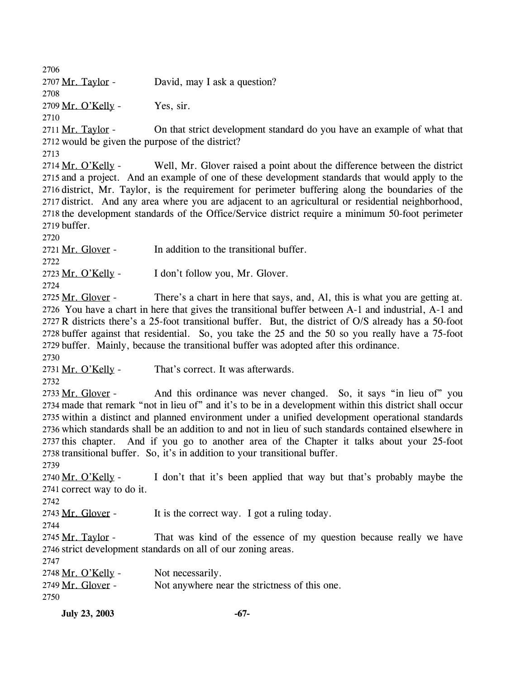2706

2707 Mr. Taylor - David, may I ask a question?

2708

 $2709$  Mr. O'Kelly - Yes, sir.

2710

On that strict development standard do you have an example of what that 2712 would be given the purpose of the district? 2711 Mr. Taylor -

2713

Well, Mr. Glover raised a point about the difference between the district 2715 and a project. And an example of one of these development standards that would apply to the 2716 district, Mr. Taylor, is the requirement for perimeter buffering along the boundaries of the 2717 district. And any area where you are adjacent to an agricultural or residential neighborhood, 2718 the development standards of the Office/Service district require a minimum 50-foot perimeter 2719 buffer. 2714 Mr. O'Kelly -

2720

2721 Mr. Glover - In addition to the transitional buffer.

2722

2723 Mr. O'Kelly - I don't follow you, Mr. Glover.

2724

There's a chart in here that says, and, Al, this is what you are getting at. 2726 You have a chart in here that gives the transitional buffer between A-1 and industrial, A-1 and 2727 R districts there's a 25-foot transitional buffer. But, the district of O/S already has a 50-foot 2728 buffer against that residential. So, you take the 25 and the 50 so you really have a 75-foot 2729 buffer. Mainly, because the transitional buffer was adopted after this ordinance. 2725 Mr. Glover -

2730

2731 Mr. O'Kelly - That's correct. It was afterwards.

2732

And this ordinance was never changed. So, it says "in lieu of" you 2734 made that remark "not in lieu of" and it's to be in a development within this district shall occur 2735 within a distinct and planned environment under a unified development operational standards 2736 which standards shall be an addition to and not in lieu of such standards contained elsewhere in 2737 this chapter. And if you go to another area of the Chapter it talks about your 25-foot 2738 transitional buffer. So, it's in addition to your transitional buffer. 2733 Mr. Glover -

2739

I don't that it's been applied that way but that's probably maybe the 2741 correct way to do it. 2740 Mr. O'Kelly -

2742

2743 Mr. Glover - It is the correct way. I got a ruling today.

2744

That was kind of the essence of my question because really we have 2746 strict development standards on all of our zoning areas. 2745 Mr. Taylor -

2747

2748 Mr. O'Kelly - Not necessarily. 2749 Mr. Glover - Not anywhere near the strictness of this one. 2750

**July 23, 2003 -67-**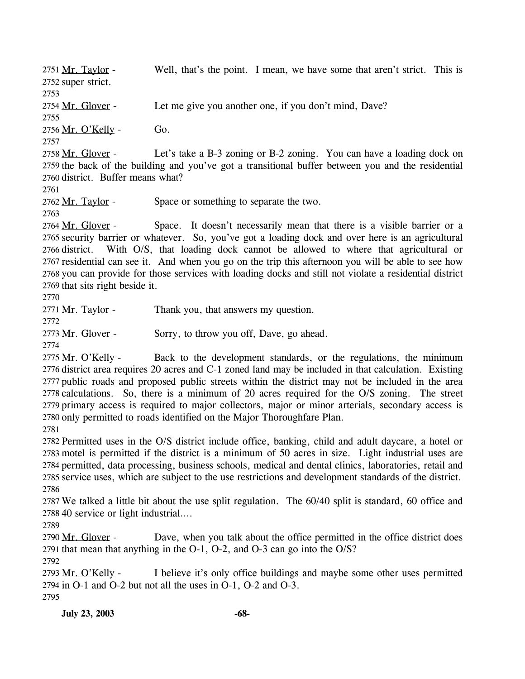Well, that's the point. I mean, we have some that aren't strict. This is 2752 super strict. 2751 Mr. Taylor -2753 2754 Mr. Glover - Let me give you another one, if you don't mind, Dave? 2755 2756 Mr. O'Kelly - Go. 2757 Let's take a B-3 zoning or B-2 zoning. You can have a loading dock on 2759 the back of the building and you've got a transitional buffer between you and the residential 2760 district. Buffer means what? 2758 Mr. Glover -2761 2762 Mr. Taylor - Space or something to separate the two. 2763 Space. It doesn't necessarily mean that there is a visible barrier or a 2765 security barrier or whatever. So, you've got a loading dock and over here is an agricultural 2766 district. With O/S, that loading dock cannot be allowed to where that agricultural or 2767 residential can see it. And when you go on the trip this afternoon you will be able to see how 2768 you can provide for those services with loading docks and still not violate a residential district 2769 that sits right beside it. 2764 Mr. Glover -2770 2771 Mr. Taylor - Thank you, that answers my question. 2772 2773 Mr. Glover - Sorry, to throw you off, Dave, go ahead. 2774 Back to the development standards, or the regulations, the minimum 2776 district area requires 20 acres and C-1 zoned land may be included in that calculation. Existing 2777 public roads and proposed public streets within the district may not be included in the area 2778 calculations. So, there is a minimum of 20 acres required for the O/S zoning. The street 2779 primary access is required to major collectors, major or minor arterials, secondary access is 2780 only permitted to roads identified on the Major Thoroughfare Plan. 2775 Mr. O'Kelly -2781 2782 Permitted uses in the O/S district include office, banking, child and adult daycare, a hotel or 2783 motel is permitted if the district is a minimum of 50 acres in size. Light industrial uses are 2784 permitted, data processing, business schools, medical and dental clinics, laboratories, retail and 2785 service uses, which are subject to the use restrictions and development standards of the district. 2786 2787 We talked a little bit about the use split regulation. The 60/40 split is standard, 60 office and 2788 40 service or light industrial…. 2789 Dave, when you talk about the office permitted in the office district does 2791 that mean that anything in the  $O-1$ ,  $O-2$ , and  $O-3$  can go into the  $O/S$ ? 2790 Mr. Glover -2792 I believe it's only office buildings and maybe some other uses permitted 2794 in O-1 and O-2 but not all the uses in O-1, O-2 and O-3. 2793 Mr. O'Kelly -2795 **July 23, 2003 -68-**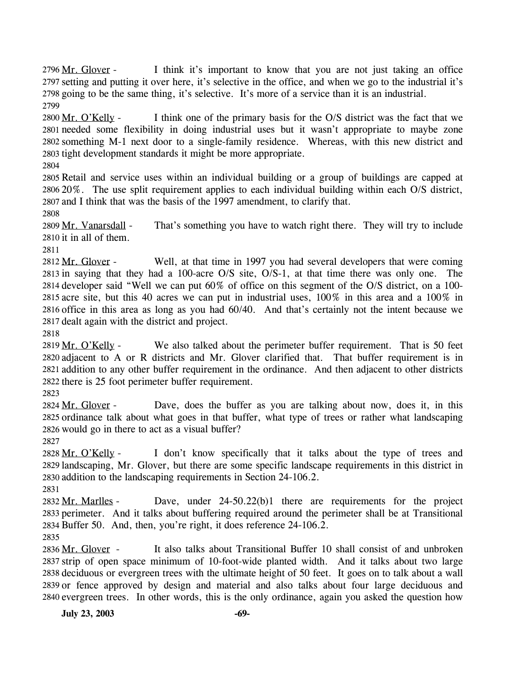I think it's important to know that you are not just taking an office 2797 setting and putting it over here, it's selective in the office, and when we go to the industrial it's 2798 going to be the same thing, it's selective. It's more of a service than it is an industrial. 2796 Mr. Glover -2799

I think one of the primary basis for the O/S district was the fact that we 2801 needed some flexibility in doing industrial uses but it wasn't appropriate to maybe zone 2802 something M-1 next door to a single-family residence. Whereas, with this new district and 2803 tight development standards it might be more appropriate. 2800 Mr. O'Kelly -

2804

2805 Retail and service uses within an individual building or a group of buildings are capped at 2806 20%. The use split requirement applies to each individual building within each O/S district, 2807 and I think that was the basis of the 1997 amendment, to clarify that.

2808

That's something you have to watch right there. They will try to include  $2810$  it in all of them. 2809 Mr. Vanarsdall -

2811

Well, at that time in 1997 you had several developers that were coming 2813 in saying that they had a 100-acre  $O/S$  site,  $O/S-1$ , at that time there was only one. The 2814 developer said "Well we can put 60% of office on this segment of the O/S district, on a 100-2815 acre site, but this 40 acres we can put in industrial uses,  $100\%$  in this area and a  $100\%$  in 2816 office in this area as long as you had 60/40. And that's certainly not the intent because we 2817 dealt again with the district and project. 2812 Mr. Glover -

2818

We also talked about the perimeter buffer requirement. That is 50 feet 2820 adjacent to A or R districts and Mr. Glover clarified that. That buffer requirement is in 2821 addition to any other buffer requirement in the ordinance. And then adjacent to other districts 2822 there is 25 foot perimeter buffer requirement. 2819 Mr. O'Kelly -

2823

Dave, does the buffer as you are talking about now, does it, in this 2825 ordinance talk about what goes in that buffer, what type of trees or rather what landscaping 2826 would go in there to act as a visual buffer? 2824 Mr. Glover -

2827

I don't know specifically that it talks about the type of trees and 2829 landscaping, Mr. Glover, but there are some specific landscape requirements in this district in 2830 addition to the landscaping requirements in Section 24-106.2. 2828 Mr. O'Kelly -

2831

Dave, under  $24-50.22(b)1$  there are requirements for the project 2833 perimeter. And it talks about buffering required around the perimeter shall be at Transitional 2834 Buffer 50. And, then, you're right, it does reference 24-106.2. 2832 Mr. Marlles -2835

It also talks about Transitional Buffer 10 shall consist of and unbroken 2837 strip of open space minimum of 10-foot-wide planted width. And it talks about two large 2838 deciduous or evergreen trees with the ultimate height of 50 feet. It goes on to talk about a wall 2839 or fence approved by design and material and also talks about four large deciduous and 2840 evergreen trees. In other words, this is the only ordinance, again you asked the question how 2836 Mr. Glover -

**July 23, 2003 -69-**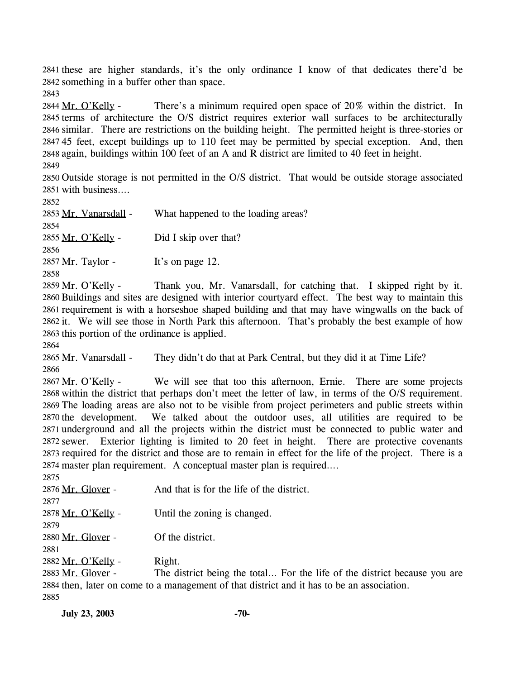2841 these are higher standards, it's the only ordinance I know of that dedicates there'd be 2842 something in a buffer other than space.

2843

There's a minimum required open space of  $20\%$  within the district. In 2845 terms of architecture the O/S district requires exterior wall surfaces to be architecturally 2846 similar. There are restrictions on the building height. The permitted height is three-stories or 2847 45 feet, except buildings up to 110 feet may be permitted by special exception. And, then 2848 again, buildings within 100 feet of an A and R district are limited to 40 feet in height. 2844 Mr. O'Kelly -2849

2850 Outside storage is not permitted in the O/S district. That would be outside storage associated 2851 with business….

2852

2853 Mr. Vanarsdall - What happened to the loading areas? 2854 2855 Mr. O'Kelly - Did I skip over that? 2856  $2857$  Mr. Taylor - It's on page 12. 2858

Thank you, Mr. Vanarsdall, for catching that. I skipped right by it. 2860 Buildings and sites are designed with interior courtyard effect. The best way to maintain this 2861 requirement is with a horseshoe shaped building and that may have wingwalls on the back of 2862 it. We will see those in North Park this afternoon. That's probably the best example of how 2863 this portion of the ordinance is applied. 2859 Mr. O'Kelly -

2864

2865 Mr. Vanarsdall - They didn't do that at Park Central, but they did it at Time Life? 2866

We will see that too this afternoon, Ernie. There are some projects 2868 within the district that perhaps don't meet the letter of law, in terms of the O/S requirement. 2869 The loading areas are also not to be visible from project perimeters and public streets within We talked about the outdoor uses, all utilities are required to be 2871 underground and all the projects within the district must be connected to public water and 2872 sewer. Exterior lighting is limited to 20 feet in height. There are protective covenants 2873 required for the district and those are to remain in effect for the life of the project. There is a 2874 master plan requirement. A conceptual master plan is required.... 2867 Mr. O'Kelly -2870 the development.  $2075$ 

| 201J               |                                           |
|--------------------|-------------------------------------------|
| 2876 Mr. Glover -  | And that is for the life of the district. |
| 2877               |                                           |
| 2878 Mr. O'Kelly - | Until the zoning is changed.              |
| 2879               |                                           |
| 2880 Mr. Glover -  | Of the district.                          |
| 2881               |                                           |
| 2882 Mr. O'Kelly - | Right.                                    |
|                    |                                           |

The district being the total… For the life of the district because you are 2884 then, later on come to a management of that district and it has to be an association. 2883 Mr. Glover -2885

**July 23, 2003 -70-**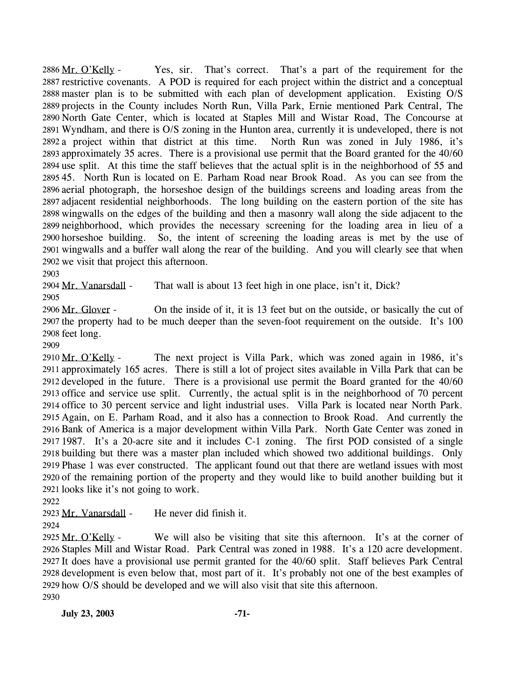Yes, sir. That's correct. That's a part of the requirement for the 2887 restrictive covenants. A POD is required for each project within the district and a conceptual 2888 master plan is to be submitted with each plan of development application. Existing O/S 2889 projects in the County includes North Run, Villa Park, Ernie mentioned Park Central, The 2890 North Gate Center, which is located at Staples Mill and Wistar Road, The Concourse at 2891 Wyndham, and there is O/S zoning in the Hunton area, currently it is undeveloped, there is not 2892 a project within that district at this time. North Run was zoned in July 1986, it's 2893 approximately 35 acres. There is a provisional use permit that the Board granted for the 40/60 2894 use split. At this time the staff believes that the actual split is in the neighborhood of 55 and 2895 45. North Run is located on E. Parham Road near Brook Road. As you can see from the 2896 aerial photograph, the horseshoe design of the buildings screens and loading areas from the 2897 adjacent residential neighborhoods. The long building on the eastern portion of the site has 2898 wingwalls on the edges of the building and then a masonry wall along the side adjacent to the 2899 neighborhood, which provides the necessary screening for the loading area in lieu of a 2900 horseshoe building. So, the intent of screening the loading areas is met by the use of 2901 wingwalls and a buffer wall along the rear of the building. And you will clearly see that when 2902 we visit that project this afternoon. 2886 Mr. O'Kelly -

2903

2904 Mr. Vanarsdall - That wall is about 13 feet high in one place, isn't it, Dick?

2905

On the inside of it, it is 13 feet but on the outside, or basically the cut of 2907 the property had to be much deeper than the seven-foot requirement on the outside. It's 100 2908 feet long. 2906 Mr. Glover -

2909

The next project is Villa Park, which was zoned again in 1986, it's 2911 approximately 165 acres. There is still a lot of project sites available in Villa Park that can be 2912 developed in the future. There is a provisional use permit the Board granted for the 40/60 2913 office and service use split. Currently, the actual split is in the neighborhood of 70 percent 2914 office to 30 percent service and light industrial uses. Villa Park is located near North Park. 2915 Again, on E. Parham Road, and it also has a connection to Brook Road. And currently the 2916 Bank of America is a major development within Villa Park. North Gate Center was zoned in 2917 1987. It's a 20-acre site and it includes C-1 zoning. The first POD consisted of a single 2918 building but there was a master plan included which showed two additional buildings. Only 2919 Phase 1 was ever constructed. The applicant found out that there are wetland issues with most 2920 of the remaining portion of the property and they would like to build another building but it 2921 looks like it's not going to work. 2910 Mr. O'Kelly -

2922

2923 Mr. Vanarsdall - He never did finish it.

2924

We will also be visiting that site this afternoon. It's at the corner of 2926 Staples Mill and Wistar Road. Park Central was zoned in 1988. It's a 120 acre development. 2927 It does have a provisional use permit granted for the 40/60 split. Staff believes Park Central 2928 development is even below that, most part of it. It's probably not one of the best examples of 2929 how O/S should be developed and we will also visit that site this afternoon. 2925 Mr. O'Kelly -2930

**July 23, 2003 -71-**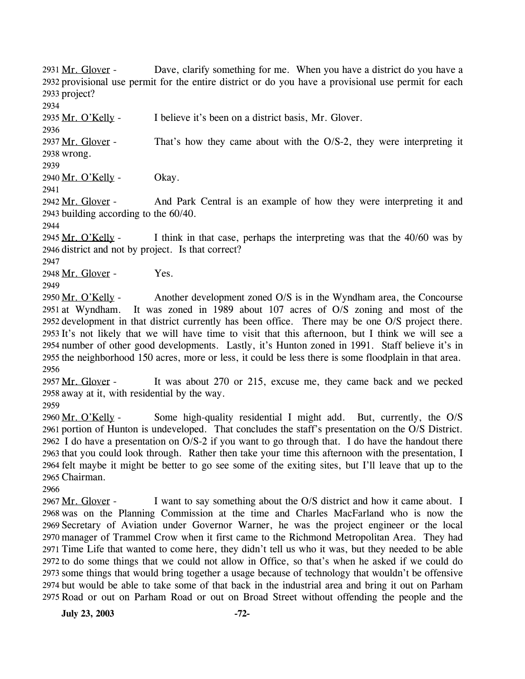Dave, clarify something for me. When you have a district do you have a 2932 provisional use permit for the entire district or do you have a provisional use permit for each 2933 project? 2931 Mr. Glover -

2934

2936

2935 Mr. O'Kelly - I believe it's been on a district basis, Mr. Glover.

That's how they came about with the  $O/S-2$ , they were interpreting it 2938 wrong. 2937 Mr. Glover -

2939

2940 Mr. O'Kelly - Okay.

2941

And Park Central is an example of how they were interpreting it and 2943 building according to the 60/40. 2942 Mr. Glover -

2944

I think in that case, perhaps the interpreting was that the 40/60 was by 2946 district and not by project. Is that correct? 2945 Mr. O'Kelly -

2947

2948 Mr. Glover - Yes.

2949

Another development zoned O/S is in the Wyndham area, the Concourse It was zoned in 1989 about 107 acres of  $O/S$  zoning and most of the 2952 development in that district currently has been office. There may be one O/S project there. 2953 It's not likely that we will have time to visit that this afternoon, but I think we will see a 2954 number of other good developments. Lastly, it's Hunton zoned in 1991. Staff believe it's in 2955 the neighborhood 150 acres, more or less, it could be less there is some floodplain in that area. 2950 Mr. O'Kelly -2951 at Wyndham. 2956

It was about 270 or 215, excuse me, they came back and we pecked 2958 away at it, with residential by the way. 2957 Mr. Glover -

2959

Some high-quality residential I might add. But, currently, the  $O/S$ 2961 portion of Hunton is undeveloped. That concludes the staff's presentation on the O/S District. 2962 I do have a presentation on  $O/S-2$  if you want to go through that. I do have the handout there 2963 that you could look through. Rather then take your time this afternoon with the presentation, I 2964 felt maybe it might be better to go see some of the exiting sites, but I'll leave that up to the 2965 Chairman. 2960 Mr. O'Kelly -

2966

I want to say something about the O/S district and how it came about. I 2968 was on the Planning Commission at the time and Charles MacFarland who is now the 2969 Secretary of Aviation under Governor Warner, he was the project engineer or the local 2970 manager of Trammel Crow when it first came to the Richmond Metropolitan Area. They had 2971 Time Life that wanted to come here, they didn't tell us who it was, but they needed to be able 2972 to do some things that we could not allow in Office, so that's when he asked if we could do 2973 some things that would bring together a usage because of technology that wouldn't be offensive 2974 but would be able to take some of that back in the industrial area and bring it out on Parham 2975 Road or out on Parham Road or out on Broad Street without offending the people and the 2967 Mr. Glover -

**July 23, 2003 -72-**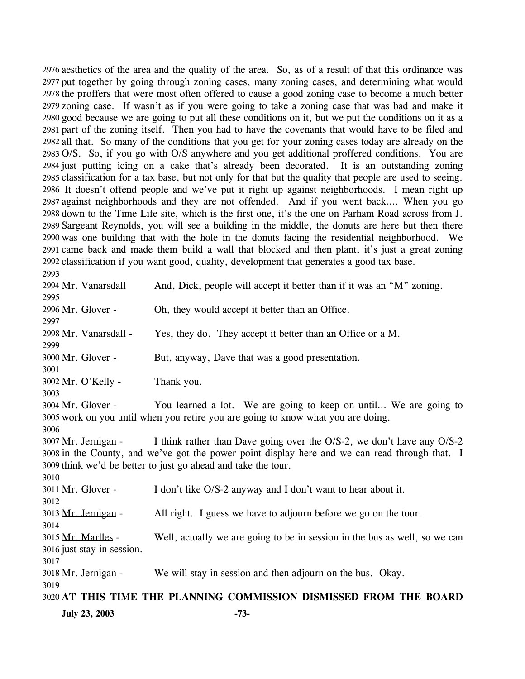2976 aesthetics of the area and the quality of the area. So, as of a result of that this ordinance was 2977 put together by going through zoning cases, many zoning cases, and determining what would 2978 the proffers that were most often offered to cause a good zoning case to become a much better zoning case. If wasn't as if you were going to take a zoning case that was bad and make it 2979 2980 good because we are going to put all these conditions on it, but we put the conditions on it as a 2981 part of the zoning itself. Then you had to have the covenants that would have to be filed and 2982 all that. So many of the conditions that you get for your zoning cases today are already on the 2983 O/S. So, if you go with O/S anywhere and you get additional proffered conditions. You are 2984 just putting icing on a cake that's already been decorated. It is an outstanding zoning 2985 classification for a tax base, but not only for that but the quality that people are used to seeing. 2986 It doesn't offend people and we've put it right up against neighborhoods. I mean right up 2987 against neighborhoods and they are not offended. And if you went back.... When you go 2988 down to the Time Life site, which is the first one, it's the one on Parham Road across from J. 2989 Sargeant Reynolds, you will see a building in the middle, the donuts are here but then there 2990 was one building that with the hole in the donuts facing the residential neighborhood. We 2991 came back and made them build a wall that blocked and then plant, it's just a great zoning 2992 classification if you want good, quality, development that generates a good tax base. 2993

2994 Mr. Vanarsdall And, Dick, people will accept it better than if it was an "M" zoning. 2995 2996 Mr. Glover - Oh, they would accept it better than an Office. 2997 2998 Mr. Vanarsdall - Yes, they do. They accept it better than an Office or a M. 2999 3000 Mr. Glover - But, anyway, Dave that was a good presentation. 3001 3002 Mr. O'Kelly - Thank you. 3003 You learned a lot. We are going to keep on until... We are going to 3005 work on you until when you retire you are going to know what you are doing. 3004 Mr. Glover -3006 I think rather than Dave going over the  $O/S-2$ , we don't have any  $O/S-2$ 3008 in the County, and we've got the power point display here and we can read through that. I 3009 think we'd be better to just go ahead and take the tour. 3007 Mr. Jernigan -3010 3011 Mr. Glover - I don't like O/S-2 anyway and I don't want to hear about it. 3012 3013 Mr. Jernigan - All right. I guess we have to adjourn before we go on the tour. 3014 Well, actually we are going to be in session in the bus as well, so we can 3016 just stay in session. 3015 Mr. Marlles -3017 3018 Mr. Jernigan - We will stay in session and then adjourn on the bus. Okay. 3019 3020 **AT THIS TIME THE PLANNING COMMISSION DISMISSED FROM THE BOARD July 23, 2003 -73-**